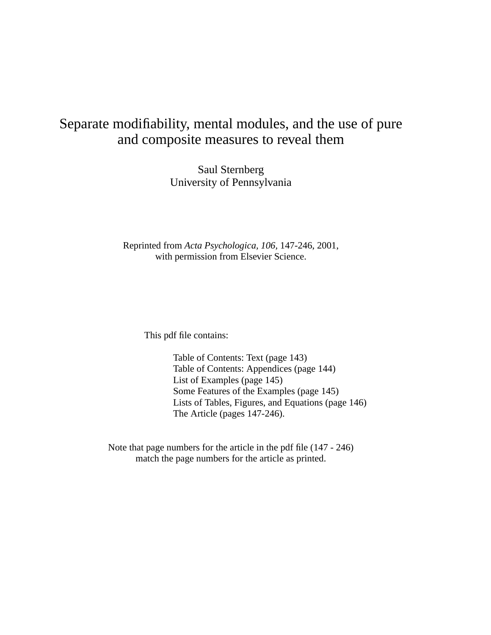# Separate modifiability, mental modules, and the use of pure and composite measures to reveal them

Saul Sternberg University of Pennsylvania

Reprinted from *Acta Psychologica, 106,* 147-246, 2001, with permission from Elsevier Science.

This pdf file contains:

Table of Contents: Text (page 143) Table of Contents: Appendices (page 144) List of Examples (page 145) Some Features of the Examples (page 145) Lists of Tables, Figures, and Equations (page 146) The Article (pages 147-246).

Note that page numbers for the article in the pdf file (147 - 246) match the page numbers for the article as printed.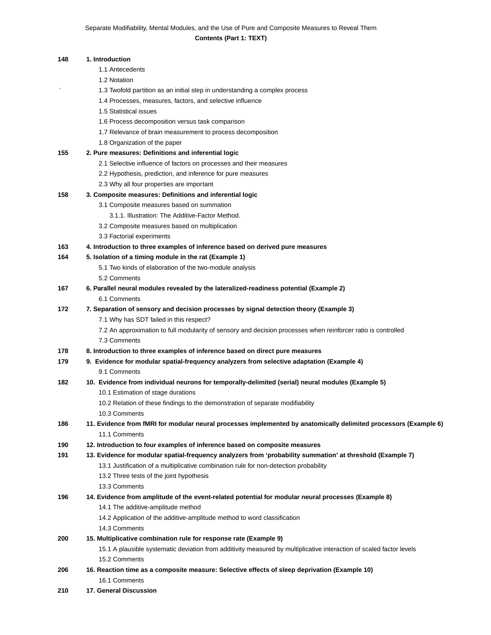| 148 | 1. Introduction                                                                                                                       |
|-----|---------------------------------------------------------------------------------------------------------------------------------------|
|     | 1.1 Antecedents                                                                                                                       |
|     | 1.2 Notation                                                                                                                          |
|     | 1.3 Twofold partition as an initial step in understanding a complex process                                                           |
|     | 1.4 Processes, measures, factors, and selective influence                                                                             |
|     | 1.5 Statistical issues                                                                                                                |
|     | 1.6 Process decomposition versus task comparison                                                                                      |
|     | 1.7 Relevance of brain measurement to process decomposition                                                                           |
|     | 1.8 Organization of the paper                                                                                                         |
| 155 | 2. Pure measures: Definitions and inferential logic                                                                                   |
|     | 2.1 Selective influence of factors on processes and their measures                                                                    |
|     | 2.2 Hypothesis, prediction, and inference for pure measures                                                                           |
|     | 2.3 Why all four properties are important                                                                                             |
| 158 | 3. Composite measures: Definitions and inferential logic                                                                              |
|     | 3.1 Composite measures based on summation                                                                                             |
|     | 3.1.1. Illustration: The Additive-Factor Method.                                                                                      |
|     | 3.2 Composite measures based on multiplication                                                                                        |
|     | 3.3 Factorial experiments                                                                                                             |
| 163 | 4. Introduction to three examples of inference based on derived pure measures                                                         |
| 164 | 5. Isolation of a timing module in the rat (Example 1)                                                                                |
|     | 5.1 Two kinds of elaboration of the two-module analysis                                                                               |
|     | 5.2 Comments                                                                                                                          |
| 167 | 6. Parallel neural modules revealed by the lateralized-readiness potential (Example 2)                                                |
|     | 6.1 Comments                                                                                                                          |
| 172 | 7. Separation of sensory and decision processes by signal detection theory (Example 3)                                                |
|     | 7.1 Why has SDT failed in this respect?                                                                                               |
|     | 7.2 An approximation to full modularity of sensory and decision processes when reinforcer ratio is controlled                         |
|     | 7.3 Comments                                                                                                                          |
| 178 | 8. Introduction to three examples of inference based on direct pure measures                                                          |
| 179 | 9. Evidence for modular spatial-frequency analyzers from selective adaptation (Example 4)                                             |
|     | 9.1 Comments                                                                                                                          |
| 182 | 10. Evidence from individual neurons for temporally-delimited (serial) neural modules (Example 5)                                     |
|     | 10.1 Estimation of stage durations                                                                                                    |
|     | 10.2 Relation of these findings to the demonstration of separate modifiability                                                        |
|     | 10.3 Comments                                                                                                                         |
| 186 | 11. Evidence from fMRI for modular neural processes implemented by anatomically delimited processors (Example 6)                      |
|     | 11.1 Comments                                                                                                                         |
| 190 | 12. Introduction to four examples of inference based on composite measures                                                            |
| 191 | 13. Evidence for modular spatial-frequency analyzers from 'probability summation' at threshold (Example 7)                            |
|     | 13.1 Justification of a multiplicative combination rule for non-detection probability                                                 |
|     | 13.2 Three tests of the joint hypothesis                                                                                              |
|     | 13.3 Comments                                                                                                                         |
| 196 | 14. Evidence from amplitude of the event-related potential for modular neural processes (Example 8)                                   |
|     | 14.1 The additive-amplitude method                                                                                                    |
|     | 14.2 Application of the additive-amplitude method to word classification                                                              |
|     | 14.3 Comments                                                                                                                         |
| 200 | 15. Multiplicative combination rule for response rate (Example 9)                                                                     |
|     |                                                                                                                                       |
|     | 15.1 A plausible systematic deviation from additivity measured by multiplicative interaction of scaled factor levels<br>15.2 Comments |
| 206 | 16. Reaction time as a composite measure: Selective effects of sleep deprivation (Example 10)                                         |
|     | 16.1 Comments                                                                                                                         |
| 210 | 17. General Discussion                                                                                                                |
|     |                                                                                                                                       |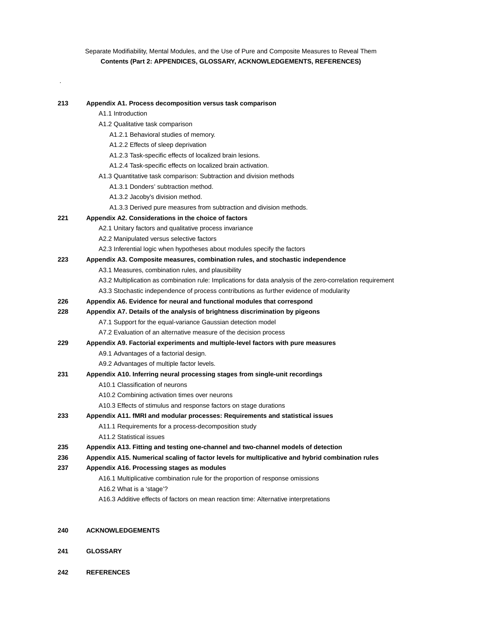Separate Modifiability, Mental Modules, and the Use of Pure and Composite Measures to Reveal Them **Contents (Part 2: APPENDICES, GLOSSARY, ACKNOWLEDGEMENTS, REFERENCES)** 

| 213 | Appendix A1. Process decomposition versus task comparison                                                   |
|-----|-------------------------------------------------------------------------------------------------------------|
|     | A1.1 Introduction                                                                                           |
|     | A1.2 Qualitative task comparison                                                                            |
|     | A1.2.1 Behavioral studies of memory.                                                                        |
|     | A1.2.2 Effects of sleep deprivation                                                                         |
|     | A1.2.3 Task-specific effects of localized brain lesions.                                                    |
|     | A1.2.4 Task-specific effects on localized brain activation.                                                 |
|     | A1.3 Quantitative task comparison: Subtraction and division methods                                         |
|     | A1.3.1 Donders' subtraction method.                                                                         |
|     | A1.3.2 Jacoby's division method.                                                                            |
|     | A1.3.3 Derived pure measures from subtraction and division methods.                                         |
| 221 | Appendix A2. Considerations in the choice of factors                                                        |
|     | A2.1 Unitary factors and qualitative process invariance                                                     |
|     | A2.2 Manipulated versus selective factors                                                                   |
|     | A2.3 Inferential logic when hypotheses about modules specify the factors                                    |
| 223 | Appendix A3. Composite measures, combination rules, and stochastic independence                             |
|     | A3.1 Measures, combination rules, and plausibility                                                          |
|     | A3.2 Multiplication as combination rule: Implications for data analysis of the zero-correlation requirement |
|     | A3.3 Stochastic independence of process contributions as further evidence of modularity                     |
| 226 | Appendix A6. Evidence for neural and functional modules that correspond                                     |
| 228 | Appendix A7. Details of the analysis of brightness discrimination by pigeons                                |
|     | A7.1 Support for the equal-variance Gaussian detection model                                                |
|     | A7.2 Evaluation of an alternative measure of the decision process                                           |
| 229 | Appendix A9. Factorial experiments and multiple-level factors with pure measures                            |
|     | A9.1 Advantages of a factorial design.                                                                      |
|     | A9.2 Advantages of multiple factor levels.                                                                  |
| 231 | Appendix A10. Inferring neural processing stages from single-unit recordings                                |
|     | A10.1 Classification of neurons                                                                             |
|     | A10.2 Combining activation times over neurons                                                               |
|     | A10.3 Effects of stimulus and response factors on stage durations                                           |
| 233 | Appendix A11. fMRI and modular processes: Requirements and statistical issues                               |
|     | A11.1 Requirements for a process-decomposition study                                                        |
|     | A11.2 Statistical issues                                                                                    |
| 235 | Appendix A13. Fitting and testing one-channel and two-channel models of detection                           |
| 236 | Appendix A15. Numerical scaling of factor levels for multiplicative and hybrid combination rules            |
| 237 | Appendix A16. Processing stages as modules                                                                  |
|     | A16.1 Multiplicative combination rule for the proportion of response omissions                              |
|     | A16.2 What is a 'stage'?                                                                                    |
|     | A16.3 Additive effects of factors on mean reaction time: Alternative interpretations                        |
|     |                                                                                                             |

### **240 ACKNOWLEDGEMENTS**

**241 GLOSSARY**

.

**242 REFERENCES**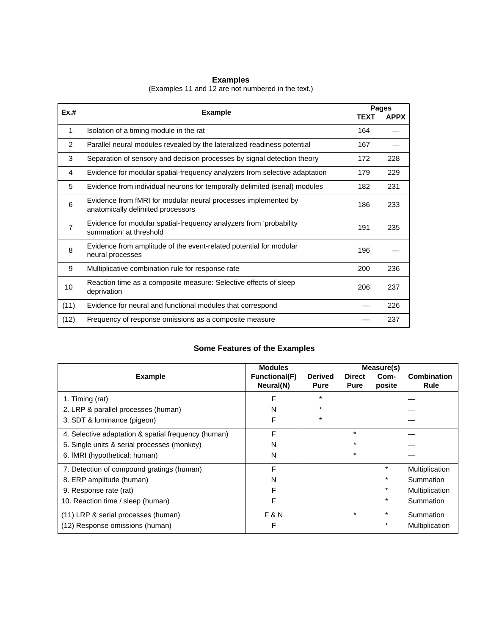### **Examples**

| Ex.# | <b>Example</b>                                                                                      |      | <b>Pages</b> |  |
|------|-----------------------------------------------------------------------------------------------------|------|--------------|--|
|      |                                                                                                     | TEXT | <b>APPX</b>  |  |
| 1    | Isolation of a timing module in the rat                                                             | 164  |              |  |
| 2    | Parallel neural modules revealed by the lateralized-readiness potential                             | 167  |              |  |
| 3    | Separation of sensory and decision processes by signal detection theory                             | 172  | 228          |  |
| 4    | Evidence for modular spatial-frequency analyzers from selective adaptation                          | 179  | 229          |  |
| 5    | Evidence from individual neurons for temporally delimited (serial) modules                          | 182  | 231          |  |
| 6    | Evidence from fMRI for modular neural processes implemented by<br>anatomically delimited processors | 186  | 233          |  |
| 7    | Evidence for modular spatial-frequency analyzers from 'probability<br>summation' at threshold       | 191  | 235          |  |
| 8    | Evidence from amplitude of the event-related potential for modular<br>neural processes              | 196  |              |  |
| 9    | Multiplicative combination rule for response rate                                                   | 200  | 236          |  |
| 10   | Reaction time as a composite measure: Selective effects of sleep<br>deprivation                     | 206  | 237          |  |
| (11) | Evidence for neural and functional modules that correspond                                          |      | 226          |  |
| (12) | Frequency of response omissions as a composite measure                                              |      | 237          |  |

(Examples 11 and 12 are not numbered in the text.)

## **Some Features of the Examples**

|                                                     | <b>Modules</b>                    | Measure(s)                    |                              |                |                            |
|-----------------------------------------------------|-----------------------------------|-------------------------------|------------------------------|----------------|----------------------------|
| <b>Example</b>                                      | <b>Functional(F)</b><br>Neural(N) | <b>Derived</b><br><b>Pure</b> | <b>Direct</b><br><b>Pure</b> | Com-<br>posite | <b>Combination</b><br>Rule |
| 1. Timing (rat)                                     | F                                 | $\star$                       |                              |                |                            |
| 2. LRP & parallel processes (human)                 | N                                 | $\ast$                        |                              |                |                            |
| 3. SDT & luminance (pigeon)                         | F                                 | $^\star$                      |                              |                |                            |
| 4. Selective adaptation & spatial frequency (human) | F                                 |                               | $\star$                      |                |                            |
| 5. Single units & serial processes (monkey)         | N                                 |                               |                              |                |                            |
| 6. fMRI (hypothetical; human)                       | N                                 |                               | $\star$                      |                |                            |
| 7. Detection of compound gratings (human)           | F                                 |                               |                              | $^\star$       | Multiplication             |
| 8. ERP amplitude (human)                            | N                                 |                               |                              | $\star$        | Summation                  |
| 9. Response rate (rat)                              | F                                 |                               |                              | *              | Multiplication             |
| 10. Reaction time / sleep (human)                   | F                                 |                               |                              | $^\star$       | Summation                  |
| (11) LRP & serial processes (human)                 | <b>F&amp;N</b>                    |                               | $\star$                      | $\star$        | Summation                  |
| (12) Response omissions (human)                     | F                                 |                               |                              | $\star$        | Multiplication             |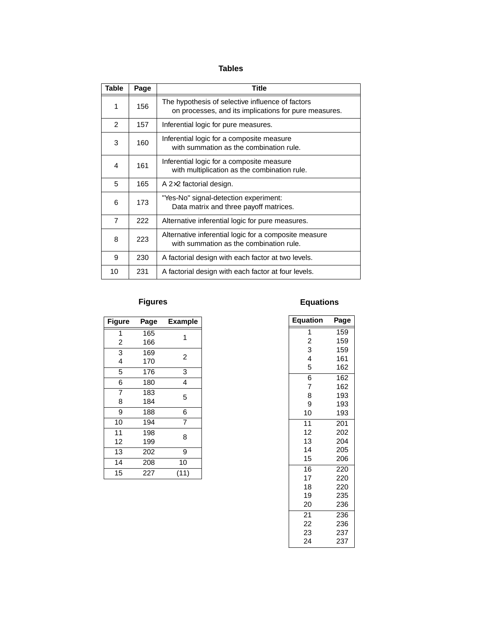### **Tables**

| Table          | Page | <b>Title</b>                                                                                              |  |
|----------------|------|-----------------------------------------------------------------------------------------------------------|--|
| 1              | 156  | The hypothesis of selective influence of factors<br>on processes, and its implications for pure measures. |  |
| 2              | 157  | Inferential logic for pure measures.                                                                      |  |
| 3              | 160  | Inferential logic for a composite measure<br>with summation as the combination rule.                      |  |
| 4              | 161  | Inferential logic for a composite measure<br>with multiplication as the combination rule.                 |  |
| 5              | 165  | A $2\times 2$ factorial design.                                                                           |  |
| 6              | 173  | "Yes-No" signal-detection experiment:<br>Data matrix and three payoff matrices.                           |  |
| $\overline{7}$ | 222  | Alternative inferential logic for pure measures.                                                          |  |
| 8              | 223  | Alternative inferential logic for a composite measure<br>with summation as the combination rule.          |  |
| 9              | 230  | A factorial design with each factor at two levels.                                                        |  |
| 10             | 231  | A factorial design with each factor at four levels.                                                       |  |

## **Figures**

## **Equations**

| <b>Figure</b>  | Page | <b>Example</b> |
|----------------|------|----------------|
| 1              | 165  | 1              |
| $\overline{c}$ | 166  |                |
| $\overline{3}$ | 169  | 2              |
| $\overline{4}$ | 170  |                |
| 5              | 176  | 3              |
| 6              | 180  | $\overline{4}$ |
| $\overline{7}$ | 183  | 5              |
| 8              | 184  |                |
| 9              | 188  | 6              |
| 10             | 194  | $\overline{7}$ |
| 11             | 198  | 8              |
| 12             | 199  |                |
| 13             | 202  | 9              |
| 14             | 208  | 10             |
| 15             | 227  | (11)           |

| <b>Equation</b> | Page |
|-----------------|------|
| 1               | 159  |
| 2               | 159  |
| 3               | 159  |
| 4               | 161  |
| 5               | 162  |
| $\overline{6}$  | 162  |
| $\overline{7}$  | 162  |
| 8               | 193  |
| 9               | 193  |
| 10              | 193  |
| 11              | 201  |
| 12              | 202  |
| 13              | 204  |
| 14              | 205  |
| 15              | 206  |
| 16              | 220  |
| 17              | 220  |
| 18              | 220  |
| 19              | 235  |
| 20              | 236  |
| 21              | 236  |
| 22              | 236  |
| 23              | 237  |
| 24              | 237  |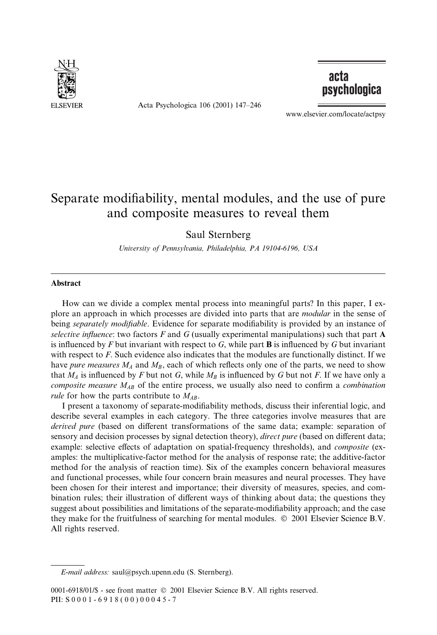

Acta Psychologica 106 (2001) 147-246



www.elsevier.com/locate/actpsy

## Separate modifiability, mental modules, and the use of pure and composite measures to reveal them

#### Saul Sternberg

University of Pennsylvania, Philadelphia, PA 19104-6196, USA

#### Abstract

How can we divide a complex mental process into meaningful parts? In this paper, I explore an approach in which processes are divided into parts that are *modular* in the sense of being *separately modifiable*. Evidence for separate modifiability is provided by an instance of selective influence: two factors F and G (usually experimental manipulations) such that part A is influenced by F but invariant with respect to G, while part **B** is influenced by G but invariant with respect to  $F$ . Such evidence also indicates that the modules are functionally distinct. If we have pure measures  $M_A$  and  $M_B$ , each of which reflects only one of the parts, we need to show that  $M_A$  is influenced by F but not G, while  $M_B$  is influenced by G but not F. If we have only a composite measure  $M_{AB}$  of the entire process, we usually also need to confirm a *combination* rule for how the parts contribute to  $M_{AB}$ .

I present a taxonomy of separate-modifiability methods, discuss their inferential logic, and describe several examples in each category. The three categories involve measures that are derived pure (based on different transformations of the same data; example: separation of sensory and decision processes by signal detection theory), *direct pure* (based on different data; example: selective effects of adaptation on spatial-frequency thresholds), and *composite* (examples: the multiplicative-factor method for the analysis of response rate; the additive-factor method for the analysis of reaction time). Six of the examples concern behavioral measures and functional processes, while four concern brain measures and neural processes. They have been chosen for their interest and importance; their diversity of measures, species, and combination rules; their illustration of different ways of thinking about data; the questions they suggest about possibilities and limitations of the separate-modifiability approach; and the case they make for the fruitfulness of searching for mental modules.  $\oslash$  2001 Elsevier Science B.V. All rights reserved.

E-mail address: saul@psych.upenn.edu (S. Sternberg).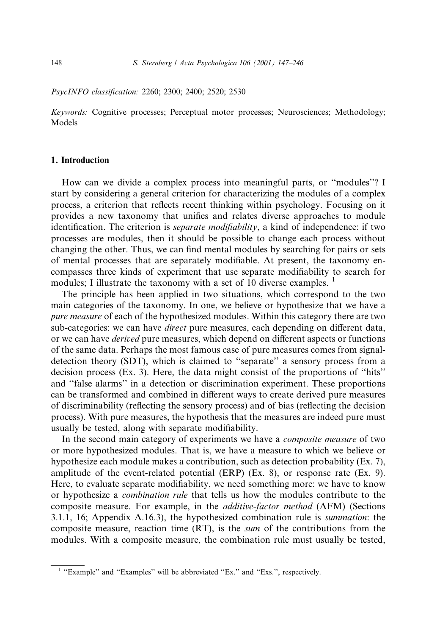#### PsycINFO classification: 2260; 2300; 2400; 2520; 2530

Keywords: Cognitive processes; Perceptual motor processes; Neurosciences; Methodology; Models

#### 1. Introduction

How can we divide a complex process into meaningful parts, or "modules"? I start by considering a general criterion for characterizing the modules of a complex process, a criterion that reflects recent thinking within psychology. Focusing on it provides a new taxonomy that unifies and relates diverse approaches to module identification. The criterion is *separate modifiability*, a kind of independence: if two processes are modules, then it should be possible to change each process without changing the other. Thus, we can find mental modules by searching for pairs or sets of mental processes that are separately modifiable. At present, the taxonomy encompasses three kinds of experiment that use separate modifiability to search for modules; I illustrate the taxonomy with a set of 10 diverse examples.  $<sup>1</sup>$ </sup>

The principle has been applied in two situations, which correspond to the two main categories of the taxonomy. In one, we believe or hypothesize that we have a pure measure of each of the hypothesized modules. Within this category there are two sub-categories: we can have *direct* pure measures, each depending on different data, or we can have *derived* pure measures, which depend on different aspects or functions of the same data. Perhaps the most famous case of pure measures comes from signaldetection theory (SDT), which is claimed to "separate" a sensory process from a decision process (Ex. 3). Here, the data might consist of the proportions of "hits" and "false alarms" in a detection or discrimination experiment. These proportions can be transformed and combined in different ways to create derived pure measures of discriminability (reflecting the sensory process) and of bias (reflecting the decision process). With pure measures, the hypothesis that the measures are indeed pure must usually be tested, along with separate modifiability.

In the second main category of experiments we have a composite measure of two or more hypothesized modules. That is, we have a measure to which we believe or hypothesize each module makes a contribution, such as detection probability (Ex. 7), amplitude of the event-related potential (ERP) (Ex. 8), or response rate (Ex. 9). Here, to evaluate separate modifiability, we need something more: we have to know or hypothesize a combination rule that tells us how the modules contribute to the composite measure. For example, in the *additive-factor method* (AFM) (Sections 3.1.1, 16; Appendix A.16.3), the hypothesized combination rule is summation: the composite measure, reaction time  $(RT)$ , is the sum of the contributions from the modules. With a composite measure, the combination rule must usually be tested,

 $1$  "Example" and "Examples" will be abbreviated "Ex." and "Exs.", respectively.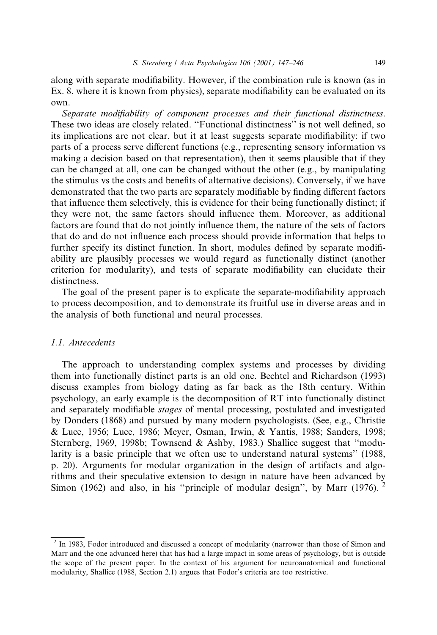along with separate modifiability. However, if the combination rule is known (as in Ex. 8, where it is known from physics), separate modifiability can be evaluated on its own.

Separate modifiability of component processes and their functional distinctness. These two ideas are closely related. "Functional distinctness" is not well defined, so its implications are not clear, but it at least suggests separate modifiability: if two parts of a process serve different functions (e.g., representing sensory information vs making a decision based on that representation), then it seems plausible that if they can be changed at all, one can be changed without the other (e.g., by manipulating the stimulus vs the costs and benefits of alternative decisions). Conversely, if we have demonstrated that the two parts are separately modifiable by finding different factors that influence them selectively, this is evidence for their being functionally distinct; if they were not, the same factors should influence them. Moreover, as additional factors are found that do not jointly influence them, the nature of the sets of factors that do and do not influence each process should provide information that helps to further specify its distinct function. In short, modules defined by separate modifiability are plausibly processes we would regard as functionally distinct (another criterion for modularity), and tests of separate modifiability can elucidate their distinctness.

The goal of the present paper is to explicate the separate-modifiability approach to process decomposition, and to demonstrate its fruitful use in diverse areas and in the analysis of both functional and neural processes.

#### 1.1. Antecedents

The approach to understanding complex systems and processes by dividing them into functionally distinct parts is an old one. Bechtel and Richardson (1993) discuss examples from biology dating as far back as the 18th century. Within psychology, an early example is the decomposition of RT into functionally distinct and separately modifiable *stages* of mental processing, postulated and investigated by Donders (1868) and pursued by many modern psychologists. (See, e.g., Christie & Luce, 1956; Luce, 1986; Meyer, Osman, Irwin, & Yantis, 1988; Sanders, 1998; Sternberg, 1969, 1998b; Townsend & Ashby, 1983.) Shallice suggest that "modularity is a basic principle that we often use to understand natural systems'' (1988, p. 20). Arguments for modular organization in the design of artifacts and algorithms and their speculative extension to design in nature have been advanced by Simon (1962) and also, in his "principle of modular design", by Marr (1976).  $2$ 

<sup>&</sup>lt;sup>2</sup> In 1983, Fodor introduced and discussed a concept of modularity (narrower than those of Simon and Marr and the one advanced here) that has had a large impact in some areas of psychology, but is outside the scope of the present paper. In the context of his argument for neuroanatomical and functional modularity, Shallice (1988, Section 2.1) argues that Fodor's criteria are too restrictive.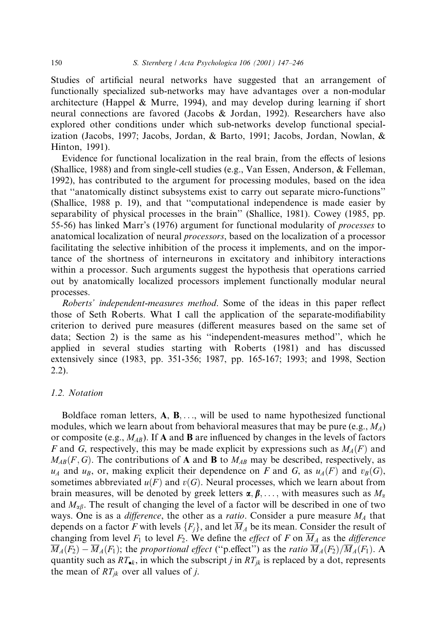Studies of artificial neural networks have suggested that an arrangement of functionally specialized sub-networks may have advantages over a non-modular architecture (Happel & Murre, 1994), and may develop during learning if short neural connections are favored (Jacobs & Jordan, 1992). Researchers have also explored other conditions under which sub-networks develop functional specialization (Jacobs, 1997; Jacobs, Jordan, & Barto, 1991; Jacobs, Jordan, Nowlan, & Hinton, 1991).

Evidence for functional localization in the real brain, from the effects of lesions (Shallice, 1988) and from single-cell studies (e.g., Van Essen, Anderson, & Felleman, 1992), has contributed to the argument for processing modules, based on the idea that ``anatomically distinct subsystems exist to carry out separate micro-functions'' (Shallice, 1988 p. 19), and that "computational independence is made easier by separability of physical processes in the brain'' (Shallice, 1981). Cowey (1985, pp. 55-56) has linked Marr's (1976) argument for functional modularity of processes to anatomical localization of neural processors, based on the localization of a processor facilitating the selective inhibition of the process it implements, and on the importance of the shortness of interneurons in excitatory and inhibitory interactions within a processor. Such arguments suggest the hypothesis that operations carried out by anatomically localized processors implement functionally modular neural processes.

Roberts' independent-measures method. Some of the ideas in this paper reflect those of Seth Roberts. What I call the application of the separate-modifiability criterion to derived pure measures (different measures based on the same set of data; Section 2) is the same as his "independent-measures method", which he applied in several studies starting with Roberts (1981) and has discussed extensively since (1983, pp. 351-356; 1987, pp. 165-167; 1993; and 1998, Section 2.2).

#### 1.2. Notation

Boldface roman letters,  $A, B, \ldots$ , will be used to name hypothesized functional modules, which we learn about from behavioral measures that may be pure (e.g.,  $M_A$ ) or composite (e.g.,  $M_{AB}$ ). If **A** and **B** are influenced by changes in the levels of factors F and G, respectively, this may be made explicit by expressions such as  $M_A(F)$  and  $M_{AB}(F, G)$ . The contributions of **A** and **B** to  $M_{AB}$  may be described, respectively, as  $u_A$  and  $u_B$ , or, making explicit their dependence on F and G, as  $u_A(F)$  and  $v_B(G)$ , sometimes abbreviated  $u(F)$  and  $v(G)$ . Neural processes, which we learn about from brain measures, will be denoted by greek letters  $\alpha, \beta, \ldots$ , with measures such as  $M_{\alpha}$ and  $M_{\alpha\beta}$ . The result of changing the level of a factor will be described in one of two ways. One is as a *difference*, the other as a *ratio*. Consider a pure measure  $M_A$  that depends on a factor F with levels  $\{F_i\}$ , and let  $\overline{M}_A$  be its mean. Consider the result of changing from level  $F_1$  to level  $F_2$ . We define the *effect* of F on  $\overline{M}_A$  as the *difference*  $\overline{M}_A(F_2) - \overline{M}_A(F_1)$ ; the proportional effect ("p.effect") as the ratio  $\overline{M}_A(F_2)/\overline{M}_A(F_1)$ . A quantity such as  $RT_{\bullet k}$ , in which the subscript *j* in  $RT_{ik}$  is replaced by a dot, represents the mean of  $RT_{ik}$  over all values of j.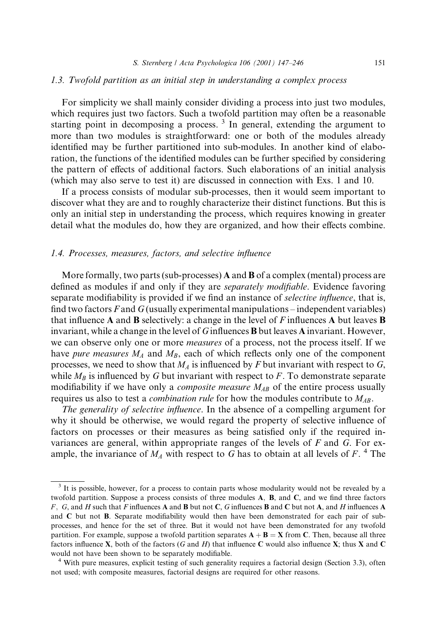#### 1.3. Twofold partition as an initial step in understanding a complex process

For simplicity we shall mainly consider dividing a process into just two modules, which requires just two factors. Such a twofold partition may often be a reasonable starting point in decomposing a process.  $3 \text{ In general, extending the argument to}$ more than two modules is straightforward: one or both of the modules already identified may be further partitioned into sub-modules. In another kind of elaboration, the functions of the identified modules can be further specified by considering the pattern of effects of additional factors. Such elaborations of an initial analysis (which may also serve to test it) are discussed in connection with Exs. 1 and 10.

If a process consists of modular sub-processes, then it would seem important to discover what they are and to roughly characterize their distinct functions. But this is only an initial step in understanding the process, which requires knowing in greater detail what the modules do, how they are organized, and how their effects combine.

#### 1.4. Processes, measures, factors, and selective influence

More formally, two parts (sub-processes)  $\bf{A}$  and  $\bf{B}$  of a complex (mental) process are defined as modules if and only if they are *separately modifiable*. Evidence favoring separate modifiability is provided if we find an instance of *selective influence*, that is, find two factors F and G (usually experimental manipulations – independent variables) that influence **A** and **B** selectively: a change in the level of F influences **A** but leaves **B** invariant, while a change in the level of  $G$  influences **B** but leaves **A** invariant. However, we can observe only one or more *measures* of a process, not the process itself. If we have pure measures  $M_A$  and  $M_B$ , each of which reflects only one of the component processes, we need to show that  $M_A$  is influenced by F but invariant with respect to G, while  $M_B$  is influenced by G but invariant with respect to F. To demonstrate separate modifiability if we have only a *composite measure*  $M_{AB}$  of the entire process usually requires us also to test a *combination rule* for how the modules contribute to  $M_{AB}$ .

The generality of selective influence. In the absence of a compelling argument for why it should be otherwise, we would regard the property of selective influence of factors on processes or their measures as being satisfied only if the required invariances are general, within appropriate ranges of the levels of  $F$  and  $G$ . For example, the invariance of  $M_A$  with respect to G has to obtain at all levels of F.<sup>4</sup> The

<sup>&</sup>lt;sup>3</sup> It is possible, however, for a process to contain parts whose modularity would not be revealed by a twofold partition. Suppose a process consists of three modules  $A$ ,  $B$ , and  $C$ , and we find three factors F, G, and H such that F influences A and B but not C, G influences B and C but not A, and H influences A and C but not **B**. Separate modifiability would then have been demonstrated for each pair of subprocesses, and hence for the set of three. But it would not have been demonstrated for any twofold partition. For example, suppose a twofold partition separates  $A + B = X$  from C. Then, because all three factors influence X, both of the factors (G and H) that influence C would also influence X; thus X and C would not have been shown to be separately modifiable.

<sup>4</sup> With pure measures, explicit testing of such generality requires a factorial design (Section 3.3), often not used; with composite measures, factorial designs are required for other reasons.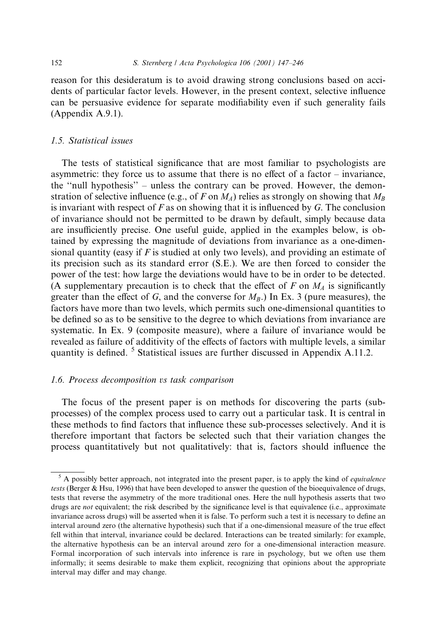reason for this desideratum is to avoid drawing strong conclusions based on accidents of particular factor levels. However, in the present context, selective influence can be persuasive evidence for separate modifiability even if such generality fails (Appendix A.9.1).

#### 1.5. Statistical issues

The tests of statistical significance that are most familiar to psychologists are asymmetric: they force us to assume that there is no effect of a factor  $-\frac{1}{2}$  invariance, the  $\lq$ "null hypothesis"  $\lq$  unless the contrary can be proved. However, the demonstration of selective influence (e.g., of F on  $M_A$ ) relies as strongly on showing that  $M_B$ is invariant with respect of  $F$  as on showing that it is influenced by  $G$ . The conclusion of invariance should not be permitted to be drawn by default, simply because data are insufficiently precise. One useful guide, applied in the examples below, is obtained by expressing the magnitude of deviations from invariance as a one-dimensional quantity (easy if  $F$  is studied at only two levels), and providing an estimate of its precision such as its standard error (S.E.). We are then forced to consider the power of the test: how large the deviations would have to be in order to be detected. (A supplementary precaution is to check that the effect of  $F$  on  $M_A$  is significantly greater than the effect of G, and the converse for  $M_B$ .) In Ex. 3 (pure measures), the factors have more than two levels, which permits such one-dimensional quantities to be defined so as to be sensitive to the degree to which deviations from invariance are systematic. In Ex. 9 (composite measure), where a failure of invariance would be revealed as failure of additivity of the effects of factors with multiple levels, a similar quantity is defined. <sup>5</sup> Statistical issues are further discussed in Appendix A.11.2.

#### 1.6. Process decomposition vs task comparison

The focus of the present paper is on methods for discovering the parts (subprocesses) of the complex process used to carry out a particular task. It is central in these methods to find factors that influence these sub-processes selectively. And it is therefore important that factors be selected such that their variation changes the process quantitatively but not qualitatively: that is, factors should influence the

 $5$  A possibly better approach, not integrated into the present paper, is to apply the kind of *equivalence* tests (Berger & Hsu, 1996) that have been developed to answer the question of the bioequivalence of drugs, tests that reverse the asymmetry of the more traditional ones. Here the null hypothesis asserts that two drugs are not equivalent; the risk described by the significance level is that equivalence (i.e., approximate invariance across drugs) will be asserted when it is false. To perform such a test it is necessary to define an interval around zero (the alternative hypothesis) such that if a one-dimensional measure of the true effect fell within that interval, invariance could be declared. Interactions can be treated similarly: for example, the alternative hypothesis can be an interval around zero for a one-dimensional interaction measure. Formal incorporation of such intervals into inference is rare in psychology, but we often use them informally; it seems desirable to make them explicit, recognizing that opinions about the appropriate interval may differ and may change.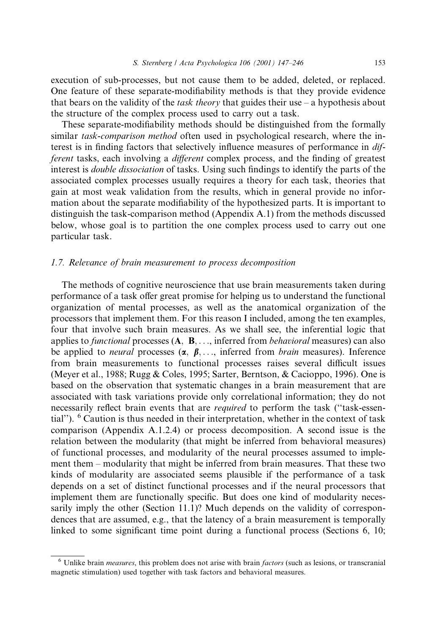execution of sub-processes, but not cause them to be added, deleted, or replaced. One feature of these separate-modifiability methods is that they provide evidence that bears on the validity of the *task theory* that guides their use  $-\alpha$  hypothesis about the structure of the complex process used to carry out a task.

These separate-modifiability methods should be distinguished from the formally similar task-comparison method often used in psychological research, where the interest is in finding factors that selectively influence measures of performance in different tasks, each involving a different complex process, and the finding of greatest interest is *double dissociation* of tasks. Using such findings to identify the parts of the associated complex processes usually requires a theory for each task, theories that gain at most weak validation from the results, which in general provide no information about the separate modifiability of the hypothesized parts. It is important to distinguish the task-comparison method (Appendix A.1) from the methods discussed below, whose goal is to partition the one complex process used to carry out one particular task.

#### 1.7. Relevance of brain measurement to process decomposition

The methods of cognitive neuroscience that use brain measurements taken during performance of a task offer great promise for helping us to understand the functional organization of mental processes, as well as the anatomical organization of the processors that implement them. For this reason I included, among the ten examples, four that involve such brain measures. As we shall see, the inferential logic that applies to *functional* processes  $(A, B, \ldots)$  inferred from *behavioral* measures) can also be applied to *neural* processes  $(\alpha, \beta, \ldots)$  inferred from *brain* measures). Inference from brain measurements to functional processes raises several difficult issues (Meyer et al., 1988; Rugg  $& Coles$ , 1995; Sarter, Berntson,  $& Cacioppo$ , 1996). One is based on the observation that systematic changes in a brain measurement that are associated with task variations provide only correlational information; they do not necessarily reflect brain events that are *required* to perform the task ("task-essential''). <sup>6</sup> Caution is thus needed in their interpretation, whether in the context of task comparison (Appendix A.1.2.4) or process decomposition. A second issue is the relation between the modularity (that might be inferred from behavioral measures) of functional processes, and modularity of the neural processes assumed to implement them – modularity that might be inferred from brain measures. That these two kinds of modularity are associated seems plausible if the performance of a task depends on a set of distinct functional processes and if the neural processors that implement them are functionally specific. But does one kind of modularity necessarily imply the other (Section 11.1)? Much depends on the validity of correspondences that are assumed, e.g., that the latency of a brain measurement is temporally linked to some significant time point during a functional process (Sections  $6$ ,  $10$ ;

 $6$  Unlike brain *measures*, this problem does not arise with brain *factors* (such as lesions, or transcranial magnetic stimulation) used together with task factors and behavioral measures.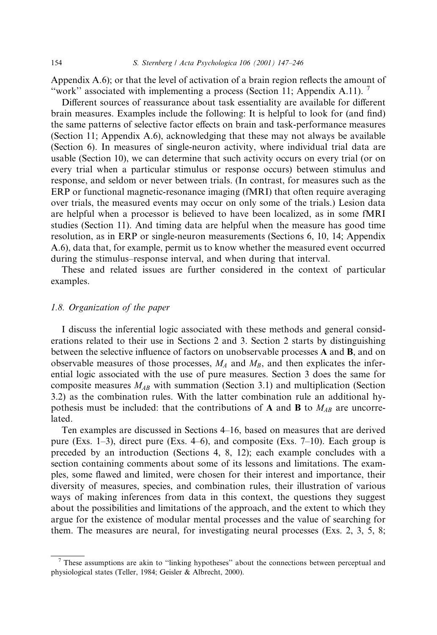Appendix A.6); or that the level of activation of a brain region reflects the amount of "work" associated with implementing a process (Section 11; Appendix A.11).  $^7$ 

Different sources of reassurance about task essentiality are available for different brain measures. Examples include the following: It is helpful to look for (and find) the same patterns of selective factor effects on brain and task-performance measures (Section 11; Appendix A.6), acknowledging that these may not always be available (Section 6). In measures of single-neuron activity, where individual trial data are usable (Section 10), we can determine that such activity occurs on every trial (or on every trial when a particular stimulus or response occurs) between stimulus and response, and seldom or never between trials. (In contrast, for measures such as the ERP or functional magnetic-resonance imaging (fMRI) that often require averaging over trials, the measured events may occur on only some of the trials.) Lesion data are helpful when a processor is believed to have been localized, as in some fMRI studies (Section 11). And timing data are helpful when the measure has good time resolution, as in ERP or single-neuron measurements (Sections 6, 10, 14; Appendix A.6), data that, for example, permit us to know whether the measured event occurred during the stimulus–response interval, and when during that interval.

These and related issues are further considered in the context of particular examples.

#### 1.8. Organization of the paper

I discuss the inferential logic associated with these methods and general considerations related to their use in Sections 2 and 3. Section 2 starts by distinguishing between the selective influence of factors on unobservable processes  $A$  and  $B$ , and on observable measures of those processes,  $M_A$  and  $M_B$ , and then explicates the inferential logic associated with the use of pure measures. Section 3 does the same for composite measures  $M_{AB}$  with summation (Section 3.1) and multiplication (Section 3.2) as the combination rules. With the latter combination rule an additional hypothesis must be included: that the contributions of **A** and **B** to  $M_{AB}$  are uncorrelated.

Ten examples are discussed in Sections 4–16, based on measures that are derived pure (Exs.  $1-3$ ), direct pure (Exs.  $4-6$ ), and composite (Exs.  $7-10$ ). Each group is preceded by an introduction (Sections 4, 8, 12); each example concludes with a section containing comments about some of its lessons and limitations. The examples, some flawed and limited, were chosen for their interest and importance, their diversity of measures, species, and combination rules, their illustration of various ways of making inferences from data in this context, the questions they suggest about the possibilities and limitations of the approach, and the extent to which they argue for the existence of modular mental processes and the value of searching for them. The measures are neural, for investigating neural processes (Exs. 2, 3, 5, 8;

 $<sup>7</sup>$  These assumptions are akin to "linking hypotheses" about the connections between perceptual and</sup> physiological states (Teller, 1984; Geisler & Albrecht, 2000).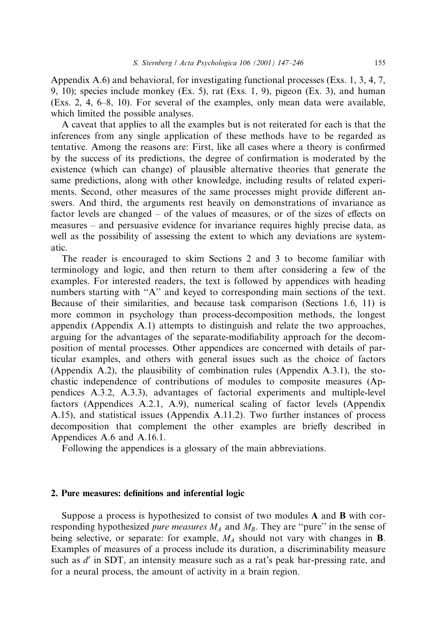Appendix A.6) and behavioral, for investigating functional processes (Exs. 1, 3, 4, 7, 9, 10); species include monkey (Ex. 5), rat (Exs. 1, 9), pigeon (Ex. 3), and human (Exs. 2, 4, 6±8, 10). For several of the examples, only mean data were available, which limited the possible analyses.

A caveat that applies to all the examples but is not reiterated for each is that the inferences from any single application of these methods have to be regarded as tentative. Among the reasons are: First, like all cases where a theory is confirmed by the success of its predictions, the degree of confirmation is moderated by the existence (which can change) of plausible alternative theories that generate the same predictions, along with other knowledge, including results of related experiments. Second, other measures of the same processes might provide different answers. And third, the arguments rest heavily on demonstrations of invariance as factor levels are changed  $-$  of the values of measures, or of the sizes of effects on measures – and persuasive evidence for invariance requires highly precise data, as well as the possibility of assessing the extent to which any deviations are systematic.

The reader is encouraged to skim Sections 2 and 3 to become familiar with terminology and logic, and then return to them after considering a few of the examples. For interested readers, the text is followed by appendices with heading numbers starting with "A" and keyed to corresponding main sections of the text. Because of their similarities, and because task comparison (Sections 1.6, 11) is more common in psychology than process-decomposition methods, the longest appendix (Appendix A.1) attempts to distinguish and relate the two approaches, arguing for the advantages of the separate-modifiability approach for the decomposition of mental processes. Other appendices are concerned with details of particular examples, and others with general issues such as the choice of factors (Appendix A.2), the plausibility of combination rules (Appendix A.3.1), the stochastic independence of contributions of modules to composite measures (Appendices A.3.2, A.3.3), advantages of factorial experiments and multiple-level factors (Appendices A.2.1, A.9), numerical scaling of factor levels (Appendix A.15), and statistical issues (Appendix A.11.2). Two further instances of process decomposition that complement the other examples are briefly described in Appendices A.6 and A.16.1.

Following the appendices is a glossary of the main abbreviations.

#### 2. Pure measures: definitions and inferential logic

Suppose a process is hypothesized to consist of two modules A and B with corresponding hypothesized *pure measures*  $M_A$  and  $M_B$ . They are "pure" in the sense of being selective, or separate: for example,  $M_A$  should not vary with changes in **B**. Examples of measures of a process include its duration, a discriminability measure such as  $d'$  in SDT, an intensity measure such as a rat's peak bar-pressing rate, and for a neural process, the amount of activity in a brain region.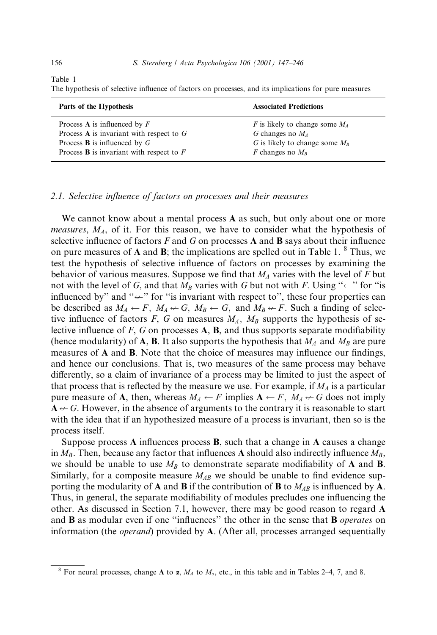### Table 1

| The hypothesis of selective influence of factors on processes, and its implications for pure measures |
|-------------------------------------------------------------------------------------------------------|
|-------------------------------------------------------------------------------------------------------|

| Parts of the Hypothesis                                | <b>Associated Predictions</b>    |  |  |
|--------------------------------------------------------|----------------------------------|--|--|
| Process A is influenced by $F$                         | F is likely to change some $M_A$ |  |  |
| Process A is invariant with respect to $G$             | G changes no $M_A$               |  |  |
| Process <b>B</b> is influenced by $G$                  | G is likely to change some $M_B$ |  |  |
| Process $\bf{B}$ is invariant with respect to $\bf{F}$ | F changes no $M_R$               |  |  |

#### 2.1. Selective influence of factors on processes and their measures

We cannot know about a mental process A as such, but only about one or more *measures,*  $M_A$ , of it. For this reason, we have to consider what the hypothesis of selective influence of factors  $F$  and  $G$  on processes **A** and **B** says about their influence on pure measures of **A** and **B**; the implications are spelled out in Table 1.  $8$  Thus, we test the hypothesis of selective influence of factors on processes by examining the behavior of various measures. Suppose we find that  $M_A$  varies with the level of F but not with the level of G, and that  $M_B$  varies with G but not with F. Using " $\leftarrow$ " for "is influenced by" and " $\leftarrow$ " for "is invariant with respect to", these four properties can be described as  $M_A \leftarrow F$ ,  $M_A \leftarrow G$ ,  $M_B \leftarrow G$ , and  $M_B \leftarrow F$ . Such a finding of selective influence of factors F, G on measures  $M_A$ ,  $M_B$  supports the hypothesis of selective influence of F, G on processes  $A$ ,  $B$ , and thus supports separate modifiability (hence modularity) of **A, B**. It also supports the hypothesis that  $M_A$  and  $M_B$  are pure measures of  $A$  and  $B$ . Note that the choice of measures may influence our findings, and hence our conclusions. That is, two measures of the same process may behave differently, so a claim of invariance of a process may be limited to just the aspect of that process that is reflected by the measure we use. For example, if  $M_A$  is a particular pure measure of A, then, whereas  $M_A \leftarrow F$  implies  $A \leftarrow F$ ,  $M_A \leftarrow G$  does not imply  $A \leftarrow G$ . However, in the absence of arguments to the contrary it is reasonable to start with the idea that if an hypothesized measure of a process is invariant, then so is the process itself.

Suppose process A influences process  $\bf{B}$ , such that a change in  $\bf{A}$  causes a change in  $M_B$ . Then, because any factor that influences **A** should also indirectly influence  $M_B$ , we should be unable to use  $M_B$  to demonstrate separate modifiability of **A** and **B**. Similarly, for a composite measure  $M_{AB}$  we should be unable to find evidence supporting the modularity of **A** and **B** if the contribution of **B** to  $M_{AB}$  is influenced by **A**. Thus, in general, the separate modifiability of modules precludes one influencing the other. As discussed in Section 7.1, however, there may be good reason to regard A and  $B$  as modular even if one "influences" the other in the sense that  $B$  operates on information (the operand) provided by A. (After all, processes arranged sequentially

<sup>&</sup>lt;sup>8</sup> For neural processes, change A to  $\alpha$ ,  $M_A$  to  $M_\alpha$ , etc., in this table and in Tables 2-4, 7, and 8.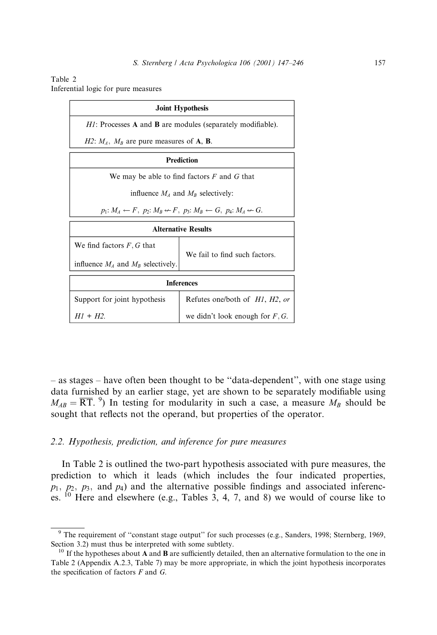#### Table 2 Inferential logic for pure measures

| <b>Joint Hypothesis</b>                                                                                 |  |  |
|---------------------------------------------------------------------------------------------------------|--|--|
| $H1$ : Processes A and B are modules (separately modifiable).                                           |  |  |
| H2: $M_A$ , $M_B$ are pure measures of <b>A</b> , <b>B</b> .                                            |  |  |
| Prediction                                                                                              |  |  |
| We may be able to find factors $F$ and $G$ that                                                         |  |  |
| influence $M_A$ and $M_B$ selectively:                                                                  |  |  |
| $p_1: M_A \leftarrow F$ , $p_2: M_B \leftarrow F$ , $p_3: M_B \leftarrow G$ , $p_4: M_A \leftarrow G$ . |  |  |
| <b>Alternative Results</b>                                                                              |  |  |
| We find factors $F, G$ that                                                                             |  |  |
| We fail to find such factors.<br>influence $M_A$ and $M_B$ selectively.                                 |  |  |
| <b>Inferences</b>                                                                                       |  |  |
| Support for joint hypothesis<br>Refutes one/both of <i>H1</i> , <i>H2</i> , or                          |  |  |
| $HI + H2$<br>we didn't look enough for $F, G$ .                                                         |  |  |

 $-$  as stages – have often been thought to be "data-dependent", with one stage using data furnished by an earlier stage, yet are shown to be separately modifiable using  $M_{AB} = \overline{RT}$ . <sup>9</sup>) In testing for modularity in such a case, a measure  $M_B$  should be sought that reflects not the operand, but properties of the operator.

#### 2.2. Hypothesis, prediction, and inference for pure measures

In Table 2 is outlined the two-part hypothesis associated with pure measures, the prediction to which it leads (which includes the four indicated properties,  $p_1$ ,  $p_2$ ,  $p_3$ , and  $p_4$ ) and the alternative possible findings and associated inferences.  $^{10}$  Here and elsewhere (e.g., Tables 3, 4, 7, and 8) we would of course like to

<sup>&</sup>lt;sup>9</sup> The requirement of "constant stage output" for such processes (e.g., Sanders, 1998; Sternberg, 1969, Section 3.2) must thus be interpreted with some subtlety.<br><sup>10</sup> If the hypotheses about **A** and **B** are sufficiently detailed, then an alternative formulation to the one in

Table 2 (Appendix A.2.3, Table 7) may be more appropriate, in which the joint hypothesis incorporates the specification of factors  $F$  and  $G$ .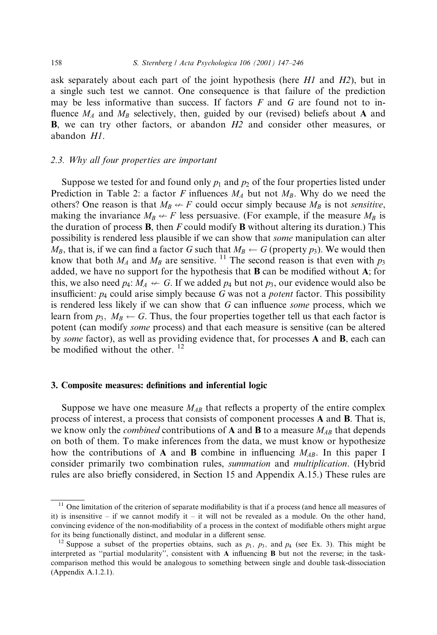ask separately about each part of the joint hypothesis (here  $H1$  and  $H2$ ), but in a single such test we cannot. One consequence is that failure of the prediction may be less informative than success. If factors  $F$  and  $G$  are found not to influence  $M_A$  and  $M_B$  selectively, then, guided by our (revised) beliefs about A and **B**, we can try other factors, or abandon  $H2$  and consider other measures, or abandon H1.

#### 2.3. Why all four properties are important

Suppose we tested for and found only  $p_1$  and  $p_2$  of the four properties listed under Prediction in Table 2: a factor F influences  $M_A$  but not  $M_B$ . Why do we need the others? One reason is that  $M_B \nleftarrow F$  could occur simply because  $M_B$  is not *sensitive*, making the invariance  $M_B \nleftarrow F$  less persuasive. (For example, if the measure  $M_B$  is the duration of process  $\bf{B}$ , then F could modify  $\bf{B}$  without altering its duration.) This possibility is rendered less plausible if we can show that some manipulation can alter  $M_B$ , that is, if we can find a factor G such that  $M_B \leftarrow G$  (property  $p_3$ ). We would then know that both  $M_A$  and  $M_B$  are sensitive. <sup>11</sup> The second reason is that even with  $p_3$ added, we have no support for the hypothesis that  $\bf{B}$  can be modified without  $\bf{A}$ ; for this, we also need  $p_4: M_A \nleftrightarrow G$ . If we added  $p_4$  but not  $p_3$ , our evidence would also be insufficient:  $p_4$  could arise simply because G was not a *potent* factor. This possibility is rendered less likely if we can show that  $G$  can influence *some* process, which we learn from  $p_3$ ,  $M_B \leftarrow G$ . Thus, the four properties together tell us that each factor is potent (can modify some process) and that each measure is sensitive (can be altered by some factor), as well as providing evidence that, for processes A and B, each can be modified without the other.<sup>12</sup>

#### 3. Composite measures: definitions and inferential logic

Suppose we have one measure  $M_{AB}$  that reflects a property of the entire complex process of interest, a process that consists of component processes A and B. That is, we know only the *combined* contributions of **A** and **B** to a measure  $M_{AB}$  that depends on both of them. To make inferences from the data, we must know or hypothesize how the contributions of A and B combine in influencing  $M_{AB}$ . In this paper I consider primarily two combination rules, *summation* and *multiplication*. (Hybrid rules are also briefly considered, in Section 15 and Appendix A.15.) These rules are

 $11$  One limitation of the criterion of separate modifiability is that if a process (and hence all measures of it) is insensitive  $-$  if we cannot modify it  $-$  it will not be revealed as a module. On the other hand, convincing evidence of the non-modifiability of a process in the context of modifiable others might argue for its being functionally distinct, and modular in a different sense.<br><sup>12</sup> Suppose a subset of the properties obtains, such as  $p_1$ ,  $p_3$ , and  $p_4$  (see Ex. 3). This might be

interpreted as "partial modularity", consistent with  $A$  influencing  $B$  but not the reverse; in the taskcomparison method this would be analogous to something between single and double task-dissociation (Appendix A.1.2.1).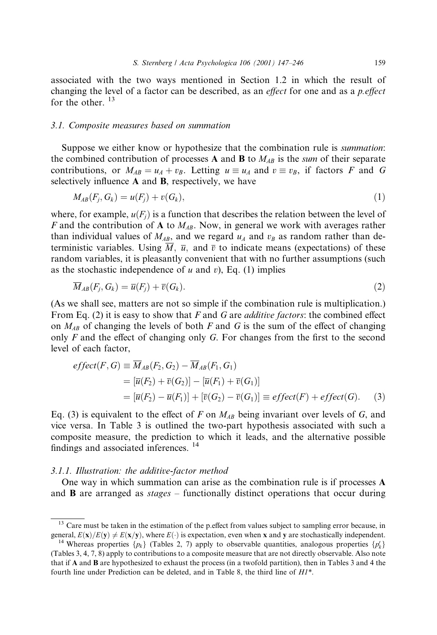associated with the two ways mentioned in Section 1.2 in which the result of changing the level of a factor can be described, as an *effect* for one and as a *p. effect* for the other.  $13$ 

#### 3.1. Composite measures based on summation

Suppose we either know or hypothesize that the combination rule is summation: the combined contribution of processes **A** and **B** to  $M_{AB}$  is the *sum* of their separate contributions, or  $M_{AB} = u_A + v_B$ . Letting  $u \equiv u_A$  and  $v \equiv v_B$ , if factors F and G selectively influence  $A$  and  $B$ , respectively, we have

$$
M_{AB}(F_j, G_k) = u(F_j) + v(G_k), \tag{1}
$$

where, for example,  $u(F_i)$  is a function that describes the relation between the level of F and the contribution of A to  $M_{AB}$ . Now, in general we work with averages rather than individual values of  $M_{AB}$ , and we regard  $u_A$  and  $v_B$  as random rather than deterministic variables. Using  $\overline{M}$ ,  $\overline{u}$ , and  $\overline{v}$  to indicate means (expectations) of these random variables, it is pleasantly convenient that with no further assumptions (such as the stochastic independence of u and v), Eq.  $(1)$  implies

$$
\overline{M}_{AB}(F_j, G_k) = \overline{u}(F_j) + \overline{v}(G_k). \tag{2}
$$

(As we shall see, matters are not so simple if the combination rule is multiplication.) From Eq. (2) it is easy to show that F and G are *additive factors*: the combined effect on  $M_{AB}$  of changing the levels of both F and G is the sum of the effect of changing only  $F$  and the effect of changing only  $G$ . For changes from the first to the second level of each factor,

$$
\begin{aligned} \textit{effect}(F, G) &\equiv \overline{M}_{AB}(F_2, G_2) - \overline{M}_{AB}(F_1, G_1) \\ &= [\overline{u}(F_2) + \overline{v}(G_2)] - [\overline{u}(F_1) + \overline{v}(G_1)] \\ &= [\overline{u}(F_2) - \overline{u}(F_1)] + [\overline{v}(G_2) - \overline{v}(G_1)] \equiv \textit{effect}(F) + \textit{effect}(G). \end{aligned} \tag{3}
$$

Eq. (3) is equivalent to the effect of F on  $M_{AB}$  being invariant over levels of G, and vice versa. In Table 3 is outlined the two-part hypothesis associated with such a composite measure, the prediction to which it leads, and the alternative possible findings and associated inferences.  $14$ 

#### 3.1.1. Illustration: the additive-factor method

One way in which summation can arise as the combination rule is if processes A and **B** are arranged as *stages*  $-$  functionally distinct operations that occur during

 $13$  Care must be taken in the estimation of the p.effect from values subject to sampling error because, in

general,  $E(x)/E(y) \neq E(x/y)$ , where  $E(\cdot)$  is expectation, even when x and y are stochastically independent. <sup>14</sup> Whereas properties  $\{p_k\}$  (Tables 2, 7) apply to observable quantities, analogous properties  $\{p_k'\}$ (Tables 3, 4, 7, 8) apply to contributions to a composite measure that are not directly observable. Also note that if A and B are hypothesized to exhaust the process (in a twofold partition), then in Tables 3 and 4 the fourth line under Prediction can be deleted, and in Table 8, the third line of  $H1^*$ .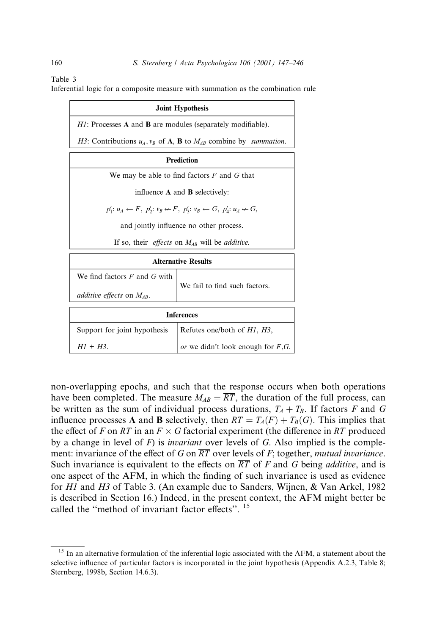Table 3

Inferential logic for a composite measure with summation as the combination rule

| <b>Joint Hypothesis</b>                                                                                     |                                      |  |  |
|-------------------------------------------------------------------------------------------------------------|--------------------------------------|--|--|
| $H1$ : Processes A and B are modules (separately modifiable).                                               |                                      |  |  |
| <i>H3</i> : Contributions $u_A$ , $v_B$ of <b>A</b> , <b>B</b> to $M_{AB}$ combine by <i>summation</i> .    |                                      |  |  |
| <b>Prediction</b>                                                                                           |                                      |  |  |
| We may be able to find factors $F$ and $G$ that                                                             |                                      |  |  |
| influence $A$ and $B$ selectively:                                                                          |                                      |  |  |
| $p'_1: u_A \leftarrow F$ , $p'_2: v_B \leftarrow F$ , $p'_3: v_B \leftarrow G$ , $p'_4: u_A \leftarrow G$ , |                                      |  |  |
| and jointly influence no other process.                                                                     |                                      |  |  |
| If so, their <i>effects</i> on $M_{AB}$ will be <i>additive</i> .                                           |                                      |  |  |
|                                                                                                             | <b>Alternative Results</b>           |  |  |
| We find factors $F$ and $G$ with<br>We fail to find such factors.<br><i>additive effects</i> on $M_{AB}$ .  |                                      |  |  |
| <b>Inferences</b>                                                                                           |                                      |  |  |
| Support for joint hypothesis                                                                                | Refutes one/both of HI, H3,          |  |  |
| $HI + H3.$                                                                                                  | or we didn't look enough for $F,G$ . |  |  |

non-overlapping epochs, and such that the response occurs when both operations have been completed. The measure  $M_{AB} = \overline{RT}$ , the duration of the full process, can be written as the sum of individual process durations,  $T_A + T_B$ . If factors F and G influence processes **A** and **B** selectively, then  $RT = T_A(F) + T_B(G)$ . This implies that the effect of F on  $\overline{RT}$  in an  $F \times G$  factorial experiment (the difference in  $\overline{RT}$  produced by a change in level of  $F$ ) is *invariant* over levels of  $G$ . Also implied is the complement: invariance of the effect of G on  $\overline{RT}$  over levels of F; together, *mutual invariance*. Such invariance is equivalent to the effects on  $\overline{RT}$  of F and G being *additive*, and is one aspect of the AFM, in which the finding of such invariance is used as evidence for H1 and H3 of Table 3. (An example due to Sanders, Wijnen, & Van Arkel, 1982 is described in Section 16.) Indeed, in the present context, the AFM might better be called the "method of invariant factor effects".  $15$ 

<sup>&</sup>lt;sup>15</sup> In an alternative formulation of the inferential logic associated with the AFM, a statement about the selective influence of particular factors is incorporated in the joint hypothesis (Appendix A.2.3, Table 8; Sternberg, 1998b, Section 14.6.3).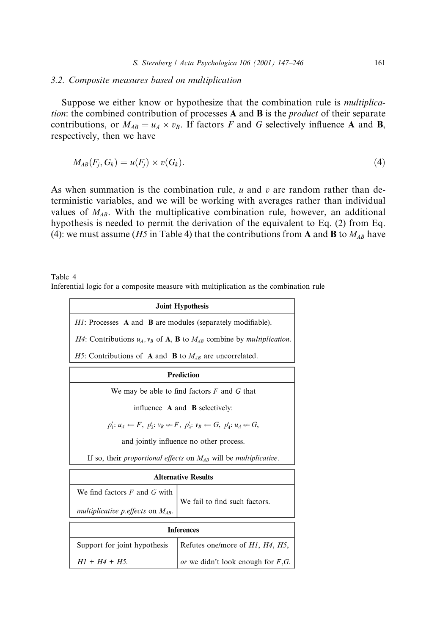#### 3.2. Composite measures based on multiplication

Suppose we either know or hypothesize that the combination rule is *multiplica*tion: the combined contribution of processes A and B is the product of their separate contributions, or  $M_{AB} = u_A \times v_B$ . If factors F and G selectively influence **A** and **B**, respectively, then we have

$$
M_{AB}(F_j, G_k) = u(F_j) \times v(G_k). \tag{4}
$$

As when summation is the combination rule, u and v are random rather than deterministic variables, and we will be working with averages rather than individual values of  $M_{AB}$ . With the multiplicative combination rule, however, an additional hypothesis is needed to permit the derivation of the equivalent to Eq. (2) from Eq. (4): we must assume (*H5* in Table 4) that the contributions from **A** and **B** to  $M_{AB}$  have

Table 4

Inferential logic for a composite measure with multiplication as the combination rule

| <b>Joint Hypothesis</b>                                                                                       |                                 |  |  |
|---------------------------------------------------------------------------------------------------------------|---------------------------------|--|--|
| $H1$ : Processes A and B are modules (separately modifiable).                                                 |                                 |  |  |
| <i>H4</i> : Contributions $u_A$ , $v_B$ of <b>A</b> , <b>B</b> to $M_{AB}$ combine by <i>multiplication</i> . |                                 |  |  |
| <i>H5</i> : Contributions of <b>A</b> and <b>B</b> to $M_{AB}$ are uncorrelated.                              |                                 |  |  |
| <b>Prediction</b>                                                                                             |                                 |  |  |
| We may be able to find factors $F$ and $G$ that                                                               |                                 |  |  |
| influence $A$ and $B$ selectively:                                                                            |                                 |  |  |
| $p'_1: u_A \leftarrow F$ , $p'_2: v_B \leftarrow F$ , $p'_3: v_B \leftarrow G$ , $p'_4: u_A \leftarrow G$ ,   |                                 |  |  |
| and jointly influence no other process.                                                                       |                                 |  |  |
| If so, their <i>proportional effects</i> on $M_{AB}$ will be <i>multiplicative</i> .                          |                                 |  |  |
| <b>Alternative Results</b>                                                                                    |                                 |  |  |
| We find factors $F$ and $G$ with                                                                              |                                 |  |  |
| We fail to find such factors.<br>multiplicative p.effects on $M_{AB}$ .                                       |                                 |  |  |
| <b>Inferences</b>                                                                                             |                                 |  |  |
| Support for joint hypothesis                                                                                  | Refutes one/more of H1, H4, H5, |  |  |
| or we didn't look enough for $F,G$ .<br>$HI + H4 + H5$ .                                                      |                                 |  |  |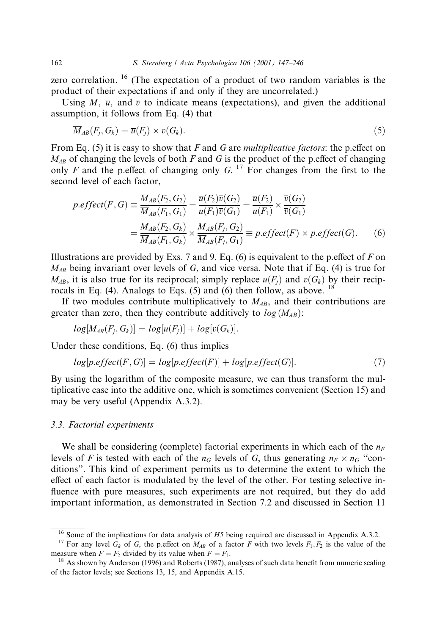zero correlation.  $16$  (The expectation of a product of two random variables is the product of their expectations if and only if they are uncorrelated.)

Using  $\overline{M}$ ,  $\overline{u}$ , and  $\overline{v}$  to indicate means (expectations), and given the additional assumption, it follows from Eq. (4) that

$$
\overline{M}_{AB}(F_j, G_k) = \overline{u}(F_j) \times \overline{v}(G_k). \tag{5}
$$

From Eq.  $(5)$  it is easy to show that F and G are *multiplicative factors*: the p.effect on  $M_{AB}$  of changing the levels of both F and G is the product of the p.effect of changing only F and the p.effect of changing only G.  $^{17}$  For changes from the first to the second level of each factor,

$$
p\text{.effect}(F,G) \equiv \frac{\overline{M}_{AB}(F_2, G_2)}{\overline{M}_{AB}(F_1, G_1)} = \frac{\overline{u}(F_2)\overline{v}(G_2)}{\overline{u}(F_1)\overline{v}(G_1)} = \frac{\overline{u}(F_2)}{\overline{u}(F_1)} \times \frac{\overline{v}(G_2)}{\overline{v}(G_1)}
$$

$$
= \frac{\overline{M}_{AB}(F_2, G_k)}{\overline{M}_{AB}(F_1, G_k)} \times \frac{\overline{M}_{AB}(F_j, G_2)}{\overline{M}_{AB}(F_j, G_1)} \equiv p\text{.effect}(F) \times p\text{.effect}(G). \tag{6}
$$

Illustrations are provided by Exs. 7 and 9. Eq.  $(6)$  is equivalent to the p.effect of F on  $M_{AB}$  being invariant over levels of G, and vice versa. Note that if Eq. (4) is true for  $M_{AB}$ , it is also true for its reciprocal; simply replace  $u(F_i)$  and  $v(G_k)$  by their reciprocals in Eq. (4). Analogs to Eqs. (5) and (6) then follow, as above.  $^{18}$ 

If two modules contribute multiplicatively to  $M_{AB}$ , and their contributions are greater than zero, then they contribute additively to  $log(M_{AB})$ :

$$
log[M_{AB}(F_j,G_k)] = log[u(F_j)] + log[v(G_k)].
$$

Under these conditions, Eq. (6) thus implies

$$
log[p.effect(F, G)] = log[p.effect(F)] + log[p.effect(G)].
$$
\n(7)

By using the logarithm of the composite measure, we can thus transform the multiplicative case into the additive one, which is sometimes convenient (Section 15) and may be very useful (Appendix A.3.2).

#### 3.3. Factorial experiments

We shall be considering (complete) factorial experiments in which each of the  $n_F$ levels of F is tested with each of the  $n_G$  levels of G, thus generating  $n_F \times n_G$  "conditions''. This kind of experiment permits us to determine the extent to which the effect of each factor is modulated by the level of the other. For testing selective influence with pure measures, such experiments are not required, but they do add important information, as demonstrated in Section 7.2 and discussed in Section 11

<sup>&</sup>lt;sup>16</sup> Some of the implications for data analysis of H5 being required are discussed in Appendix A.3.2. <sup>17</sup> For any level G<sub>k</sub> of G, the p.effect on  $M_{AB}$  of a factor F with two levels  $F_1, F_2$  is the value of the measur

<sup>&</sup>lt;sup>18</sup> As shown by Anderson (1996) and Roberts (1987), analyses of such data benefit from numeric scaling of the factor levels; see Sections 13, 15, and Appendix A.15.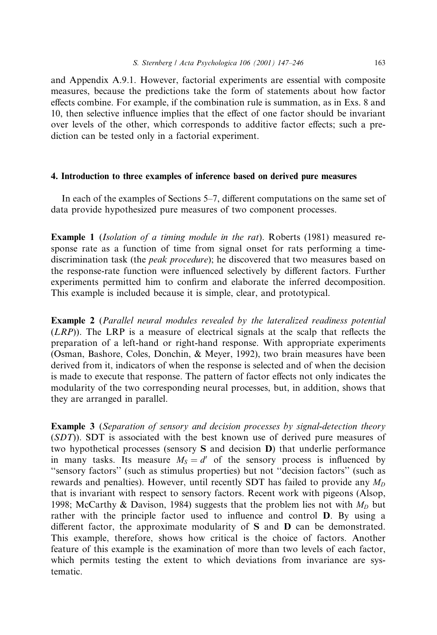and Appendix A.9.1. However, factorial experiments are essential with composite measures, because the predictions take the form of statements about how factor effects combine. For example, if the combination rule is summation, as in Exs. 8 and 10, then selective influence implies that the effect of one factor should be invariant over levels of the other, which corresponds to additive factor effects; such a prediction can be tested only in a factorial experiment.

#### 4. Introduction to three examples of inference based on derived pure measures

In each of the examples of Sections  $5-7$ , different computations on the same set of data provide hypothesized pure measures of two component processes.

**Example 1** (Isolation of a timing module in the rat). Roberts (1981) measured response rate as a function of time from signal onset for rats performing a timediscrimination task (the *peak procedure*); he discovered that two measures based on the response-rate function were influenced selectively by different factors. Further experiments permitted him to confirm and elaborate the inferred decomposition. This example is included because it is simple, clear, and prototypical.

**Example 2** (Parallel neural modules revealed by the lateralized readiness potential  $(LRP)$ ). The LRP is a measure of electrical signals at the scalp that reflects the preparation of a left-hand or right-hand response. With appropriate experiments (Osman, Bashore, Coles, Donchin, & Meyer, 1992), two brain measures have been derived from it, indicators of when the response is selected and of when the decision is made to execute that response. The pattern of factor effects not only indicates the modularity of the two corresponding neural processes, but, in addition, shows that they are arranged in parallel.

**Example 3** (Separation of sensory and decision processes by signal-detection theory (SDT)). SDT is associated with the best known use of derived pure measures of two hypothetical processes (sensory S and decision D) that underlie performance in many tasks. Its measure  $M_s = d^{\prime}$  of the sensory process is influenced by ``sensory factors'' (such as stimulus properties) but not ``decision factors'' (such as rewards and penalties). However, until recently SDT has failed to provide any  $M_D$ that is invariant with respect to sensory factors. Recent work with pigeons (Alsop, 1998; McCarthy & Davison, 1984) suggests that the problem lies not with  $M_D$  but rather with the principle factor used to influence and control  $D$ . By using a different factor, the approximate modularity of  $S$  and  $D$  can be demonstrated. This example, therefore, shows how critical is the choice of factors. Another feature of this example is the examination of more than two levels of each factor, which permits testing the extent to which deviations from invariance are systematic.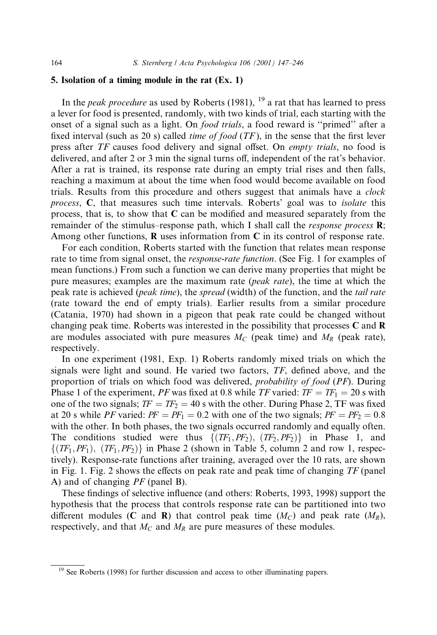#### 5. Isolation of a timing module in the rat (Ex. 1)

In the *peak procedure* as used by Roberts  $(1981)$ , <sup>19</sup> a rat that has learned to press a lever for food is presented, randomly, with two kinds of trial, each starting with the onset of a signal such as a light. On *food trials*, a food reward is "primed" after a fixed interval (such as 20 s) called *time of food*  $(TF)$ , in the sense that the first lever press after TF causes food delivery and signal offset. On empty trials, no food is delivered, and after  $2$  or  $3$  min the signal turns off, independent of the rat's behavior. After a rat is trained, its response rate during an empty trial rises and then falls, reaching a maximum at about the time when food would become available on food trials. Results from this procedure and others suggest that animals have a *clock* process, C, that measures such time intervals. Roberts' goal was to isolate this process, that is, to show that  $C$  can be modified and measured separately from the remainder of the stimulus–response path, which I shall call the *response process*  $\mathbf{R}$ ; Among other functions,  $\bf{R}$  uses information from  $\bf{C}$  in its control of response rate.

For each condition, Roberts started with the function that relates mean response rate to time from signal onset, the *response-rate function*. (See Fig. 1 for examples of mean functions.) From such a function we can derive many properties that might be pure measures; examples are the maximum rate (peak rate), the time at which the peak rate is achieved (*peak time*), the *spread* (width) of the function, and the *tail rate* (rate toward the end of empty trials). Earlier results from a similar procedure (Catania, 1970) had shown in a pigeon that peak rate could be changed without changing peak time. Roberts was interested in the possibility that processes  $C$  and  $R$ are modules associated with pure measures  $M_C$  (peak time) and  $M_R$  (peak rate), respectively.

In one experiment (1981, Exp. 1) Roberts randomly mixed trials on which the signals were light and sound. He varied two factors,  $TF$ , defined above, and the proportion of trials on which food was delivered, *probability of food (PF)*. During Phase 1 of the experiment, PF was fixed at 0.8 while TF varied:  $TF = TF_1 = 20$  s with one of the two signals;  $TF = TF_2 = 40$  s with the other. During Phase 2, TF was fixed at 20 s while PF varied:  $PF = PF_1 = 0.2$  with one of the two signals;  $PF = PF_2 = 0.8$ with the other. In both phases, the two signals occurred randomly and equally often. The conditions studied were thus  $\{(TF_1, PF_2), (TF_2, PF_2)\}\$ in Phase 1, and  $\{(TF_1, PF_1), (TF_1, PF_2)\}\$ in Phase 2 (shown in Table 5, column 2 and row 1, respectively). Response-rate functions after training, averaged over the 10 rats, are shown in Fig. 1. Fig. 2 shows the effects on peak rate and peak time of changing  $TF$  (panel A) and of changing  $PF$  (panel B).

These findings of selective influence (and others: Roberts, 1993, 1998) support the hypothesis that the process that controls response rate can be partitioned into two different modules (C and R) that control peak time  $(M_C)$  and peak rate  $(M_R)$ , respectively, and that  $M_C$  and  $M_R$  are pure measures of these modules.

<sup>&</sup>lt;sup>19</sup> See Roberts (1998) for further discussion and access to other illuminating papers.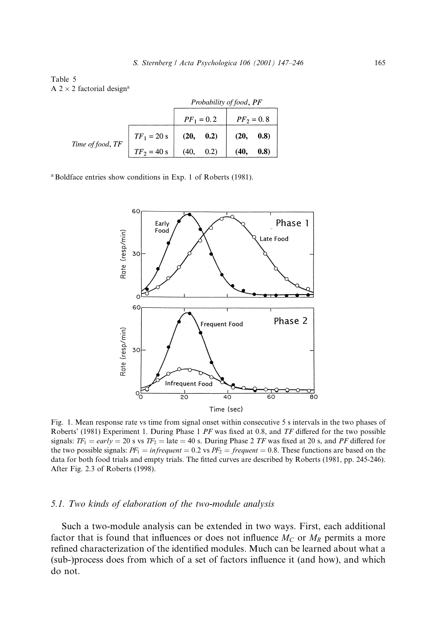#### Table 5 A  $2 \times 2$  factorial design<sup>a</sup>

|                  |               | Probability of food, PF |           |              |       |
|------------------|---------------|-------------------------|-----------|--------------|-------|
|                  |               | $PF_1 = 0.2$            |           | $PF_2 = 0.8$ |       |
| Time of food, TF | $TF_1 = 20 s$ | (20, 0.2)               |           | (20,         | 0.8)  |
|                  | $TF_2 = 40 s$ |                         | (40, 0.2) | (40,         | (0.8) |

<sup>a</sup> Boldface entries show conditions in Exp. 1 of Roberts (1981).



Fig. 1. Mean response rate vs time from signal onset within consecutive 5 s intervals in the two phases of Roberts' (1981) Experiment 1. During Phase 1  $PF$  was fixed at 0.8, and  $TF$  differed for the two possible signals:  $TF_1 = early = 20$  s vs  $TF_2 =$  late  $= 40$  s. During Phase 2 TF was fixed at 20 s, and PF differed for the two possible signals:  $PF_1 = infrequent = 0.2$  vs  $PF_2 = frequent = 0.8$ . These functions are based on the data for both food trials and empty trials. The fitted curves are described by Roberts (1981, pp. 245-246). After Fig. 2.3 of Roberts (1998).

#### 5.1. Two kinds of elaboration of the two-module analysis

Such a two-module analysis can be extended in two ways. First, each additional factor that is found that influences or does not influence  $M<sub>C</sub>$  or  $M<sub>R</sub>$  permits a more refined characterization of the identified modules. Much can be learned about what a (sub-)process does from which of a set of factors influence it (and how), and which do not.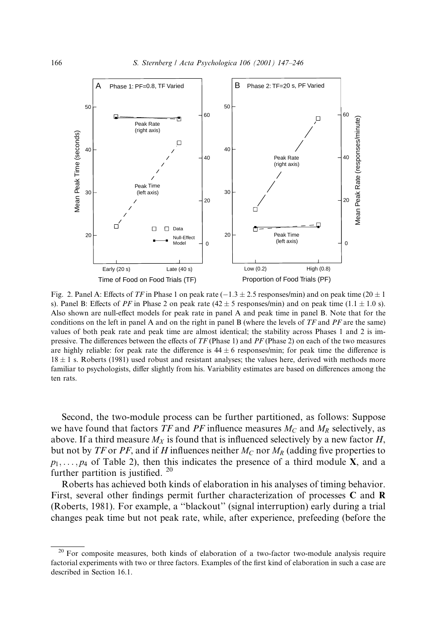

Fig. 2. Panel A: Effects of TF in Phase 1 on peak rate  $(-1.3 \pm 2.5$  responses/min) and on peak time (20  $\pm$  1 s). Panel B: Effects of PF in Phase 2 on peak rate (42  $\pm$  5 responses/min) and on peak time (1.1  $\pm$  1.0 s). Also shown are null-effect models for peak rate in panel A and peak time in panel B. Note that for the conditions on the left in panel A and on the right in panel B (where the levels of  $TF$  and  $PF$  are the same) values of both peak rate and peak time are almost identical; the stability across Phases 1 and 2 is impressive. The differences between the effects of  $TF$  (Phase 1) and  $PF$  (Phase 2) on each of the two measures are highly reliable: for peak rate the difference is  $44 \pm 6$  responses/min; for peak time the difference is  $18 \pm 1$  s. Roberts (1981) used robust and resistant analyses; the values here, derived with methods more familiar to psychologists, differ slightly from his. Variability estimates are based on differences among the ten rats.

Second, the two-module process can be further partitioned, as follows: Suppose we have found that factors TF and PF influence measures  $M_C$  and  $M_R$  selectively, as above. If a third measure  $M_X$  is found that is influenced selectively by a new factor H, but not by TF or PF, and if H influences neither  $M_C$  nor  $M_R$  (adding five properties to  $p_1, \ldots, p_4$  of Table 2), then this indicates the presence of a third module **X**, and a further partition is justified.  $20$ 

Roberts has achieved both kinds of elaboration in his analyses of timing behavior. First, several other findings permit further characterization of processes  $C$  and  $R$ (Roberts, 1981). For example, a "blackout" (signal interruption) early during a trial changes peak time but not peak rate, while, after experience, prefeeding (before the

<sup>&</sup>lt;sup>20</sup> For composite measures, both kinds of elaboration of a two-factor two-module analysis require factorial experiments with two or three factors. Examples of the first kind of elaboration in such a case are described in Section 16.1.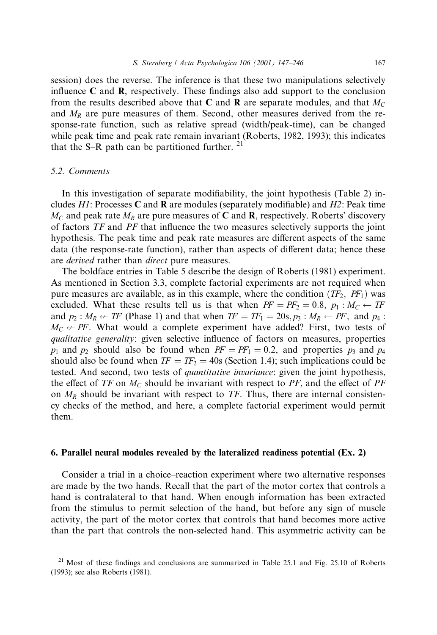session) does the reverse. The inference is that these two manipulations selectively influence  $C$  and  $R$ , respectively. These findings also add support to the conclusion from the results described above that C and **R** are separate modules, and that  $M_C$ and  $M_R$  are pure measures of them. Second, other measures derived from the response-rate function, such as relative spread (width/peak-time), can be changed while peak time and peak rate remain invariant (Roberts, 1982, 1993); this indicates that the S-R path can be partitioned further.  $21$ 

#### 5.2. Comments

In this investigation of separate modifiability, the joint hypothesis (Table 2) includes  $H$ : Processes C and R are modules (separately modifiable) and  $H$ 2: Peak time  $M_C$  and peak rate  $M_R$  are pure measures of C and R, respectively. Roberts' discovery of factors  $TF$  and  $PF$  that influence the two measures selectively supports the joint hypothesis. The peak time and peak rate measures are different aspects of the same data (the response-rate function), rather than aspects of different data; hence these are *derived* rather than *direct* pure measures.

The boldface entries in Table 5 describe the design of Roberts (1981) experiment. As mentioned in Section 3.3, complete factorial experiments are not required when pure measures are available, as in this example, where the condition  $(TF_2, PF_1)$  was excluded. What these results tell us is that when  $PF = PF_2 = 0.8$ ,  $p_1 : M_C \leftarrow TF$ and  $p_2$ :  $M_R \nleftrightarrow TF$  (Phase 1) and that when  $TF = TF_1 = 20$ s,  $p_3$ :  $M_R \nleftrightarrow PF$ , and  $p_4$ :  $M_C \nleftrightarrow PF$ . What would a complete experiment have added? First, two tests of qualitative generality: given selective influence of factors on measures, properties  $p_1$  and  $p_2$  should also be found when  $PF = PF_1 = 0.2$ , and properties  $p_3$  and  $p_4$ should also be found when  $TF = TF_2 = 40$ s (Section 1.4); such implications could be tested. And second, two tests of *quantitative invariance*: given the joint hypothesis, the effect of TF on  $M_C$  should be invariant with respect to PF, and the effect of PF on  $M_R$  should be invariant with respect to TF. Thus, there are internal consistency checks of the method, and here, a complete factorial experiment would permit them.

#### 6. Parallel neural modules revealed by the lateralized readiness potential (Ex. 2)

Consider a trial in a choice-reaction experiment where two alternative responses are made by the two hands. Recall that the part of the motor cortex that controls a hand is contralateral to that hand. When enough information has been extracted from the stimulus to permit selection of the hand, but before any sign of muscle activity, the part of the motor cortex that controls that hand becomes more active than the part that controls the non-selected hand. This asymmetric activity can be

 $21$  Most of these findings and conclusions are summarized in Table 25.1 and Fig. 25.10 of Roberts (1993); see also Roberts (1981).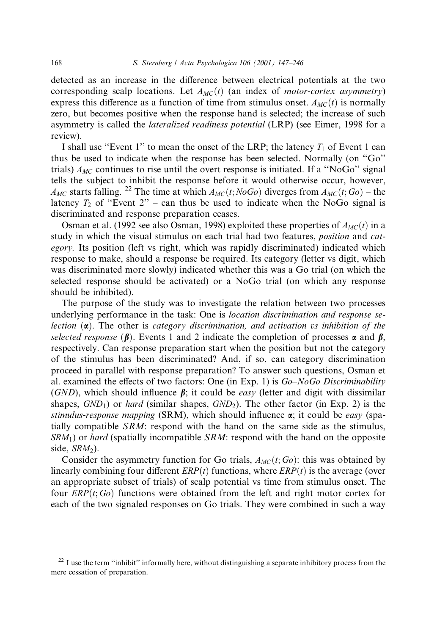detected as an increase in the difference between electrical potentials at the two corresponding scalp locations. Let  $A_{MC}(t)$  (an index of *motor-cortex asymmetry*) express this difference as a function of time from stimulus onset.  $A_{MC}(t)$  is normally zero, but becomes positive when the response hand is selected; the increase of such asymmetry is called the *lateralized readiness potential* (LRP) (see Eimer, 1998 for a review).

I shall use "Event 1" to mean the onset of the LRP; the latency  $T_1$  of Event 1 can thus be used to indicate when the response has been selected. Normally (on "Go" trials)  $A_{MC}$  continues to rise until the overt response is initiated. If a "NoGo" signal tells the subject to inhibit the response before it would otherwise occur, however,  $A_{MC}$  starts falling. <sup>22</sup> The time at which  $A_{MC}(t; NoGo)$  diverges from  $A_{MC}(t; Go)$  – the latency  $T_2$  of "Event 2" – can thus be used to indicate when the NoGo signal is discriminated and response preparation ceases.

Osman et al. (1992 see also Osman, 1998) exploited these properties of  $A_{MC}(t)$  in a study in which the visual stimulus on each trial had two features, *position* and *cat*egory. Its position (left vs right, which was rapidly discriminated) indicated which response to make, should a response be required. Its category (letter vs digit, which was discriminated more slowly) indicated whether this was a Go trial (on which the selected response should be activated) or a NoGo trial (on which any response should be inhibited).

The purpose of the study was to investigate the relation between two processes underlying performance in the task: One is *location discrimination and response se*lection  $(\alpha)$ . The other is category discrimination, and activation vs inhibition of the selected response  $(\beta)$ . Events 1 and 2 indicate the completion of processes  $\alpha$  and  $\beta$ , respectively. Can response preparation start when the position but not the category of the stimulus has been discriminated? And, if so, can category discrimination proceed in parallel with response preparation? To answer such questions, Osman et al. examined the effects of two factors: One (in Exp. 1) is  $Go-NoGo$  Discriminability (GND), which should influence  $\beta$ ; it could be easy (letter and digit with dissimilar shapes,  $GND_1$ ) or *hard* (similar shapes,  $GND_2$ ). The other factor (in Exp. 2) is the stimulus-response mapping (SRM), which should influence  $\alpha$ ; it could be easy (spatially compatible  $SRM$ : respond with the hand on the same side as the stimulus,  $SRM_1$ ) or hard (spatially incompatible  $SRM$ : respond with the hand on the opposite side,  $SRM_2$ ).

Consider the asymmetry function for Go trials,  $A_{MC}(t; Go)$ : this was obtained by linearly combining four different  $ERP(t)$  functions, where  $ERP(t)$  is the average (over an appropriate subset of trials) of scalp potential vs time from stimulus onset. The four  $ERP(t; Go)$  functions were obtained from the left and right motor cortex for each of the two signaled responses on Go trials. They were combined in such a way

 $22$  I use the term "inhibit" informally here, without distinguishing a separate inhibitory process from the mere cessation of preparation.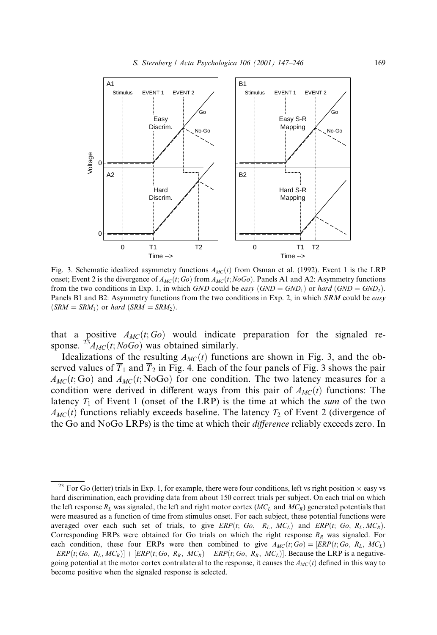

Fig. 3. Schematic idealized asymmetry functions  $A_{MC}(t)$  from Osman et al. (1992). Event 1 is the LRP onset; Event 2 is the divergence of  $A_{MC}(t; Go)$  from  $A_{MC}(t;NoGo)$ . Panels A1 and A2: Asymmetry functions from the two conditions in Exp. 1, in which GND could be easy  $(GND = GND_1)$  or hard  $(GND = GND_2)$ . Panels B1 and B2: Asymmetry functions from the two conditions in Exp. 2, in which SRM could be easy  $(SRM = SRM_1)$  or hard  $(SRM = SRM_2)$ .

that a positive  $A_{MC}(t; Go)$  would indicate preparation for the signaled response. <sup>23</sup> $A_{MC}(t; NoGo)$  was obtained similarly.

Idealizations of the resulting  $A_{MC}(t)$  functions are shown in Fig. 3, and the observed values of  $\overline{T}_1$  and  $\overline{T}_2$  in Fig. 4. Each of the four panels of Fig. 3 shows the pair  $A_{MC}(t;$  Go) and  $A_{MC}(t;$  NoGo) for one condition. The two latency measures for a condition were derived in different ways from this pair of  $A_{MC}(t)$  functions: The latency  $T_1$  of Event 1 (onset of the LRP) is the time at which the sum of the two  $A_{MC}(t)$  functions reliably exceeds baseline. The latency  $T_2$  of Event 2 (divergence of the Go and NoGo LRPs) is the time at which their *difference* reliably exceeds zero. In

<sup>&</sup>lt;sup>23</sup> For Go (letter) trials in Exp. 1, for example, there were four conditions, left vs right position  $\times$  easy vs hard discrimination, each providing data from about 150 correct trials per subject. On each trial on which the left response  $R_L$  was signaled, the left and right motor cortex ( $MC_L$  and  $MC_R$ ) generated potentials that were measured as a function of time from stimulus onset. For each subject, these potential functions were averaged over each such set of trials, to give  $\text{ERP}(t; G_0, R_L, MC_L)$  and  $\text{ERP}(t; G_0, R_L, MC_R)$ . Corresponding ERPs were obtained for Go trials on which the right response  $R_R$  was signaled. For each condition, these four ERPs were then combined to give  $A_{MC}(t; Go) = [ERP(t; Go, R_L, MC_L)]$  $-ERP(t; Go, R_L, MC_R]$  +  $[ERP(t; Go, R_R, MC_R) - ERP(t; Go, R_R, MC_L)]$ . Because the LRP is a negativegoing potential at the motor cortex contralateral to the response, it causes the  $A_{MC}(t)$  defined in this way to become positive when the signaled response is selected.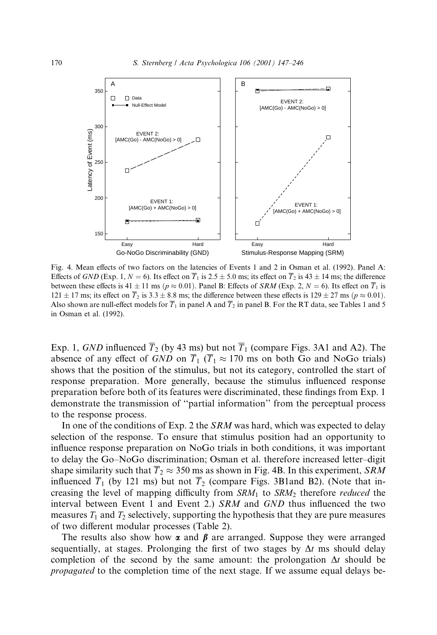

Fig. 4. Mean effects of two factors on the latencies of Events 1 and 2 in Osman et al. (1992). Panel A: Effects of GND (Exp. 1,  $N = 6$ ). Its effect on  $\overline{T}_1$  is 2.5  $\pm$  5.0 ms; its effect on  $\overline{T}_2$  is 43  $\pm$  14 ms; the difference between these effects is 41  $\pm$  11 ms ( $p \approx 0.01$ ). Panel B: Effects of SRM (Exp. 2, N = 6). Its effect on  $\overline{T}_1$  is  $121 \pm 17$  ms; its effect on  $\overline{T}_2$  is 3.3  $\pm$  8.8 ms; the difference between these effects is  $129 \pm 27$  ms ( $p \approx 0.01$ ). Also shown are null-effect models for  $\overline{T}_1$  in panel A and  $\overline{T}_2$  in panel B. For the RT data, see Tables 1 and 5 in Osman et al. (1992).

Exp. 1, GND influenced  $\overline{T}_2$  (by 43 ms) but not  $\overline{T}_1$  (compare Figs. 3A1 and A2). The absence of any effect of GND on  $\overline{T}_1$  ( $\overline{T}_1 \approx 170$  ms on both Go and NoGo trials) shows that the position of the stimulus, but not its category, controlled the start of response preparation. More generally, because the stimulus influenced response preparation before both of its features were discriminated, these findings from Exp. 1 demonstrate the transmission of "partial information" from the perceptual process to the response process.

In one of the conditions of Exp. 2 the *SRM* was hard, which was expected to delay selection of the response. To ensure that stimulus position had an opportunity to influence response preparation on NoGo trials in both conditions, it was important to delay the Go-NoGo discrimination; Osman et al. therefore increased letter-digit shape similarity such that  $\overline{T}_2 \approx 350$  ms as shown in Fig. 4B. In this experiment, SRM influenced  $\overline{T}_1$  (by 121 ms) but not  $\overline{T}_2$  (compare Figs. 3B1and B2). (Note that increasing the level of mapping difficulty from  $SRM_1$  to  $SRM_2$  therefore *reduced* the interval between Event 1 and Event 2.)  $SRM$  and  $GND$  thus influenced the two measures  $T_1$  and  $T_2$  selectively, supporting the hypothesis that they are pure measures of two different modular processes (Table 2).

The results also show how  $\alpha$  and  $\beta$  are arranged. Suppose they were arranged sequentially, at stages. Prolonging the first of two stages by  $\Delta t$  ms should delay completion of the second by the same amount: the prolongation  $\Delta t$  should be propagated to the completion time of the next stage. If we assume equal delays be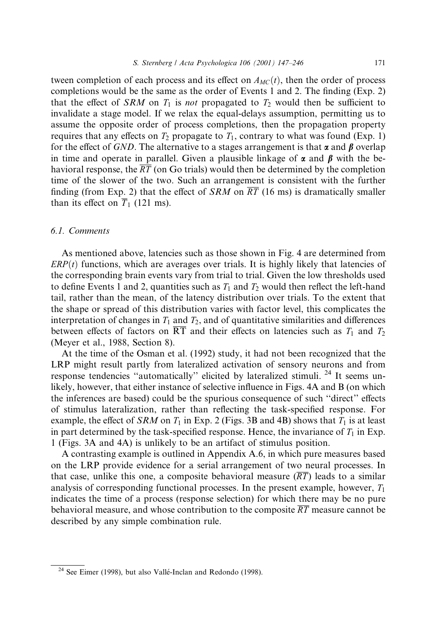tween completion of each process and its effect on  $A_{MC}(t)$ , then the order of process completions would be the same as the order of Events 1 and 2. The finding  $(Exp. 2)$ that the effect of SRM on  $T_1$  is not propagated to  $T_2$  would then be sufficient to invalidate a stage model. If we relax the equal-delays assumption, permitting us to assume the opposite order of process completions, then the propagation property requires that any effects on  $T_2$  propagate to  $T_1$ , contrary to what was found (Exp. 1) for the effect of GND. The alternative to a stages arrangement is that  $\alpha$  and  $\beta$  overlap in time and operate in parallel. Given a plausible linkage of  $\alpha$  and  $\beta$  with the behavioral response, the  $\overline{RT}$  (on Go trials) would then be determined by the completion time of the slower of the two. Such an arrangement is consistent with the further finding (from Exp. 2) that the effect of SRM on  $\overline{RT}$  (16 ms) is dramatically smaller than its effect on  $\overline{T}_1$  (121 ms).

#### 6.1. Comments

As mentioned above, latencies such as those shown in Fig. 4 are determined from  $ERP(t)$  functions, which are averages over trials. It is highly likely that latencies of the corresponding brain events vary from trial to trial. Given the low thresholds used to define Events 1 and 2, quantities such as  $T_1$  and  $T_2$  would then reflect the left-hand tail, rather than the mean, of the latency distribution over trials. To the extent that the shape or spread of this distribution varies with factor level, this complicates the interpretation of changes in  $T_1$  and  $T_2$ , and of quantitative similarities and differences between effects of factors on  $\overline{RT}$  and their effects on latencies such as  $T_1$  and  $T_2$ (Meyer et al., 1988, Section 8).

At the time of the Osman et al. (1992) study, it had not been recognized that the LRP might result partly from lateralized activation of sensory neurons and from response tendencies "automatically" elicited by lateralized stimuli. <sup>24</sup> It seems unlikely, however, that either instance of selective influence in Figs. 4A and B (on which the inferences are based) could be the spurious consequence of such "direct" effects of stimulus lateralization, rather than reflecting the task-specified response. For example, the effect of SRM on  $T_1$  in Exp. 2 (Figs. 3B and 4B) shows that  $T_1$  is at least in part determined by the task-specified response. Hence, the invariance of  $T_1$  in Exp. 1 (Figs. 3A and 4A) is unlikely to be an artifact of stimulus position.

A contrasting example is outlined in Appendix A.6, in which pure measures based on the LRP provide evidence for a serial arrangement of two neural processes. In that case, unlike this one, a composite behavioral measure  $(\overline{RT})$  leads to a similar analysis of corresponding functional processes. In the present example, however,  $T_1$ indicates the time of a process (response selection) for which there may be no pure behavioral measure, and whose contribution to the composite  $\overline{RT}$  measure cannot be described by any simple combination rule.

<sup>&</sup>lt;sup>24</sup> See Eimer (1998), but also Vallé-Inclan and Redondo (1998).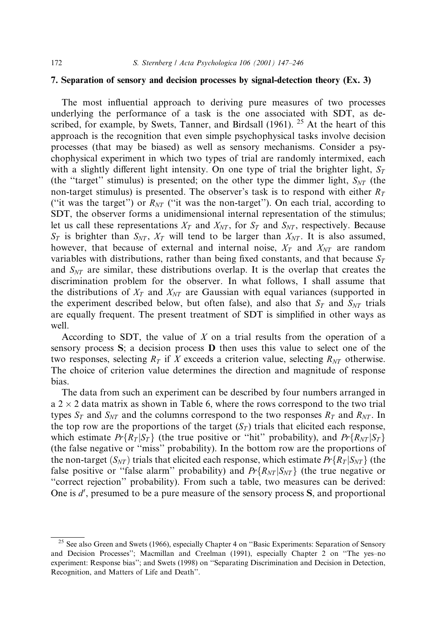#### 7. Separation of sensory and decision processes by signal-detection theory (Ex. 3)

The most influential approach to deriving pure measures of two processes underlying the performance of a task is the one associated with SDT, as described, for example, by Swets, Tanner, and Birdsall (1961). <sup>25</sup> At the heart of this approach is the recognition that even simple psychophysical tasks involve decision processes (that may be biased) as well as sensory mechanisms. Consider a psychophysical experiment in which two types of trial are randomly intermixed, each with a slightly different light intensity. On one type of trial the brighter light,  $S_T$ (the "target" stimulus) is presented; on the other type the dimmer light,  $S_{NT}$  (the non-target stimulus) is presented. The observer's task is to respond with either  $R<sub>T</sub>$ ("it was the target") or  $R_{NT}$  ("it was the non-target"). On each trial, according to SDT, the observer forms a unidimensional internal representation of the stimulus; let us call these representations  $X_T$  and  $X_{NT}$ , for  $S_T$  and  $S_{NT}$ , respectively. Because  $S_T$  is brighter than  $S_{NT}$ ,  $X_T$  will tend to be larger than  $X_{NT}$ . It is also assumed, however, that because of external and internal noise,  $X_T$  and  $X_{NT}$  are random variables with distributions, rather than being fixed constants, and that because  $S_T$ and  $S_{NT}$  are similar, these distributions overlap. It is the overlap that creates the discrimination problem for the observer. In what follows, I shall assume that the distributions of  $X_T$  and  $X_{NT}$  are Gaussian with equal variances (supported in the experiment described below, but often false), and also that  $S_T$  and  $S_{NT}$  trials are equally frequent. The present treatment of SDT is simplified in other ways as well.

According to SDT, the value of  $X$  on a trial results from the operation of a sensory process  $S$ ; a decision process  $D$  then uses this value to select one of the two responses, selecting  $R_T$  if X exceeds a criterion value, selecting  $R_{NT}$  otherwise. The choice of criterion value determines the direction and magnitude of response bias.

The data from such an experiment can be described by four numbers arranged in a  $2 \times 2$  data matrix as shown in Table 6, where the rows correspond to the two trial types  $S_T$  and  $S_{NT}$  and the columns correspond to the two responses  $R_T$  and  $R_{NT}$ . In the top row are the proportions of the target  $(S_T)$  trials that elicited each response, which estimate  $Pr\{R_T|S_T\}$  (the true positive or "hit" probability), and  $Pr\{R_{NT}|S_T\}$ (the false negative or ``miss'' probability). In the bottom row are the proportions of the non-target  $(S_{NT})$  trials that elicited each response, which estimate  $Pr\{R_T|S_{NT}\}\$  (the false positive or "false alarm" probability) and  $Pr\{R_{NT}|S_{NT}\}$  (the true negative or ``correct rejection'' probability). From such a table, two measures can be derived: One is  $d'$ , presumed to be a pure measure of the sensory process  $S$ , and proportional

<sup>&</sup>lt;sup>25</sup> See also Green and Swets (1966), especially Chapter 4 on "Basic Experiments: Separation of Sensory and Decision Processes"; Macmillan and Creelman (1991), especially Chapter 2 on "The yes-no experiment: Response bias"; and Swets (1998) on "Separating Discrimination and Decision in Detection, Recognition, and Matters of Life and Death''.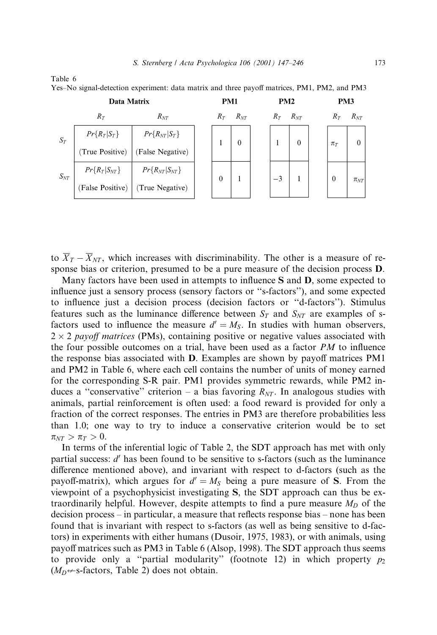

Yes-No signal-detection experiment: data matrix and three payoff matrices, PM1, PM2, and PM3

Table 6

to  $\overline{X}_T - \overline{X}_{NT}$ , which increases with discriminability. The other is a measure of response bias or criterion, presumed to be a pure measure of the decision process D.

Many factors have been used in attempts to influence  $S$  and  $D$ , some expected to influence just a sensory process (sensory factors or "s-factors"), and some expected to influence just a decision process (decision factors or "d-factors"). Stimulus features such as the luminance difference between  $S_T$  and  $S_{NT}$  are examples of sfactors used to influence the measure  $d' = M<sub>S</sub>$ . In studies with human observers,  $2 \times 2$  payoff matrices (PMs), containing positive or negative values associated with the four possible outcomes on a trial, have been used as a factor  $PM$  to influence the response bias associated with  $D$ . Examples are shown by payoff matrices PM1 and PM2 in Table 6, where each cell contains the number of units of money earned for the corresponding S-R pair. PM1 provides symmetric rewards, while PM2 induces a "conservative" criterion – a bias favoring  $R_{NT}$ . In analogous studies with animals, partial reinforcement is often used: a food reward is provided for only a fraction of the correct responses. The entries in PM3 are therefore probabilities less than 1.0; one way to try to induce a conservative criterion would be to set  $\pi_{NT} > \pi_T > 0$ .

In terms of the inferential logic of Table 2, the SDT approach has met with only partial success:  $d'$  has been found to be sensitive to s-factors (such as the luminance difference mentioned above), and invariant with respect to d-factors (such as the payoff-matrix), which argues for  $d' = M<sub>S</sub>$  being a pure measure of S. From the viewpoint of a psychophysicist investigating S, the SDT approach can thus be extraordinarily helpful. However, despite attempts to find a pure measure  $M_D$  of the decision process – in particular, a measure that reflects response bias – none has been found that is invariant with respect to s-factors (as well as being sensitive to d-factors) in experiments with either humans (Dusoir, 1975, 1983), or with animals, using payoff matrices such as PM3 in Table 6 (Alsop, 1998). The SDT approach thus seems to provide only a "partial modularity" (footnote 12) in which property  $p_2$  $(M_D \nleftrightarrow$ -factors, Table 2) does not obtain.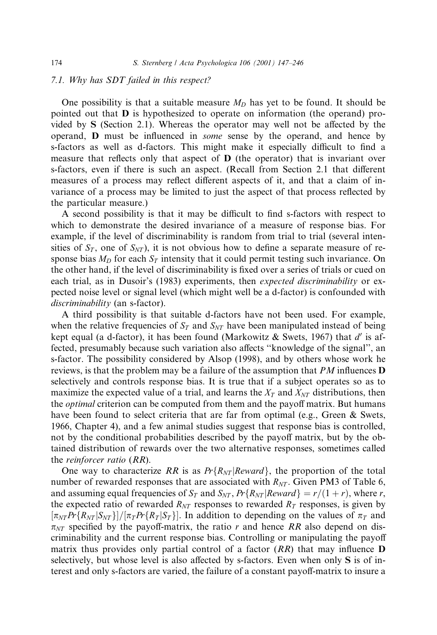#### 7.1. Why has SDT failed in this respect?

One possibility is that a suitable measure  $M_D$  has yet to be found. It should be pointed out that D is hypothesized to operate on information (the operand) provided by  $S$  (Section 2.1). Whereas the operator may well not be affected by the operand, D must be influenced in *some* sense by the operand, and hence by s-factors as well as d-factors. This might make it especially difficult to find a measure that reflects only that aspect of  **(the operator) that is invariant over** s-factors, even if there is such an aspect. (Recall from Section 2.1 that different measures of a process may reflect different aspects of it, and that a claim of invariance of a process may be limited to just the aspect of that process reflected by the particular measure.)

A second possibility is that it may be difficult to find s-factors with respect to which to demonstrate the desired invariance of a measure of response bias. For example, if the level of discriminability is random from trial to trial (several intensities of  $S_T$ , one of  $S_{NT}$ ), it is not obvious how to define a separate measure of response bias  $M_D$  for each  $S_T$  intensity that it could permit testing such invariance. On the other hand, if the level of discriminability is fixed over a series of trials or cued on each trial, as in Dusoir's (1983) experiments, then expected discriminability or expected noise level or signal level (which might well be a d-factor) is confounded with discriminability (an s-factor).

A third possibility is that suitable d-factors have not been used. For example, when the relative frequencies of  $S_T$  and  $S_{NT}$  have been manipulated instead of being kept equal (a d-factor), it has been found (Markowitz & Swets, 1967) that d' is affected, presumably because such variation also affects "knowledge of the signal", an s-factor. The possibility considered by Alsop (1998), and by others whose work he reviews, is that the problem may be a failure of the assumption that  $PM$  influences  $D$ selectively and controls response bias. It is true that if a subject operates so as to maximize the expected value of a trial, and learns the  $X_T$  and  $X_{NT}$  distributions, then the *optimal* criterion can be computed from them and the payoff matrix. But humans have been found to select criteria that are far from optimal (e.g., Green & Swets, 1966, Chapter 4), and a few animal studies suggest that response bias is controlled, not by the conditional probabilities described by the payoff matrix, but by the obtained distribution of rewards over the two alternative responses, sometimes called the reinforcer ratio (RR).

One way to characterize RR is as  $Pr{R_{NT} |R{event}}$ , the proportion of the total number of rewarded responses that are associated with  $R_{NT}$ . Given PM3 of Table 6, and assuming equal frequencies of  $S_T$  and  $S_{NT}$ ,  $Pr\{R_{NT}|Reward\} = r/(1 + r)$ , where r, the expected ratio of rewarded  $R_{NT}$  responses to rewarded  $R_T$  responses, is given by  $[\pi_{NT}Pr\{R_{NT}|S_{NT}\}]/[\pi_T Pr\{R_T|S_T\}]$ . In addition to depending on the values of  $\pi_T$  and  $\pi_{NT}$  specified by the payoff-matrix, the ratio r and hence RR also depend on discriminability and the current response bias. Controlling or manipulating the payo matrix thus provides only partial control of a factor  $(RR)$  that may influence **D** selectively, but whose level is also affected by s-factors. Even when only  $S$  is of interest and only s-factors are varied, the failure of a constant payoff-matrix to insure a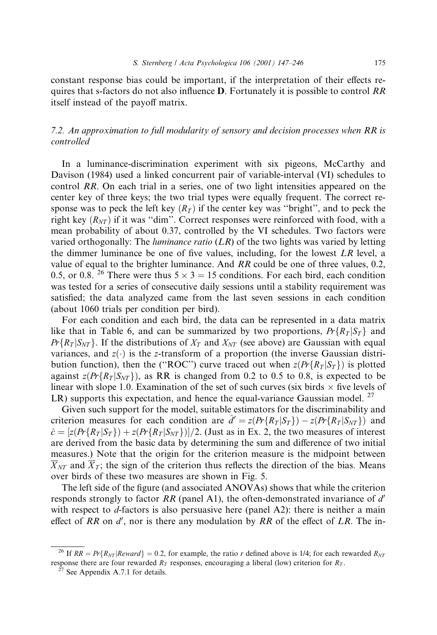constant response bias could be important, if the interpretation of their effects requires that s-factors do not also influence  $D$ . Fortunately it is possible to control RR itself instead of the payoff matrix.

#### 7.2. An approximation to full modularity of sensory and decision processes when RR is controlled

In a luminance-discrimination experiment with six pigeons, McCarthy and Davison (1984) used a linked concurrent pair of variable-interval (VI) schedules to control RR. On each trial in a series, one of two light intensities appeared on the center key of three keys; the two trial types were equally frequent. The correct response was to peck the left key  $(R_T)$  if the center key was "bright", and to peck the right key  $(R_{NT})$  if it was "dim". Correct responses were reinforced with food, with a mean probability of about 0.37, controlled by the VI schedules. Two factors were varied orthogonally: The *luminance ratio*  $(LR)$  of the two lights was varied by letting the dimmer luminance be one of five values, including, for the lowest  $LR$  level, a value of equal to the brighter luminance. And  $RR$  could be one of three values, 0.2, 0.5, or 0.8. <sup>26</sup> There were thus  $5 \times 3 = 15$  conditions. For each bird, each condition was tested for a series of consecutive daily sessions until a stability requirement was satisfied; the data analyzed came from the last seven sessions in each condition (about 1060 trials per condition per bird).

For each condition and each bird, the data can be represented in a data matrix like that in Table 6, and can be summarized by two proportions,  $Pr\{R_T|S_T\}$  and  $Pr{R_T | S_{NT}}$ . If the distributions of  $X_T$  and  $X_{NT}$  (see above) are Gaussian with equal variances, and  $z(\cdot)$  is the z-transform of a proportion (the inverse Gaussian distribution function), then the ("ROC") curve traced out when  $z(P_{\tau}\{R_T|S_T\})$  is plotted against  $z(P_f\{R_T|S_{NT}\})$ , as RR is changed from 0.2 to 0.5 to 0.8, is expected to be linear with slope 1.0. Examination of the set of such curves (six birds  $\times$  five levels of LR) supports this expectation, and hence the equal-variance Gaussian model.  $27$ 

Given such support for the model, suitable estimators for the discriminability and criterion measures for each condition are  $\hat{d}' = z(Pr\{R_T|S_T\}) - z(Pr\{R_T|S_{NT}\})$  and  $\hat{c} = [z(Pr\{R_T|S_T\}) + z(Pr\{R_T|S_{NT}\})]/2$ . (Just as in Ex. 2, the two measures of interest are derived from the basic data by determining the sum and difference of two initial measures.) Note that the origin for the criterion measure is the midpoint between  $\overline{X}_{NT}$  and  $\overline{X}_T$ ; the sign of the criterion thus reflects the direction of the bias. Means over birds of these two measures are shown in Fig. 5.

The left side of the figure (and associated ANOVAs) shows that while the criterion responds strongly to factor RR (panel A1), the often-demonstrated invariance of  $d'$ with respect to  $d$ -factors is also persuasive here (panel A2): there is neither a main effect of RR on  $d'$ , nor is there any modulation by RR of the effect of LR. The in-

<sup>&</sup>lt;sup>26</sup> If  $RR = Pr{R_{NT} |Reward} = 0.2$ , for example, the ratio r defined above is 1/4; for each rewarded  $R_{NT}$ response there are four rewarded  $R_T$  responses, encouraging a liberal (low) criterion for  $R_T$ . <sup>27</sup> See Appendix A.7.1 for details.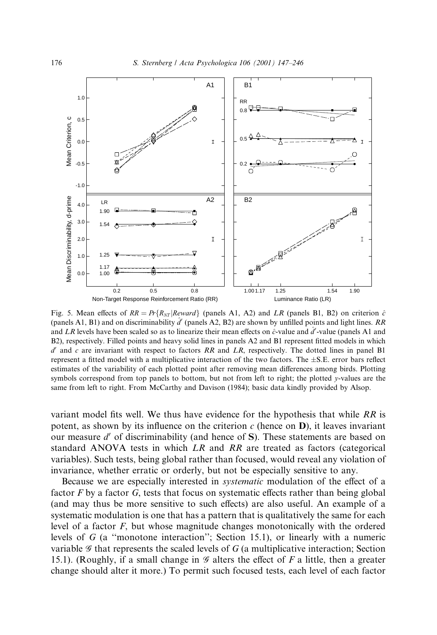

Fig. 5. Mean effects of  $RR = Pr{R_{NT}}|Reward$  (panels A1, A2) and LR (panels B1, B2) on criterion  $\hat{c}$ (panels A1, B1) and on discriminability  $\hat{d}$ <sup>'</sup> (panels A2, B2) are shown by unfilled points and light lines. RR and LR levels have been scaled so as to linearize their mean effects on  $\hat{c}$ -value and  $\hat{d}'$ -value (panels A1 and B2), respectively. Filled points and heavy solid lines in panels A2 and B1 represent fitted models in which  $d'$  and c are invariant with respect to factors RR and LR, respectively. The dotted lines in panel B1 represent a fitted model with a multiplicative interaction of the two factors. The  $\pm$ S.E. error bars reflect estimates of the variability of each plotted point after removing mean differences among birds. Plotting symbols correspond from top panels to bottom, but not from left to right; the plotted y-values are the same from left to right. From McCarthy and Davison (1984); basic data kindly provided by Alsop.

variant model fits well. We thus have evidence for the hypothesis that while  $RR$  is potent, as shown by its influence on the criterion c (hence on  $D$ ), it leaves invariant our measure  $d'$  of discriminability (and hence of S). These statements are based on standard ANOVA tests in which  $LR$  and  $RR$  are treated as factors (categorical variables). Such tests, being global rather than focused, would reveal any violation of invariance, whether erratic or orderly, but not be especially sensitive to any.

Because we are especially interested in *systematic* modulation of the effect of a factor  $F$  by a factor  $G$ , tests that focus on systematic effects rather than being global (and may thus be more sensitive to such effects) are also useful. An example of a systematic modulation is one that has a pattern that is qualitatively the same for each level of a factor F, but whose magnitude changes monotonically with the ordered levels of  $G$  (a "monotone interaction"; Section 15.1), or linearly with a numeric variable  $\mathscr G$  that represents the scaled levels of  $G$  (a multiplicative interaction; Section 15.1). (Roughly, if a small change in  $\mathscr G$  alters the effect of F a little, then a greater change should alter it more.) To permit such focused tests, each level of each factor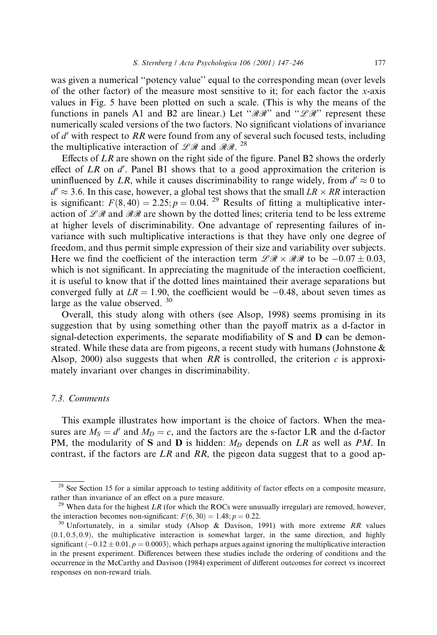was given a numerical "potency value" equal to the corresponding mean (over levels of the other factor) of the measure most sensitive to it; for each factor the  $x$ -axis values in Fig. 5 have been plotted on such a scale. (This is why the means of the functions in panels A1 and B2 are linear.) Let " $\mathcal{R}\mathcal{R}'$ " and " $\mathcal{L}\mathcal{R}$ " represent these numerically scaled versions of the two factors. No significant violations of invariance of  $d'$  with respect to RR were found from any of several such focused tests, including the multiplicative interaction of  $\mathscr{L}\mathscr{R}$  and  $\mathscr{R}\mathscr{R}$ . <sup>28</sup>

Effects of  $LR$  are shown on the right side of the figure. Panel B2 shows the orderly effect of  $LR$  on  $d'$ . Panel B1 shows that to a good approximation the criterion is uninfluenced by LR, while it causes discriminability to range widely, from  $d' \approx 0$  to  $d' \approx 3.6$ . In this case, however, a global test shows that the small  $LR \times RR$  interaction is significant:  $F(8, 40) = 2.25$ ;  $p = 0.04$ . <sup>29</sup> Results of fitting a multiplicative interaction of  $\mathscr{L}\mathscr{R}$  and  $\mathscr{R}\mathscr{R}$  are shown by the dotted lines; criteria tend to be less extreme at higher levels of discriminability. One advantage of representing failures of invariance with such multiplicative interactions is that they have only one degree of freedom, and thus permit simple expression of their size and variability over subjects. Here we find the coefficient of the interaction term  $\mathcal{L}\mathcal{R}\times\mathcal{R}\mathcal{R}$  to be  $-0.07\pm0.03$ , which is not significant. In appreciating the magnitude of the interaction coefficient, it is useful to know that if the dotted lines maintained their average separations but converged fully at  $LR = 1.90$ , the coefficient would be  $-0.48$ , about seven times as large as the value observed.  $30$ 

Overall, this study along with others (see Alsop, 1998) seems promising in its suggestion that by using something other than the payoff matrix as a d-factor in signal-detection experiments, the separate modifiability of  $S$  and  $D$  can be demonstrated. While these data are from pigeons, a recent study with humans (Johnstone  $\&$ Alsop, 2000) also suggests that when RR is controlled, the criterion  $c$  is approximately invariant over changes in discriminability.

#### 7.3. Comments

This example illustrates how important is the choice of factors. When the measures are  $M_s = d'$  and  $M_D = c$ , and the factors are the s-factor LR and the d-factor PM, the modularity of S and D is hidden:  $M_D$  depends on LR as well as PM. In contrast, if the factors are LR and RR, the pigeon data suggest that to a good ap-

 $^{28}$  See Section 15 for a similar approach to testing additivity of factor effects on a composite measure, rather than invariance of an effect on a pure measure.

<sup>&</sup>lt;sup>29</sup> When data for the highest LR (for which the ROCs were unusually irregular) are removed, however, the interaction becomes non-significant:  $F(6, 30) = 1.48; p = 0.22$ .<br><sup>30</sup> Unfortunately, in a similar study (Alsop & Davison, 1991) with more extreme RR values

 $(0.1, 0.5, 0.9)$ , the multiplicative interaction is somewhat larger, in the same direction, and highly significant  $(-0.12 \pm 0.01, p = 0.0003)$ , which perhaps argues against ignoring the multiplicative interaction in the present experiment. Differences between these studies include the ordering of conditions and the occurrence in the McCarthy and Davison (1984) experiment of different outcomes for correct vs incorrect responses on non-reward trials.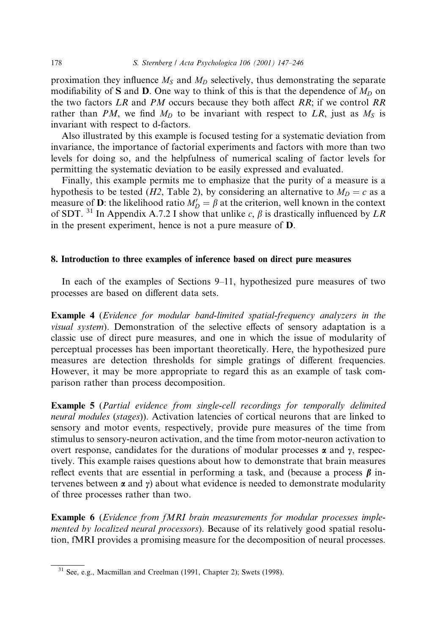proximation they influence  $M<sub>S</sub>$  and  $M<sub>D</sub>$  selectively, thus demonstrating the separate modifiability of S and D. One way to think of this is that the dependence of  $M_D$  on the two factors LR and PM occurs because they both affect RR; if we control RR rather than PM, we find  $M_D$  to be invariant with respect to LR, just as  $M_S$  is invariant with respect to d-factors.

Also illustrated by this example is focused testing for a systematic deviation from invariance, the importance of factorial experiments and factors with more than two levels for doing so, and the helpfulness of numerical scaling of factor levels for permitting the systematic deviation to be easily expressed and evaluated.

Finally, this example permits me to emphasize that the purity of a measure is a hypothesis to be tested (H2, Table 2), by considering an alternative to  $M_D = c$  as a measure of **D**: the likelihood ratio  $M'_D = \beta$  at the criterion, well known in the context of SDT. <sup>31</sup> In Appendix A.7.2 I show that unlike c,  $\beta$  is drastically influenced by LR in the present experiment, hence is not a pure measure of D.

## 8. Introduction to three examples of inference based on direct pure measures

In each of the examples of Sections  $9-11$ , hypothesized pure measures of two processes are based on different data sets.

Example 4 (Evidence for modular band-limited spatial-frequency analyzers in the visual system). Demonstration of the selective effects of sensory adaptation is a classic use of direct pure measures, and one in which the issue of modularity of perceptual processes has been important theoretically. Here, the hypothesized pure measures are detection thresholds for simple gratings of different frequencies. However, it may be more appropriate to regard this as an example of task comparison rather than process decomposition.

Example 5 (Partial evidence from single-cell recordings for temporally delimited neural modules (stages)). Activation latencies of cortical neurons that are linked to sensory and motor events, respectively, provide pure measures of the time from stimulus to sensory-neuron activation, and the time from motor-neuron activation to overt response, candidates for the durations of modular processes  $\alpha$  and  $\gamma$ , respectively. This example raises questions about how to demonstrate that brain measures reflect events that are essential in performing a task, and (because a process  $\beta$  intervenes between  $\alpha$  and  $\gamma$ ) about what evidence is needed to demonstrate modularity of three processes rather than two.

**Example 6** (Evidence from fMRI brain measurements for modular processes implemented by localized neural processors). Because of its relatively good spatial resolution, fMRI provides a promising measure for the decomposition of neural processes.

<sup>31</sup> See, e.g., Macmillan and Creelman (1991, Chapter 2); Swets (1998).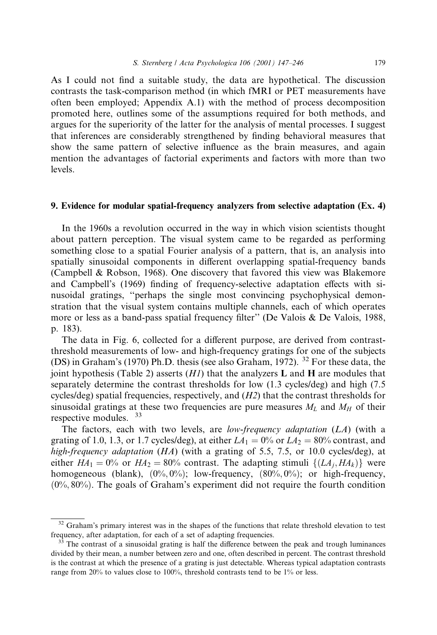As I could not find a suitable study, the data are hypothetical. The discussion contrasts the task-comparison method (in which fMRI or PET measurements have often been employed; Appendix A.1) with the method of process decomposition promoted here, outlines some of the assumptions required for both methods, and argues for the superiority of the latter for the analysis of mental processes. I suggest that inferences are considerably strengthened by finding behavioral measures that show the same pattern of selective influence as the brain measures, and again mention the advantages of factorial experiments and factors with more than two levels.

## 9. Evidence for modular spatial-frequency analyzers from selective adaptation (Ex. 4)

In the 1960s a revolution occurred in the way in which vision scientists thought about pattern perception. The visual system came to be regarded as performing something close to a spatial Fourier analysis of a pattern, that is, an analysis into spatially sinusoidal components in different overlapping spatial-frequency bands (Campbell & Robson, 1968). One discovery that favored this view was Blakemore and Campbell's (1969) finding of frequency-selective adaptation effects with sinusoidal gratings, "perhaps the single most convincing psychophysical demonstration that the visual system contains multiple channels, each of which operates more or less as a band-pass spatial frequency filter" (De Valois  $\&$  De Valois, 1988, p. 183).

The data in Fig. 6, collected for a different purpose, are derived from contrastthreshold measurements of low- and high-frequency gratings for one of the subjects (DS) in Graham's (1970) Ph.D. thesis (see also Graham, 1972). <sup>32</sup> For these data, the joint hypothesis (Table 2) asserts  $(HI)$  that the analyzers **L** and **H** are modules that separately determine the contrast thresholds for low (1.3 cycles/deg) and high (7.5 cycles/deg) spatial frequencies, respectively, and  $(H2)$  that the contrast thresholds for sinusoidal gratings at these two frequencies are pure measures  $M_L$  and  $M_H$  of their respective modules.  $33$ 

The factors, each with two levels, are low-frequency adaptation (LA) (with a grating of 1.0, 1.3, or 1.7 cycles/deg), at either  $L_A_1 = 0\%$  or  $L_A_2 = 80\%$  contrast, and high-frequency adaptation  $(HA)$  (with a grating of 5.5, 7.5, or 10.0 cycles/deg), at either  $HA_1 = 0\%$  or  $HA_2 = 80\%$  contrast. The adapting stimuli  $\{(LA_i, HA_k)\}\;$  were homogeneous (blank),  $(0\%, 0\%)$ ; low-frequency,  $(80\%, 0\%)$ ; or high-frequency,  $(0\%, 80\%)$ . The goals of Graham's experiment did not require the fourth condition

 $32$  Graham's primary interest was in the shapes of the functions that relate threshold elevation to test frequency, after adaptation, for each of a set of adapting frequencies.<br> $33$  The contrast of a sinusoidal grating is half the difference between the peak and trough luminances

divided by their mean, a number between zero and one, often described in percent. The contrast threshold is the contrast at which the presence of a grating is just detectable. Whereas typical adaptation contrasts range from 20% to values close to 100%, threshold contrasts tend to be 1% or less.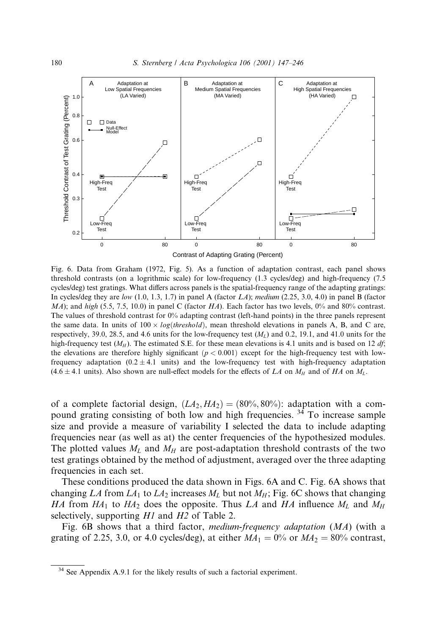

Fig. 6. Data from Graham (1972, Fig. 5). As a function of adaptation contrast, each panel shows threshold contrasts (on a logrithmic scale) for low-frequency (1.3 cycles/deg) and high-frequency (7.5 cycles/deg) test gratings. What differs across panels is the spatial-frequency range of the adapting gratings: In cycles/deg they are low  $(1.0, 1.3, 1.7)$  in panel A (factor LA); medium  $(2.25, 3.0, 4.0)$  in panel B (factor  $MA$ ); and high (5.5, 7.5, 10.0) in panel C (factor HA). Each factor has two levels, 0% and 80% contrast. The values of threshold contrast for 0% adapting contrast (left-hand points) in the three panels represent the same data. In units of  $100 \times log(threshold)$ , mean threshold elevations in panels A, B, and C are, respectively, 39.0, 28.5, and 4.6 units for the low-frequency test  $(M_L)$  and 0.2, 19.1, and 41.0 units for the high-frequency test  $(M_H)$ . The estimated S.E. for these mean elevations is 4.1 units and is based on 12 df; the elevations are therefore highly significant  $(p < 0.001)$  except for the high-frequency test with lowfrequency adaptation  $(0.2 \pm 4.1 \text{ units})$  and the low-frequency test with high-frequency adaptation  $(4.6 \pm 4.1 \text{ units})$ . Also shown are null-effect models for the effects of LA on  $M_H$  and of HA on  $M_L$ .

of a complete factorial design,  $(LA_2, HA_2) = (80\%, 80\%)$ : adaptation with a compound grating consisting of both low and high frequencies.  $3<sup>4</sup>$  To increase sample size and provide a measure of variability I selected the data to include adapting frequencies near (as well as at) the center frequencies of the hypothesized modules. The plotted values  $M_L$  and  $M_H$  are post-adaptation threshold contrasts of the two test gratings obtained by the method of adjustment, averaged over the three adapting frequencies in each set.

These conditions produced the data shown in Figs. 6A and C. Fig. 6A shows that changing LA from  $L_A_1$  to  $L_A_2$  increases  $M_L$  but not  $M_H$ ; Fig. 6C shows that changing HA from HA<sub>1</sub> to HA<sub>2</sub> does the opposite. Thus LA and HA influence  $M_L$  and  $M_H$ selectively, supporting  $H1$  and  $H2$  of Table 2.

Fig. 6B shows that a third factor, medium-frequency adaptation (MA) (with a grating of 2.25, 3.0, or 4.0 cycles/deg), at either  $MA_1 = 0\%$  or  $MA_2 = 80\%$  contrast,

<sup>&</sup>lt;sup>34</sup> See Appendix A.9.1 for the likely results of such a factorial experiment.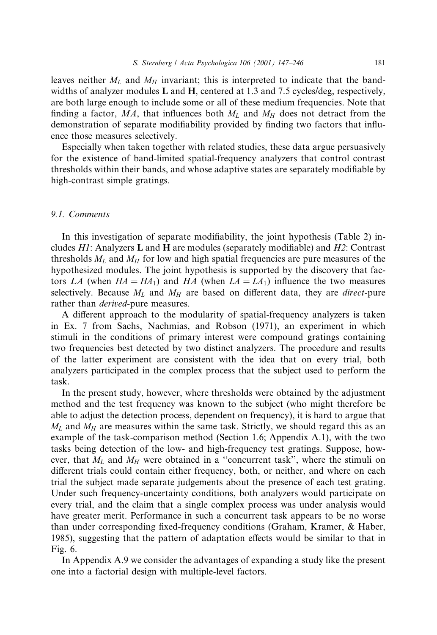leaves neither  $M_L$  and  $M_H$  invariant; this is interpreted to indicate that the bandwidths of analyzer modules  $L$  and  $H$ , centered at 1.3 and 7.5 cycles/deg, respectively, are both large enough to include some or all of these medium frequencies. Note that finding a factor, MA, that influences both  $M_L$  and  $M_H$  does not detract from the demonstration of separate modifiability provided by finding two factors that influence those measures selectively.

Especially when taken together with related studies, these data argue persuasively for the existence of band-limited spatial-frequency analyzers that control contrast thresholds within their bands, and whose adaptive states are separately modifiable by high-contrast simple gratings.

### 9.1. Comments

In this investigation of separate modifiability, the joint hypothesis (Table 2) includes  $H1$ : Analyzers L and H are modules (separately modifiable) and  $H2$ : Contrast thresholds  $M_L$  and  $M_H$  for low and high spatial frequencies are pure measures of the hypothesized modules. The joint hypothesis is supported by the discovery that factors LA (when  $HA = HA_1$ ) and HA (when  $LA = LA_1$ ) influence the two measures selectively. Because  $M_L$  and  $M_H$  are based on different data, they are *direct*-pure rather than *derived*-pure measures.

A different approach to the modularity of spatial-frequency analyzers is taken in Ex. 7 from Sachs, Nachmias, and Robson (1971), an experiment in which stimuli in the conditions of primary interest were compound gratings containing two frequencies best detected by two distinct analyzers. The procedure and results of the latter experiment are consistent with the idea that on every trial, both analyzers participated in the complex process that the subject used to perform the task.

In the present study, however, where thresholds were obtained by the adjustment method and the test frequency was known to the subject (who might therefore be able to adjust the detection process, dependent on frequency), it is hard to argue that  $M_L$  and  $M_H$  are measures within the same task. Strictly, we should regard this as an example of the task-comparison method (Section 1.6; Appendix A.1), with the two tasks being detection of the low- and high-frequency test gratings. Suppose, however, that  $M_L$  and  $M_H$  were obtained in a "concurrent task", where the stimuli on different trials could contain either frequency, both, or neither, and where on each trial the subject made separate judgements about the presence of each test grating. Under such frequency-uncertainty conditions, both analyzers would participate on every trial, and the claim that a single complex process was under analysis would have greater merit. Performance in such a concurrent task appears to be no worse than under corresponding fixed-frequency conditions (Graham, Kramer, & Haber, 1985), suggesting that the pattern of adaptation effects would be similar to that in Fig. 6.

In Appendix A.9 we consider the advantages of expanding a study like the present one into a factorial design with multiple-level factors.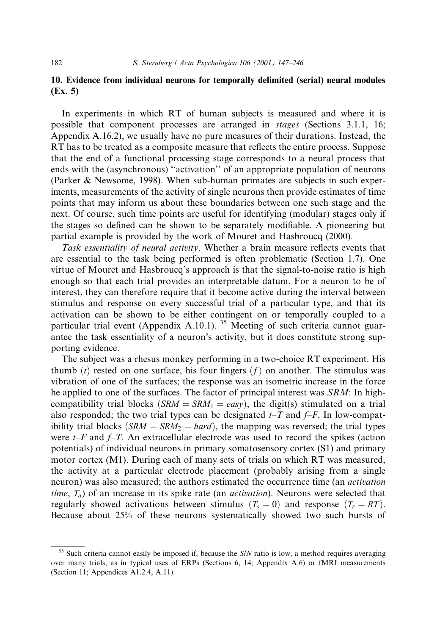# 10. Evidence from individual neurons for temporally delimited (serial) neural modules (Ex. 5)

In experiments in which RT of human subjects is measured and where it is possible that component processes are arranged in stages (Sections 3.1.1, 16; Appendix A.16.2), we usually have no pure measures of their durations. Instead, the RT has to be treated as a composite measure that reflects the entire process. Suppose that the end of a functional processing stage corresponds to a neural process that ends with the (asynchronous) "activation" of an appropriate population of neurons (Parker & Newsome, 1998). When sub-human primates are subjects in such experiments, measurements of the activity of single neurons then provide estimates of time points that may inform us about these boundaries between one such stage and the next. Of course, such time points are useful for identifying (modular) stages only if the stages so defined can be shown to be separately modifiable. A pioneering but partial example is provided by the work of Mouret and Hasbroucq (2000).

Task essentiality of neural activity. Whether a brain measure reflects events that are essential to the task being performed is often problematic (Section 1.7). One virtue of Mouret and Hasbroucq's approach is that the signal-to-noise ratio is high enough so that each trial provides an interpretable datum. For a neuron to be of interest, they can therefore require that it become active during the interval between stimulus and response on every successful trial of a particular type, and that its activation can be shown to be either contingent on or temporally coupled to a particular trial event (Appendix A.10.1).<sup>35</sup> Meeting of such criteria cannot guarantee the task essentiality of a neuron's activity, but it does constitute strong supporting evidence.

The subject was a rhesus monkey performing in a two-choice RT experiment. His thumb  $(t)$  rested on one surface, his four fingers  $(f)$  on another. The stimulus was vibration of one of the surfaces; the response was an isometric increase in the force he applied to one of the surfaces. The factor of principal interest was *SRM*: In highcompatibility trial blocks ( $SRM = SRM_1 = easy$ ), the digit(s) stimulated on a trial also responded; the two trial types can be designated  $t-T$  and  $f-F$ . In low-compatibility trial blocks  $(SRM = SRM_2 = hard)$ , the mapping was reversed; the trial types were  $t-F$  and  $f-T$ . An extracellular electrode was used to record the spikes (action potentials) of individual neurons in primary somatosensory cortex (S1) and primary motor cortex (M1). During each of many sets of trials on which RT was measured, the activity at a particular electrode placement (probably arising from a single neuron) was also measured; the authors estimated the occurrence time (an activation time,  $T_a$ ) of an increase in its spike rate (an *activation*). Neurons were selected that regularly showed activations between stimulus  $(T_s = 0)$  and response  $(T_r = RT)$ . Because about 25% of these neurons systematically showed two such bursts of

 $35$  Such criteria cannot easily be imposed if, because the  $S/N$  ratio is low, a method requires averaging over many trials, as in typical uses of ERPs (Sections 6, 14; Appendix A.6) or fMRI measurements (Section 11; Appendices A1.2.4, A.11).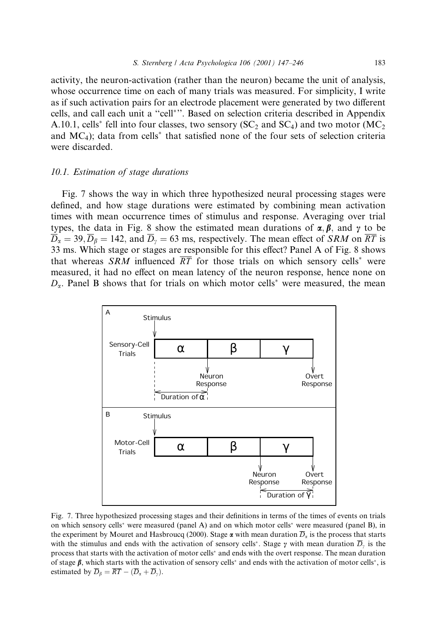activity, the neuron-activation (rather than the neuron) became the unit of analysis, whose occurrence time on each of many trials was measured. For simplicity, I write as if such activation pairs for an electrode placement were generated by two different cells, and call each unit a "cell\*". Based on selection criteria described in Appendix A.10.1, cells<sup>\*</sup> fell into four classes, two sensory ( $SC_2$  and  $SC_4$ ) and two motor ( $MC_2$ and  $MC<sub>4</sub>$ ); data from cells<sup>\*</sup> that satisfied none of the four sets of selection criteria were discarded.

# 10.1. Estimation of stage durations

Fig. 7 shows the way in which three hypothesized neural processing stages were defined, and how stage durations were estimated by combining mean activation times with mean occurrence times of stimulus and response. Averaging over trial types, the data in Fig. 8 show the estimated mean durations of  $\alpha, \beta$ , and  $\gamma$  to be  $\overline{D}_{\alpha}$  = 39,  $\overline{D}_{\beta}$  = 142, and  $\overline{D}_{\gamma}$  = 63 ms, respectively. The mean effect of SRM on  $\overline{RT}$  is 33 ms. Which stage or stages are responsible for this effect? Panel A of Fig. 8 shows that whereas SRM influenced  $\overline{RT}$  for those trials on which sensory cells<sup>\*</sup> were measured, it had no effect on mean latency of the neuron response, hence none on  $D_{\alpha}$ . Panel B shows that for trials on which motor cells<sup>\*</sup> were measured, the mean



Fig. 7. Three hypothesized processing stages and their definitions in terms of the times of events on trials on which sensory cells<sup>\*</sup> were measured (panel A) and on which motor cells<sup>\*</sup> were measured (panel B), in the experiment by Mouret and Hasbroucq (2000). Stage  $\alpha$  with mean duration  $\overline{D}_\alpha$  is the process that starts with the stimulus and ends with the activation of sensory cells<sup>\*</sup>. Stage  $\gamma$  with mean duration  $\overline{D}_\gamma$  is the process that starts with the activation of motor cells<sup>\*</sup> and ends with the overt response. The mean duration of stage  $\beta$ , which starts with the activation of sensory cells<sup>\*</sup> and ends with the activation of motor cells<sup>\*</sup>, is estimated by  $\overline{D}_{\beta} = \overline{RT} - (\overline{D}_{\alpha} + \overline{D}_{\gamma}).$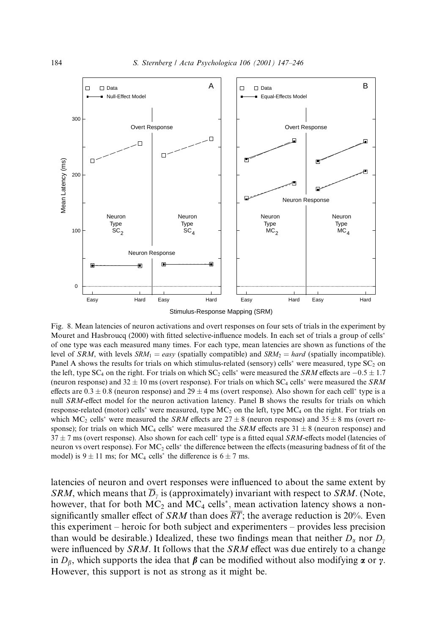

Stimulus-Response Mapping (SRM)

Fig. 8. Mean latencies of neuron activations and overt responses on four sets of trials in the experiment by Mouret and Hasbroucq (2000) with fitted selective-influence models. In each set of trials a group of cells<sup>\*</sup> of one type was each measured many times. For each type, mean latencies are shown as functions of the level of SRM, with levels  $SRM_1 = easy$  (spatially compatible) and  $SRM_2 = hard$  (spatially incompatible). Panel A shows the results for trials on which stimulus-related (sensory) cells<sup>\*</sup> were measured, type  $SC_2$  on the left, type SC<sub>4</sub> on the right. For trials on which SC<sub>2</sub> cells<sup>\*</sup> were measured the SRM effects are  $-0.5 \pm 1.7$ (neuron response) and  $32 \pm 10$  ms (overt response). For trials on which SC<sub>4</sub> cells<sup>\*</sup> were measured the SRM effects are  $0.3 \pm 0.8$  (neuron response) and  $29 \pm 4$  ms (overt response). Also shown for each cell<sup>\*</sup> type is a null SRM-effect model for the neuron activation latency. Panel B shows the results for trials on which response-related (motor) cells<sup>\*</sup> were measured, type  $MC_2$  on the left, type  $MC_4$  on the right. For trials on which MC<sub>2</sub> cells<sup>\*</sup> were measured the SRM effects are  $27 \pm 8$  (neuron response) and  $35 \pm 8$  ms (overt response); for trials on which MC<sub>4</sub> cells<sup>\*</sup> were measured the *SRM* effects are 31  $\pm$  8 (neuron response) and  $37 \pm 7$  ms (overt response). Also shown for each cell<sup>\*</sup> type is a fitted equal SRM-effects model (latencies of neuron vs overt response). For  $MC_2$  cells<sup>\*</sup> the difference between the effects (measuring badness of fit of the model) is  $9 \pm 11$  ms; for MC<sub>4</sub> cells<sup>\*</sup> the difference is  $6 \pm 7$  ms.

latencies of neuron and overt responses were influenced to about the same extent by SRM, which means that  $\overline{D}_y$  is (approximately) invariant with respect to SRM. (Note, however, that for both  $MC_2$  and  $MC_4$  cells<sup>\*</sup>, mean activation latency shows a nonsignificantly smaller effect of *SRM* than does  $\overline{RT}$ ; the average reduction is 20%. Even this experiment  $-$  heroic for both subject and experimenters  $-$  provides less precision than would be desirable.) Idealized, these two findings mean that neither  $D_{\alpha}$  nor  $D_{\nu}$ were influenced by  $SRM$ . It follows that the  $SRM$  effect was due entirely to a change in  $D_{\beta}$ , which supports the idea that  $\beta$  can be modified without also modifying  $\alpha$  or  $\gamma$ . However, this support is not as strong as it might be.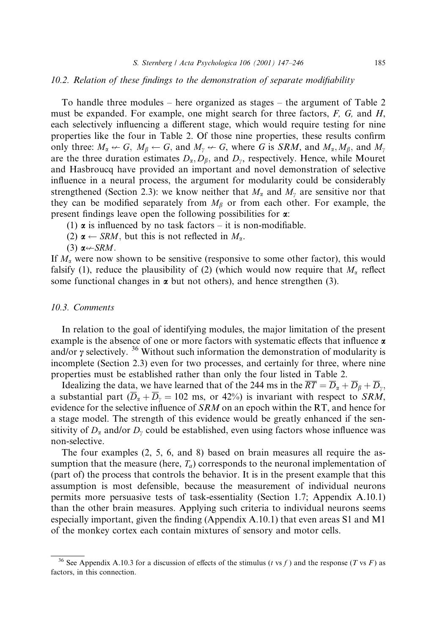### 10.2. Relation of these findings to the demonstration of separate modifiability

To handle three modules  $-$  here organized as stages  $-$  the argument of Table 2 must be expanded. For example, one might search for three factors,  $F$ ,  $G$ , and  $H$ , each selectively influencing a different stage, which would require testing for nine properties like the four in Table 2. Of those nine properties, these results confirm only three:  $M_{\alpha} \leftarrow G$ ,  $M_{\beta} \leftarrow G$ , and  $M_{\gamma} \leftarrow G$ , where G is SRM, and  $M_{\alpha}$ ,  $M_{\beta}$ , and  $M_{\gamma}$ are the three duration estimates  $D_{\alpha}$ ,  $D_{\beta}$ , and  $D_{\gamma}$ , respectively. Hence, while Mouret and Hasbroucq have provided an important and novel demonstration of selective influence in a neural process, the argument for modularity could be considerably strengthened (Section 2.3): we know neither that  $M_{\alpha}$  and  $M_{\gamma}$  are sensitive nor that they can be modified separately from  $M_\beta$  or from each other. For example, the present findings leave open the following possibilities for  $\alpha$ :

- (1)  $\alpha$  is influenced by no task factors it is non-modifiable.
- (2)  $\alpha \leftarrow SRM$ , but this is not reflected in  $M_{\alpha}$ .

(3)  $\alpha \leftarrow SRM$ .

If  $M_{\alpha}$  were now shown to be sensitive (responsive to some other factor), this would falsify (1), reduce the plausibility of (2) (which would now require that  $M_{\alpha}$  reflect some functional changes in  $\alpha$  but not others), and hence strengthen (3).

# 10.3. Comments

In relation to the goal of identifying modules, the major limitation of the present example is the absence of one or more factors with systematic effects that influence  $\alpha$ and/or  $\gamma$  selectively. <sup>36</sup> Without such information the demonstration of modularity is incomplete (Section 2.3) even for two processes, and certainly for three, where nine properties must be established rather than only the four listed in Table 2.

Idealizing the data, we have learned that of the 244 ms in the  $\overline{RT} = \overline{D}_{\alpha} + \overline{D}_{\beta} + \overline{D}_{\gamma}$ , a substantial part  $(\overline{D}_{\alpha} + \overline{D}_{\alpha} = 102 \text{ ms}, \text{ or } 42\%)$  is invariant with respect to SRM, evidence for the selective influence of  $SRM$  on an epoch within the RT, and hence for a stage model. The strength of this evidence would be greatly enhanced if the sensitivity of  $D_{\alpha}$  and/or  $D_{\gamma}$  could be established, even using factors whose influence was non-selective.

The four examples (2, 5, 6, and 8) based on brain measures all require the assumption that the measure (here,  $T_a$ ) corresponds to the neuronal implementation of (part of) the process that controls the behavior. It is in the present example that this assumption is most defensible, because the measurement of individual neurons permits more persuasive tests of task-essentiality (Section 1.7; Appendix A.10.1) than the other brain measures. Applying such criteria to individual neurons seems especially important, given the finding (Appendix A.10.1) that even areas S1 and M1 of the monkey cortex each contain mixtures of sensory and motor cells.

<sup>&</sup>lt;sup>36</sup> See Appendix A.10.3 for a discussion of effects of the stimulus (t vs f) and the response (T vs F) as factors, in this connection.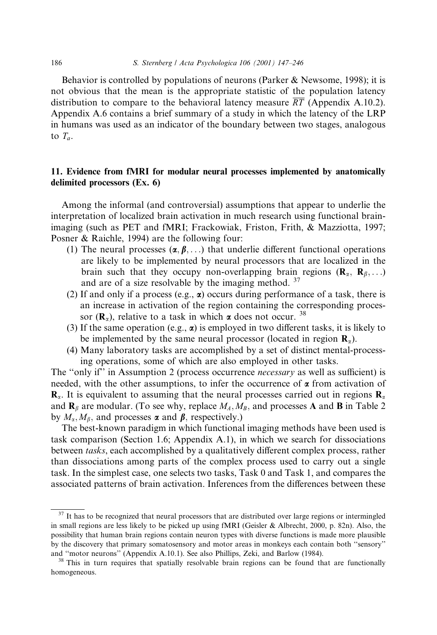Behavior is controlled by populations of neurons (Parker & Newsome, 1998); it is not obvious that the mean is the appropriate statistic of the population latency distribution to compare to the behavioral latency measure  $\overline{RT}$  (Appendix A.10.2). Appendix A.6 contains a brief summary of a study in which the latency of the LRP in humans was used as an indicator of the boundary between two stages, analogous to  $T_a$ .

# 11. Evidence from fMRI for modular neural processes implemented by anatomically delimited processors (Ex. 6)

Among the informal (and controversial) assumptions that appear to underlie the interpretation of localized brain activation in much research using functional brainimaging (such as PET and fMRI; Frackowiak, Friston, Frith, & Mazziotta, 1997; Posner & Raichle, 1994) are the following four:

- (1) The neural processes  $(\alpha, \beta, \ldots)$  that underlie different functional operations are likely to be implemented by neural processors that are localized in the brain such that they occupy non-overlapping brain regions  $(\mathbf{R}_{\alpha}, \mathbf{R}_{\beta}, \ldots)$ and are of a size resolvable by the imaging method.  $37$
- (2) If and only if a process (e.g.,  $\alpha$ ) occurs during performance of a task, there is an increase in activation of the region containing the corresponding processor  $(\mathbf{R}_{\alpha})$ , relative to a task in which  $\alpha$  does not occur. <sup>38</sup>
- (3) If the same operation (e.g.,  $\alpha$ ) is employed in two different tasks, it is likely to be implemented by the same neural processor (located in region  $\mathbf{R}_\alpha$ ).
- (4) Many laboratory tasks are accomplished by a set of distinct mental-processing operations, some of which are also employed in other tasks.

The "only if" in Assumption 2 (process occurrence *necessary* as well as sufficient) is needed, with the other assumptions, to infer the occurrence of  $\alpha$  from activation of  $\mathbf{R}_{\alpha}$ . It is equivalent to assuming that the neural processes carried out in regions  $\mathbf{R}_{\alpha}$ and  $\mathbf{R}_{\beta}$  are modular. (To see why, replace  $M_A, M_B$ , and processes A and B in Table 2 by  $M_{\alpha}$ ,  $M_{\beta}$ , and processes  $\alpha$  and  $\beta$ , respectively.)

The best-known paradigm in which functional imaging methods have been used is task comparison (Section 1.6; Appendix A.1), in which we search for dissociations between tasks, each accomplished by a qualitatively different complex process, rather than dissociations among parts of the complex process used to carry out a single task. In the simplest case, one selects two tasks, Task 0 and Task 1, and compares the associated patterns of brain activation. Inferences from the differences between these

<sup>&</sup>lt;sup>37</sup> It has to be recognized that neural processors that are distributed over large regions or intermingled in small regions are less likely to be picked up using fMRI (Geisler & Albrecht, 2000, p. 82n). Also, the possibility that human brain regions contain neuron types with diverse functions is made more plausible by the discovery that primary somatosensory and motor areas in monkeys each contain both "sensory" and "motor neurons" (Appendix A.10.1). See also Phillips, Zeki, and Barlow (1984).

<sup>&</sup>lt;sup>38</sup> This in turn requires that spatially resolvable brain regions can be found that are functionally homogeneous.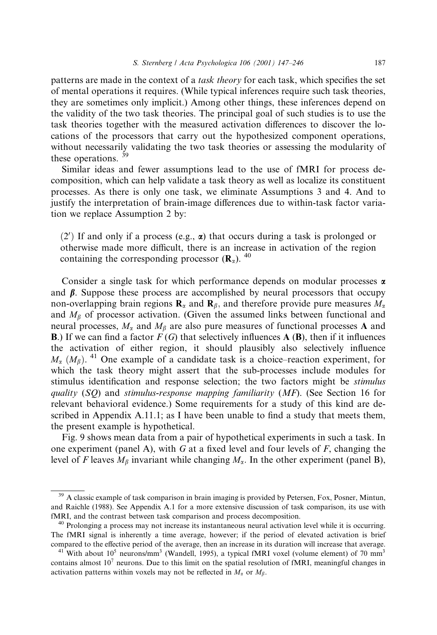patterns are made in the context of a *task theory* for each task, which specifies the set of mental operations it requires. (While typical inferences require such task theories, they are sometimes only implicit.) Among other things, these inferences depend on the validity of the two task theories. The principal goal of such studies is to use the task theories together with the measured activation differences to discover the locations of the processors that carry out the hypothesized component operations, without necessarily validating the two task theories or assessing the modularity of these operations.<sup>39</sup>

Similar ideas and fewer assumptions lead to the use of fMRI for process decomposition, which can help validate a task theory as well as localize its constituent processes. As there is only one task, we eliminate Assumptions 3 and 4. And to justify the interpretation of brain-image differences due to within-task factor variation we replace Assumption 2 by:

 $(2')$  If and only if a process (e.g.,  $\alpha$ ) that occurs during a task is prolonged or otherwise made more difficult, there is an increase in activation of the region containing the corresponding processor  $(\mathbf{R}_{\alpha})$ . <sup>40</sup>

Consider a single task for which performance depends on modular processes  $\alpha$ and  $\beta$ . Suppose these process are accomplished by neural processors that occupy non-overlapping brain regions  $\mathbf{R}_{\alpha}$  and  $\mathbf{R}_{\beta}$ , and therefore provide pure measures  $M_{\alpha}$ and  $M<sub>β</sub>$  of processor activation. (Given the assumed links between functional and neural processes,  $M_{\alpha}$  and  $M_{\beta}$  are also pure measures of functional processes A and **B.**) If we can find a factor  $F(G)$  that selectively influences **A** (**B**), then if it influences the activation of either region, it should plausibly also selectively influence  $M_{\alpha}$  ( $M_{\beta}$ ). <sup>41</sup> One example of a candidate task is a choice–reaction experiment, for which the task theory might assert that the sub-processes include modules for stimulus identification and response selection; the two factors might be *stimulus* quality  $(SQ)$  and stimulus-response mapping familiarity  $(MF)$ . (See Section 16 for relevant behavioral evidence.) Some requirements for a study of this kind are described in Appendix A.11.1; as I have been unable to find a study that meets them, the present example is hypothetical.

Fig. 9 shows mean data from a pair of hypothetical experiments in such a task. In one experiment (panel A), with G at a fixed level and four levels of F, changing the level of F leaves  $M_\beta$  invariant while changing  $M_\alpha$ . In the other experiment (panel B),

<sup>&</sup>lt;sup>39</sup> A classic example of task comparison in brain imaging is provided by Petersen, Fox, Posner, Mintun, and Raichle (1988). See Appendix A.1 for a more extensive discussion of task comparison, its use with fMRI, and the contrast between task comparison and process decomposition. <sup>40</sup> Prolonging a process may not increase its instantaneous neural activation level while it is occurring.

The fMRI signal is inherently a time average, however; if the period of elevated activation is brief compared to the effective period of the average, then an increase in its duration will increase that average.  $41$  With about  $10^5$  neurons/mm<sup>3</sup> (Wandell, 1995), a typical fMRI voxel (volume element) of 70 mm<sup>3</sup>

contains almost  $10<sup>7</sup>$  neurons. Due to this limit on the spatial resolution of fMRI, meaningful changes in activation patterns within voxels may not be reflected in  $M_{\alpha}$  or  $M_{\beta}$ .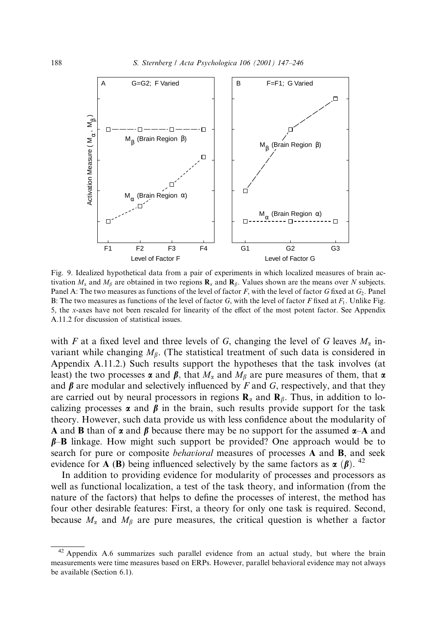

Fig. 9. Idealized hypothetical data from a pair of experiments in which localized measures of brain activation  $M_{\alpha}$  and  $M_{\beta}$  are obtained in two regions  $\mathbf{R}_{\alpha}$  and  $\mathbf{R}_{\beta}$ . Values shown are the means over N subjects. Panel A: The two measures as functions of the level of factor  $F$ , with the level of factor  $G$  fixed at  $G_2$ . Panel B: The two measures as functions of the level of factor  $G$ , with the level of factor  $F$  fixed at  $F_1$ . Unlike Fig. 5, the x-axes have not been rescaled for linearity of the effect of the most potent factor. See Appendix A.11.2 for discussion of statistical issues.

with F at a fixed level and three levels of G, changing the level of G leaves  $M_{\alpha}$  invariant while changing  $M_\beta$ . (The statistical treatment of such data is considered in Appendix A.11.2.) Such results support the hypotheses that the task involves (at least) the two processes  $\alpha$  and  $\beta$ , that  $M_{\alpha}$  and  $M_{\beta}$  are pure measures of them, that  $\alpha$ and  $\beta$  are modular and selectively influenced by F and G, respectively, and that they are carried out by neural processors in regions  $\mathbf{R}_{\alpha}$  and  $\mathbf{R}_{\beta}$ . Thus, in addition to localizing processes  $\alpha$  and  $\beta$  in the brain, such results provide support for the task theory. However, such data provide us with less confidence about the modularity of **A** and **B** than of  $\alpha$  and  $\beta$  because there may be no support for the assumed  $\alpha$ -A and  $\beta$ -B linkage. How might such support be provided? One approach would be to search for pure or composite *behavioral* measures of processes **A** and **B**, and seek evidence for **A** (**B**) being influenced selectively by the same factors as  $\alpha$  ( $\beta$ ). <sup>42</sup>

In addition to providing evidence for modularity of processes and processors as well as functional localization, a test of the task theory, and information (from the nature of the factors) that helps to define the processes of interest, the method has four other desirable features: First, a theory for only one task is required. Second, because  $M_{\alpha}$  and  $M_{\beta}$  are pure measures, the critical question is whether a factor

<sup>&</sup>lt;sup>42</sup> Appendix A.6 summarizes such parallel evidence from an actual study, but where the brain measurements were time measures based on ERPs. However, parallel behavioral evidence may not always be available (Section 6.1).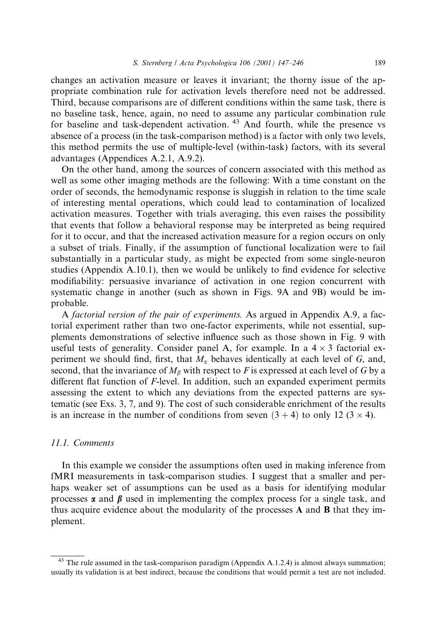changes an activation measure or leaves it invariant; the thorny issue of the appropriate combination rule for activation levels therefore need not be addressed. Third, because comparisons are of different conditions within the same task, there is no baseline task, hence, again, no need to assume any particular combination rule for baseline and task-dependent activation.<sup>43</sup> And fourth, while the presence vs absence of a process (in the task-comparison method) is a factor with only two levels, this method permits the use of multiple-level (within-task) factors, with its several advantages (Appendices A.2.1, A.9.2).

On the other hand, among the sources of concern associated with this method as well as some other imaging methods are the following: With a time constant on the order of seconds, the hemodynamic response is sluggish in relation to the time scale of interesting mental operations, which could lead to contamination of localized activation measures. Together with trials averaging, this even raises the possibility that events that follow a behavioral response may be interpreted as being required for it to occur, and that the increased activation measure for a region occurs on only a subset of trials. Finally, if the assumption of functional localization were to fail substantially in a particular study, as might be expected from some single-neuron studies (Appendix  $A.10.1$ ), then we would be unlikely to find evidence for selective modifiability: persuasive invariance of activation in one region concurrent with systematic change in another (such as shown in Figs. 9A and 9B) would be improbable.

A factorial version of the pair of experiments. As argued in Appendix A.9, a factorial experiment rather than two one-factor experiments, while not essential, supplements demonstrations of selective influence such as those shown in Fig. 9 with useful tests of generality. Consider panel A, for example. In a  $4 \times 3$  factorial experiment we should find, first, that  $M_{\alpha}$  behaves identically at each level of G, and, second, that the invariance of  $M_\beta$  with respect to F is expressed at each level of G by a different flat function of  $F$ -level. In addition, such an expanded experiment permits assessing the extent to which any deviations from the expected patterns are systematic (see Exs. 3, 7, and 9). The cost of such considerable enrichment of the results is an increase in the number of conditions from seven  $(3 + 4)$  to only 12  $(3 \times 4)$ .

### 11.1. Comments

In this example we consider the assumptions often used in making inference from fMRI measurements in task-comparison studies. I suggest that a smaller and perhaps weaker set of assumptions can be used as a basis for identifying modular processes  $\alpha$  and  $\beta$  used in implementing the complex process for a single task, and thus acquire evidence about the modularity of the processes A and B that they implement.

<sup>&</sup>lt;sup>43</sup> The rule assumed in the task-comparison paradigm (Appendix A.1.2.4) is almost always summation; usually its validation is at best indirect, because the conditions that would permit a test are not included.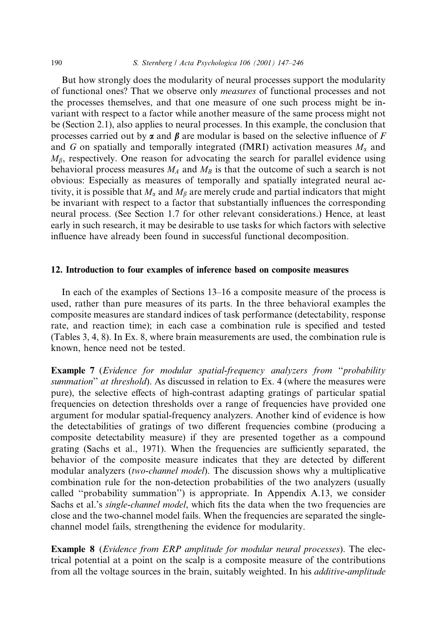But how strongly does the modularity of neural processes support the modularity of functional ones? That we observe only measures of functional processes and not the processes themselves, and that one measure of one such process might be invariant with respect to a factor while another measure of the same process might not be (Section 2.1), also applies to neural processes. In this example, the conclusion that processes carried out by  $\alpha$  and  $\beta$  are modular is based on the selective influence of F and G on spatially and temporally integrated (fMRI) activation measures  $M_{\alpha}$  and  $M_{\beta}$ , respectively. One reason for advocating the search for parallel evidence using behavioral process measures  $M_A$  and  $M_B$  is that the outcome of such a search is not obvious: Especially as measures of temporally and spatially integrated neural activity, it is possible that  $M_{\alpha}$  and  $M_{\beta}$  are merely crude and partial indicators that might be invariant with respect to a factor that substantially influences the corresponding neural process. (See Section 1.7 for other relevant considerations.) Hence, at least early in such research, it may be desirable to use tasks for which factors with selective influence have already been found in successful functional decomposition.

# 12. Introduction to four examples of inference based on composite measures

In each of the examples of Sections 13–16 a composite measure of the process is used, rather than pure measures of its parts. In the three behavioral examples the composite measures are standard indices of task performance (detectability, response rate, and reaction time); in each case a combination rule is specified and tested (Tables 3, 4, 8). In Ex. 8, where brain measurements are used, the combination rule is known, hence need not be tested.

**Example 7** (Evidence for modular spatial-frequency analyzers from "probability summation" at threshold). As discussed in relation to Ex. 4 (where the measures were pure), the selective effects of high-contrast adapting gratings of particular spatial frequencies on detection thresholds over a range of frequencies have provided one argument for modular spatial-frequency analyzers. Another kind of evidence is how the detectabilities of gratings of two different frequencies combine (producing a composite detectability measure) if they are presented together as a compound grating (Sachs et al., 1971). When the frequencies are sufficiently separated, the behavior of the composite measure indicates that they are detected by different modular analyzers *(two-channel model)*. The discussion shows why a multiplicative combination rule for the non-detection probabilities of the two analyzers (usually called ``probability summation'') is appropriate. In Appendix A.13, we consider Sachs et al.'s *single-channel model*, which fits the data when the two frequencies are close and the two-channel model fails. When the frequencies are separated the singlechannel model fails, strengthening the evidence for modularity.

**Example 8** (Evidence from ERP amplitude for modular neural processes). The electrical potential at a point on the scalp is a composite measure of the contributions from all the voltage sources in the brain, suitably weighted. In his *additive-amplitude*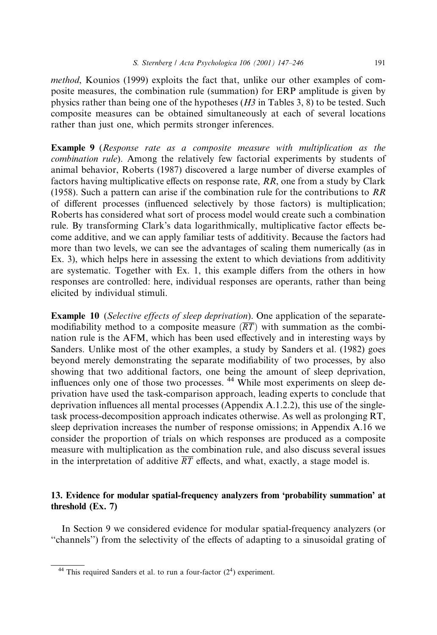method, Kounios (1999) exploits the fact that, unlike our other examples of composite measures, the combination rule (summation) for ERP amplitude is given by physics rather than being one of the hypotheses  $(H3 \text{ in Tables 3, 8})$  to be tested. Such composite measures can be obtained simultaneously at each of several locations rather than just one, which permits stronger inferences.

**Example 9** (Response rate as a composite measure with multiplication as the combination rule). Among the relatively few factorial experiments by students of animal behavior, Roberts (1987) discovered a large number of diverse examples of factors having multiplicative effects on response rate,  $RR$ , one from a study by Clark (1958). Such a pattern can arise if the combination rule for the contributions to  $RR$ of different processes (influenced selectively by those factors) is multiplication; Roberts has considered what sort of process model would create such a combination rule. By transforming Clark's data logarithmically, multiplicative factor effects become additive, and we can apply familiar tests of additivity. Because the factors had more than two levels, we can see the advantages of scaling them numerically (as in Ex. 3), which helps here in assessing the extent to which deviations from additivity are systematic. Together with Ex. 1, this example differs from the others in how responses are controlled: here, individual responses are operants, rather than being elicited by individual stimuli.

**Example 10** (Selective effects of sleep deprivation). One application of the separatemodifiability method to a composite measure  $\overline{RT}$  with summation as the combination rule is the AFM, which has been used effectively and in interesting ways by Sanders. Unlike most of the other examples, a study by Sanders et al. (1982) goes beyond merely demonstrating the separate modifiability of two processes, by also showing that two additional factors, one being the amount of sleep deprivation, influences only one of those two processes. <sup>44</sup> While most experiments on sleep deprivation have used the task-comparison approach, leading experts to conclude that deprivation influences all mental processes (Appendix A.1.2.2), this use of the singletask process-decomposition approach indicates otherwise. As well as prolonging RT, sleep deprivation increases the number of response omissions; in Appendix A.16 we consider the proportion of trials on which responses are produced as a composite measure with multiplication as the combination rule, and also discuss several issues in the interpretation of additive  $\overline{RT}$  effects, and what, exactly, a stage model is.

# 13. Evidence for modular spatial-frequency analyzers from `probability summation' at threshold (Ex. 7)

In Section 9 we considered evidence for modular spatial-frequency analyzers (or "channels") from the selectivity of the effects of adapting to a sinusoidal grating of

 $44$  This required Sanders et al. to run a four-factor  $(2<sup>4</sup>)$  experiment.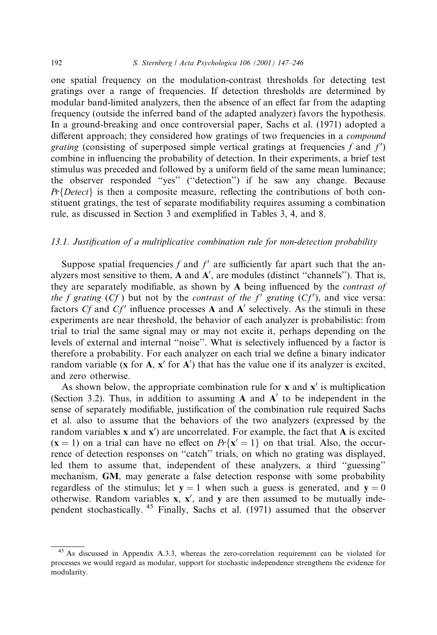one spatial frequency on the modulation-contrast thresholds for detecting test gratings over a range of frequencies. If detection thresholds are determined by modular band-limited analyzers, then the absence of an effect far from the adapting frequency (outside the inferred band of the adapted analyzer) favors the hypothesis. In a ground-breaking and once controversial paper, Sachs et al. (1971) adopted a different approach; they considered how gratings of two frequencies in a *compound* grating (consisting of superposed simple vertical gratings at frequencies  $f$  and  $f'$ ) combine in influencing the probability of detection. In their experiments, a brief test stimulus was preceded and followed by a uniform field of the same mean luminance; the observer responded "yes" ("detection") if he saw any change. Because  $Pr\{Detect\}$  is then a composite measure, reflecting the contributions of both constituent gratings, the test of separate modifiability requires assuming a combination rule, as discussed in Section 3 and exemplified in Tables 3, 4, and 8.

# $13.1.$  Justification of a multiplicative combination rule for non-detection probability

Suppose spatial frequencies f and  $f'$  are sufficiently far apart such that the analyzers most sensitive to them, A and  $A'$ , are modules (distinct "channels"). That is, they are separately modifiable, as shown by  $A$  being influenced by the *contrast of* the f grating  $(Cf)$  but not by the contrast of the f' grating  $(Cf')$ , and vice versa: factors  $Cf$  and  $Cf'$  influence processes A and A' selectively. As the stimuli in these experiments are near threshold, the behavior of each analyzer is probabilistic: from trial to trial the same signal may or may not excite it, perhaps depending on the levels of external and internal "noise". What is selectively influenced by a factor is therefore a probability. For each analyzer on each trial we define a binary indicator random variable ( $x$  for  $A$ ,  $x'$  for  $A'$ ) that has the value one if its analyzer is excited, and zero otherwise.

As shown below, the appropriate combination rule for  $x$  and  $x'$  is multiplication (Section 3.2). Thus, in addition to assuming  $A$  and  $A'$  to be independent in the sense of separately modifiable, justification of the combination rule required Sachs et al. also to assume that the behaviors of the two analyzers (expressed by the random variables  $x$  and  $x'$ ) are uncorrelated. For example, the fact that  $A$  is excited  $(x = 1)$  on a trial can have no effect on  $Pr{x = 1}$  on that trial. Also, the occurrence of detection responses on "catch" trials, on which no grating was displayed, led them to assume that, independent of these analyzers, a third "guessing" mechanism, GM, may generate a false detection response with some probability regardless of the stimulus; let  $y = 1$  when such a guess is generated, and  $y = 0$ otherwise. Random variables  $x$ ,  $x'$ , and  $y$  are then assumed to be mutually independent stochastically. <sup>45</sup> Finally, Sachs et al. (1971) assumed that the observer

<sup>&</sup>lt;sup>45</sup> As discussed in Appendix A.3.3, whereas the zero-correlation requirement can be violated for processes we would regard as modular, support for stochastic independence strengthens the evidence for modularity.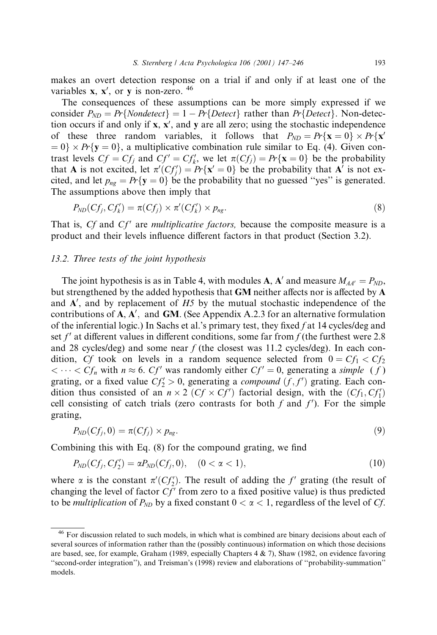makes an overt detection response on a trial if and only if at least one of the variables  $x$ ,  $x'$ , or  $y$  is non-zero.  $46$ 

The consequences of these assumptions can be more simply expressed if we consider  $P_{ND} = Pr\{Nondetect\} = 1 - Pr\{Detect\}$  rather than  $Pr\{Detect\}$ . Non-detection occurs if and only if  $x$ ,  $x'$ , and  $y$  are all zero; using the stochastic independence of these three random variables, it follows that  $P_{ND} = Pr{\mathbf{x} = 0} \times Pr{\mathbf{x}'$  $= 0$  × Pr{y = 0}, a multiplicative combination rule similar to Eq. (4). Given contrast levels  $Cf = Cf_j$  and  $Cf' = Cf'_k$ , we let  $\pi(Cf_j) = Pr\{\mathbf{x} = 0\}$  be the probability that **A** is not excited, let  $\pi'(Cf_j') = Pr\{\mathbf{x}' = 0\}$  be the probability that **A**' is not excited, and let  $p_{ng} = Pr{y = 0}$  be the probability that no guessed "yes" is generated. The assumptions above then imply that

$$
P_{ND}(Cf_j, Cf'_k) = \pi(Cf_j) \times \pi'(Cf'_k) \times p_{ng}.
$$
\n(8)

That is,  $C_f$  and  $C_f$  are *multiplicative factors*, because the composite measure is a product and their levels influence different factors in that product (Section 3.2).

# 13.2. Three tests of the joint hypothesis

The joint hypothesis is as in Table 4, with modules A, A' and measure  $M_{AA'} = P_{ND}$ , but strengthened by the added hypothesis that GM neither affects nor is affected by  $A$ and  $A'$ , and by replacement of  $H5$  by the mutual stochastic independence of the contributions of  $A$ ,  $A'$ , and  $GM$ . (See Appendix A.2.3 for an alternative formulation of the inferential logic.) In Sachs et al.'s primary test, they fixed f at 14 cycles/deg and set f' at different values in different conditions, some far from f (the furthest were 2.8) and 28 cycles/deg) and some near  $f$  (the closest was 11.2 cycles/deg). In each condition, Cf took on levels in a random sequence selected from  $0 = Cf_1 < Cf_2$  $\langle \cdots \langle Cf_n \rangle$  with  $n \approx 6$ . Cf' was randomly either  $Cf' = 0$ , generating a simple (f) grating, or a fixed value  $Cf_2' > 0$ , generating a *compound*  $(f, f')$  grating. Each condition thus consisted of an  $n \times 2$  (Cf  $\times$  Cf') factorial design, with the (Cf<sub>1</sub>, Cf'<sub>1</sub>) cell consisting of catch trials (zero contrasts for both  $f$  and  $f'$ ). For the simple grating,

$$
P_{ND}(Cf_j,0)=\pi(Cf_j)\times p_{ng}.\tag{9}
$$

Combining this with Eq.  $(8)$  for the compound grating, we find

$$
P_{ND}(Cf_j, Cf'_2) = \alpha P_{ND}(Cf_j, 0), \quad (0 < \alpha < 1), \tag{10}
$$

where  $\alpha$  is the constant  $\pi'(Cf_2')$ . The result of adding the f' grating (the result of changing the level of factor  $Cf'$  from zero to a fixed positive value) is thus predicted to be *multiplication* of  $P_{ND}$  by a fixed constant  $0 < \alpha < 1$ , regardless of the level of Cf.

<sup>&</sup>lt;sup>46</sup> For discussion related to such models, in which what is combined are binary decisions about each of several sources of information rather than the (possibly continuous) information on which those decisions are based, see, for example, Graham (1989, especially Chapters  $4 \& 7$ ), Shaw (1982, on evidence favoring ``second-order integration''), and Treisman's (1998) review and elaborations of ``probability-summation'' models.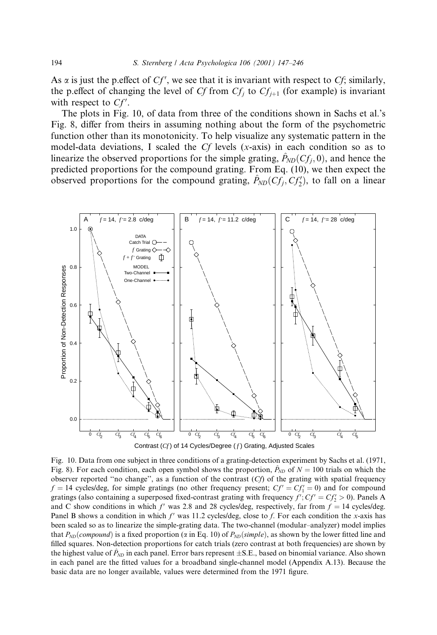As  $\alpha$  is just the p.effect of  $Cf'$ , we see that it is invariant with respect to  $Cf$ ; similarly, the p.effect of changing the level of Cf from  $C_f$  to  $C_{f+1}$  (for example) is invariant with respect to  $Cf'$ .

The plots in Fig. 10, of data from three of the conditions shown in Sachs et al.'s Fig. 8, differ from theirs in assuming nothing about the form of the psychometric function other than its monotonicity. To help visualize any systematic pattern in the model-data deviations, I scaled the  $Cf$  levels (x-axis) in each condition so as to linearize the observed proportions for the simple grating,  $\hat{P}_{ND}(Cf_j, 0)$ , and hence the predicted proportions for the compound grating. From Eq. (10), we then expect the observed proportions for the compound grating,  $\hat{P}_{ND}(Cf_j, Cf'_2)$ , to fall on a linear



Fig. 10. Data from one subject in three conditions of a grating-detection experiment by Sachs et al. (1971, Fig. 8). For each condition, each open symbol shows the proportion,  $\hat{P}_{ND}$  of  $N = 100$  trials on which the observer reported "no change", as a function of the contrast  $(Cf)$  of the grating with spatial frequency  $f = 14$  cycles/deg, for simple gratings (no other frequency present;  $Cf' = Cf'_1 = 0$ ) and for compound gratings (also containing a superposed fixed-contrast grating with frequency  $f$ ;  $Cf' = Cf'_{2} > 0$ ). Panels A and C show conditions in which  $f'$  was 2.8 and 28 cycles/deg, respectively, far from  $f = 14$  cycles/deg. Panel B shows a condition in which  $f'$  was 11.2 cycles/deg, close to f. For each condition the x-axis has been scaled so as to linearize the simple-grating data. The two-channel (modular-analyzer) model implies that  $P_{ND}(compound)$  is a fixed proportion ( $\alpha$  in Eq. 10) of  $P_{ND}(simple)$ , as shown by the lower fitted line and filled squares. Non-detection proportions for catch trials (zero contrast at both frequencies) are shown by the highest value of  $\hat{P}_{ND}$  in each panel. Error bars represent  $\pm$ S.E., based on binomial variance. Also shown in each panel are the fitted values for a broadband single-channel model (Appendix A.13). Because the basic data are no longer available, values were determined from the 1971 figure.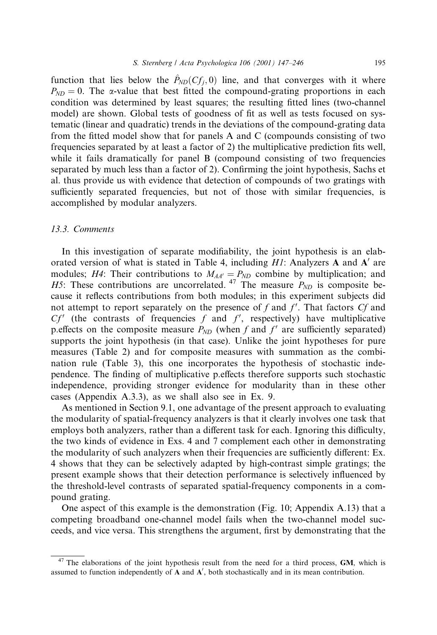function that lies below the  $\hat{P}_{ND}(Cf_j, 0)$  line, and that converges with it where  $P_{ND} = 0$ . The  $\alpha$ -value that best fitted the compound-grating proportions in each condition was determined by least squares; the resulting fitted lines (two-channel model) are shown. Global tests of goodness of fit as well as tests focused on systematic (linear and quadratic) trends in the deviations of the compound-grating data from the fitted model show that for panels A and C (compounds consisting of two frequencies separated by at least a factor of 2) the multiplicative prediction fits well, while it fails dramatically for panel B (compound consisting of two frequencies separated by much less than a factor of 2). Confirming the joint hypothesis, Sachs et al. thus provide us with evidence that detection of compounds of two gratings with sufficiently separated frequencies, but not of those with similar frequencies, is accomplished by modular analyzers.

### 13.3. Comments

In this investigation of separate modifiability, the joint hypothesis is an elaborated version of what is stated in Table 4, including  $H1$ : Analyzers A and A' are modules; H4: Their contributions to  $M_{AA'} = P_{ND}$  combine by multiplication; and H5: These contributions are uncorrelated. <sup>47</sup> The measure  $P_{ND}$  is composite because it reflects contributions from both modules; in this experiment subjects did not attempt to report separately on the presence of  $f$  and  $f'$ . That factors  $Cf$  and  $Cf'$  (the contrasts of frequencies f and  $f'$ , respectively) have multiplicative p.effects on the composite measure  $P_{ND}$  (when f and f' are sufficiently separated) supports the joint hypothesis (in that case). Unlike the joint hypotheses for pure measures (Table 2) and for composite measures with summation as the combination rule (Table 3), this one incorporates the hypothesis of stochastic independence. The finding of multiplicative p.effects therefore supports such stochastic independence, providing stronger evidence for modularity than in these other cases (Appendix A.3.3), as we shall also see in Ex. 9.

As mentioned in Section 9.1, one advantage of the present approach to evaluating the modularity of spatial-frequency analyzers is that it clearly involves one task that employs both analyzers, rather than a different task for each. Ignoring this difficulty, the two kinds of evidence in Exs. 4 and 7 complement each other in demonstrating the modularity of such analyzers when their frequencies are sufficiently different: Ex. 4 shows that they can be selectively adapted by high-contrast simple gratings; the present example shows that their detection performance is selectively influenced by the threshold-level contrasts of separated spatial-frequency components in a compound grating.

One aspect of this example is the demonstration (Fig. 10; Appendix A.13) that a competing broadband one-channel model fails when the two-channel model succeeds, and vice versa. This strengthens the argument, first by demonstrating that the

 $47$  The elaborations of the joint hypothesis result from the need for a third process, GM, which is assumed to function independently of  $A$  and  $A'$ , both stochastically and in its mean contribution.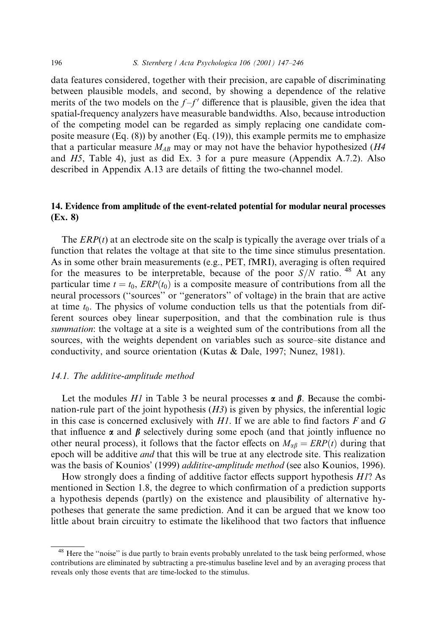## 196 S. Sternberg / Acta Psychologica 106 (2001) 147-246

data features considered, together with their precision, are capable of discriminating between plausible models, and second, by showing a dependence of the relative merits of the two models on the  $f - f'$  difference that is plausible, given the idea that spatial-frequency analyzers have measurable bandwidths. Also, because introduction of the competing model can be regarded as simply replacing one candidate composite measure (Eq. (8)) by another (Eq. (19)), this example permits me to emphasize that a particular measure  $M_{AB}$  may or may not have the behavior hypothesized ( $H4$ and H5, Table 4), just as did Ex. 3 for a pure measure (Appendix A.7.2). Also described in Appendix A.13 are details of fitting the two-channel model.

# 14. Evidence from amplitude of the event-related potential for modular neural processes (Ex. 8)

The  $ERP(t)$  at an electrode site on the scalp is typically the average over trials of a function that relates the voltage at that site to the time since stimulus presentation. As in some other brain measurements (e.g., PET, fMRI), averaging is often required for the measures to be interpretable, because of the poor  $S/N$  ratio. <sup>48</sup> At any particular time  $t = t_0$ ,  $\text{ERP}(t_0)$  is a composite measure of contributions from all the neural processors ("sources" or "generators" of voltage) in the brain that are active at time  $t_0$ . The physics of volume conduction tells us that the potentials from different sources obey linear superposition, and that the combination rule is thus summation: the voltage at a site is a weighted sum of the contributions from all the sources, with the weights dependent on variables such as source-site distance and conductivity, and source orientation (Kutas & Dale, 1997; Nunez, 1981).

# 14.1. The additive-amplitude method

Let the modules H1 in Table 3 be neural processes  $\alpha$  and  $\beta$ . Because the combination-rule part of the joint hypothesis  $(H3)$  is given by physics, the inferential logic in this case is concerned exclusively with  $H1$ . If we are able to find factors  $F$  and  $G$ that influence  $\alpha$  and  $\beta$  selectively during some epoch (and that jointly influence no other neural process), it follows that the factor effects on  $M_{\alpha\beta} = ERP(t)$  during that epoch will be additive *and* that this will be true at any electrode site. This realization was the basis of Kounios' (1999) *additive-amplitude method* (see also Kounios, 1996).

How strongly does a finding of additive factor effects support hypothesis  $HI$ ? As mentioned in Section 1.8, the degree to which confirmation of a prediction supports a hypothesis depends (partly) on the existence and plausibility of alternative hypotheses that generate the same prediction. And it can be argued that we know too little about brain circuitry to estimate the likelihood that two factors that influence

<sup>&</sup>lt;sup>48</sup> Here the "noise" is due partly to brain events probably unrelated to the task being performed, whose contributions are eliminated by subtracting a pre-stimulus baseline level and by an averaging process that reveals only those events that are time-locked to the stimulus.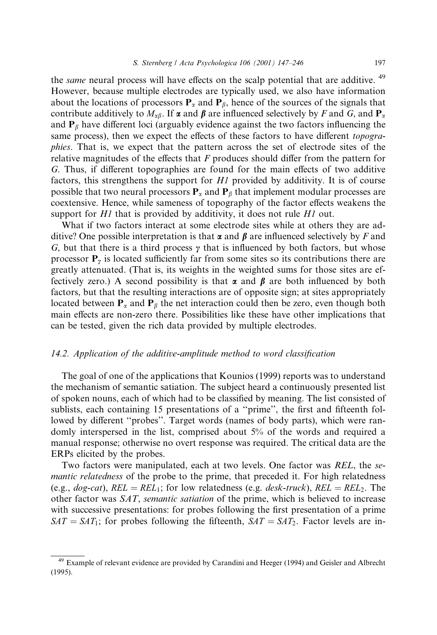the same neural process will have effects on the scalp potential that are additive. <sup>49</sup> However, because multiple electrodes are typically used, we also have information about the locations of processors  $P_\alpha$  and  $P_\beta$ , hence of the sources of the signals that contribute additively to  $M_{\alpha\beta}$ . If  $\alpha$  and  $\beta$  are influenced selectively by F and G, and  $P_{\alpha}$ and  $P_\beta$  have different loci (arguably evidence against the two factors influencing the same process), then we expect the effects of these factors to have different topographies. That is, we expect that the pattern across the set of electrode sites of the relative magnitudes of the effects that  $F$  produces should differ from the pattern for G. Thus, if different topographies are found for the main effects of two additive factors, this strengthens the support for  $H1$  provided by additivity. It is of course possible that two neural processors  $P_{\alpha}$  and  $P_{\beta}$  that implement modular processes are coextensive. Hence, while sameness of topography of the factor effects weakens the support for  $H1$  that is provided by additivity, it does not rule  $H1$  out.

What if two factors interact at some electrode sites while at others they are additive? One possible interpretation is that  $\alpha$  and  $\beta$  are influenced selectively by F and G, but that there is a third process  $\gamma$  that is influenced by both factors, but whose processor  $P<sub>v</sub>$  is located sufficiently far from some sites so its contributions there are greatly attenuated. (That is, its weights in the weighted sums for those sites are effectively zero.) A second possibility is that  $\alpha$  and  $\beta$  are both influenced by both factors, but that the resulting interactions are of opposite sign; at sites appropriately located between  $P_{\alpha}$  and  $P_{\beta}$  the net interaction could then be zero, even though both main effects are non-zero there. Possibilities like these have other implications that can be tested, given the rich data provided by multiple electrodes.

#### 14.2. Application of the additive-amplitude method to word classification

The goal of one of the applications that Kounios (1999) reports was to understand the mechanism of semantic satiation. The subject heard a continuously presented list of spoken nouns, each of which had to be classified by meaning. The list consisted of sublists, each containing 15 presentations of a "prime", the first and fifteenth followed by different "probes". Target words (names of body parts), which were randomly interspersed in the list, comprised about 5% of the words and required a manual response; otherwise no overt response was required. The critical data are the ERPs elicited by the probes.

Two factors were manipulated, each at two levels. One factor was REL, the semantic relatedness of the probe to the prime, that preceded it. For high relatedness (e.g., dog-cat),  $REL = REL_1$ ; for low relatedness (e.g. desk-truck),  $REL = REL_2$ . The other factor was SAT, semantic satiation of the prime, which is believed to increase with successive presentations: for probes following the first presentation of a prime  $SAT = SAT_1$ ; for probes following the fifteenth,  $SAT = SAT_2$ . Factor levels are in-

<sup>&</sup>lt;sup>49</sup> Example of relevant evidence are provided by Carandini and Heeger (1994) and Geisler and Albrecht (1995).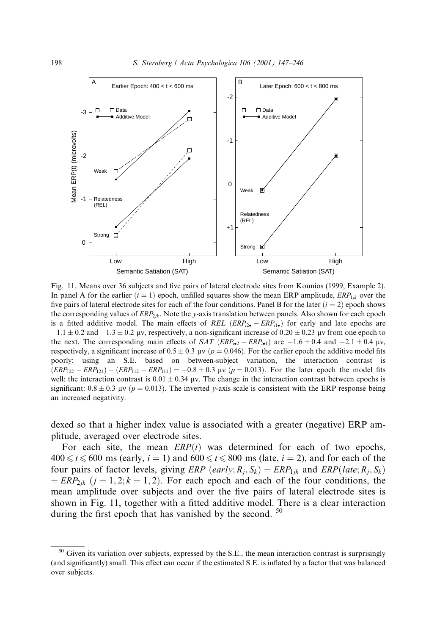

Fig. 11. Means over 36 subjects and five pairs of lateral electrode sites from Kounios (1999, Example 2). In panel A for the earlier  $(i = 1)$  epoch, unfilled squares show the mean ERP amplitude,  $ERP_{1ik}$  over the five pairs of lateral electrode sites for each of the four conditions. Panel B for the later  $(i = 2)$  epoch shows the corresponding values of  $ERP_{2jk}$ . Note the y-axis translation between panels. Also shown for each epoch is a fitted additive model. The main effects of REL  $(ERP_{i2} - ERP_{i1})$  for early and late epochs are  $-1.1 \pm 0.2$  and  $-1.3 \pm 0.2$  µv, respectively, a non-significant increase of  $0.20 \pm 0.23$  µv from one epoch to the next. The corresponding main effects of  $SAT$   $(ERP_{i2} - ERP_{i-1})$  are  $-1.6 \pm 0.4$  and  $-2.1 \pm 0.4$  µv, respectively, a significant increase of  $0.5 \pm 0.3$  µv ( $p = 0.046$ ). For the earlier epoch the additive model fits poorly: using an S.E. based on between-subject variation, the interaction contrast is  $(ERP_{122} - ERP_{121}) - (ERP_{112} - ERP_{111}) = -0.8 \pm 0.3$  µv (p = 0.013). For the later epoch the model fits well: the interaction contrast is  $0.01 \pm 0.34$  µv. The change in the interaction contrast between epochs is significant:  $0.8 \pm 0.3$  µv ( $p = 0.013$ ). The inverted y-axis scale is consistent with the ERP response being an increased negativity.

dexed so that a higher index value is associated with a greater (negative) ERP amplitude, averaged over electrode sites.

For each site, the mean  $ERP(t)$  was determined for each of two epochs,  $400 \le t \le 600$  ms (early,  $i = 1$ ) and  $600 \le t \le 800$  ms (late,  $i = 2$ ), and for each of the four pairs of factor levels, giving  $\overline{ERP}$  (early;  $R_i$ ,  $S_k$ ) =  $ERP_{1ik}$  and  $\overline{ERP}$ (late;  $R_i$ ,  $S_k$ )  $ERR_{2ik}$   $(j = 1, 2; k = 1, 2)$ . For each epoch and each of the four conditions, the mean amplitude over subjects and over the five pairs of lateral electrode sites is shown in Fig. 11, together with a fitted additive model. There is a clear interaction during the first epoch that has vanished by the second.  $50$ 

<sup>&</sup>lt;sup>50</sup> Given its variation over subjects, expressed by the S.E., the mean interaction contrast is surprisingly (and significantly) small. This effect can occur if the estimated S.E. is inflated by a factor that was balanced over subjects.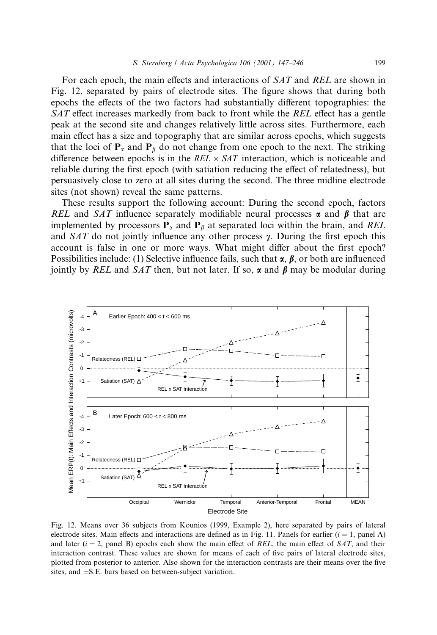For each epoch, the main effects and interactions of  $SAT$  and  $REL$  are shown in Fig. 12, separated by pairs of electrode sites. The figure shows that during both epochs the effects of the two factors had substantially different topographies: the  $SAT$  effect increases markedly from back to front while the REL effect has a gentle peak at the second site and changes relatively little across sites. Furthermore, each main effect has a size and topography that are similar across epochs, which suggests that the loci of  $P_{\alpha}$  and  $P_{\beta}$  do not change from one epoch to the next. The striking difference between epochs is in the  $REL \times SAT$  interaction, which is noticeable and reliable during the first epoch (with satiation reducing the effect of relatedness), but persuasively close to zero at all sites during the second. The three midline electrode sites (not shown) reveal the same patterns.

These results support the following account: During the second epoch, factors REL and SAT influence separately modifiable neural processes  $\alpha$  and  $\beta$  that are implemented by processors  $P_\alpha$  and  $P_\beta$  at separated loci within the brain, and REL and  $SAT$  do not jointly influence any other process  $\gamma$ . During the first epoch this account is false in one or more ways. What might differ about the first epoch? Possibilities include: (1) Selective influence fails, such that  $\alpha$ ,  $\beta$ , or both are influenced jointly by REL and SAT then, but not later. If so,  $\alpha$  and  $\beta$  may be modular during



Fig. 12. Means over 36 subjects from Kounios (1999, Example 2), here separated by pairs of lateral electrode sites. Main effects and interactions are defined as in Fig. 11. Panels for earlier  $(i = 1,$  panel A) and later  $(i = 2,$  panel B) epochs each show the main effect of REL, the main effect of SAT, and their interaction contrast. These values are shown for means of each of five pairs of lateral electrode sites, plotted from posterior to anterior. Also shown for the interaction contrasts are their means over the five sites, and  $\pm$ S.E. bars based on between-subject variation.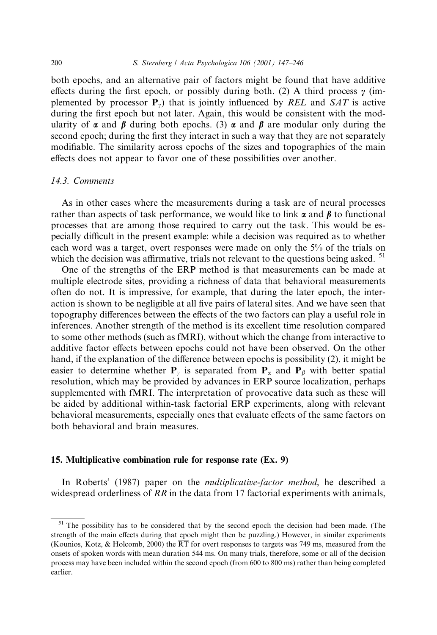both epochs, and an alternative pair of factors might be found that have additive effects during the first epoch, or possibly during both. (2) A third process  $\gamma$  (implemented by processor  $P_{\gamma}$ ) that is jointly influenced by REL and SAT is active during the first epoch but not later. Again, this would be consistent with the modularity of  $\alpha$  and  $\beta$  during both epochs. (3)  $\alpha$  and  $\beta$  are modular only during the second epoch; during the first they interact in such a way that they are not separately modifiable. The similarity across epochs of the sizes and topographies of the main effects does not appear to favor one of these possibilities over another.

## 14.3. Comments

As in other cases where the measurements during a task are of neural processes rather than aspects of task performance, we would like to link  $\alpha$  and  $\beta$  to functional processes that are among those required to carry out the task. This would be especially difficult in the present example: while a decision was required as to whether each word was a target, overt responses were made on only the 5% of the trials on which the decision was affirmative, trials not relevant to the questions being asked.  $51$ 

One of the strengths of the ERP method is that measurements can be made at multiple electrode sites, providing a richness of data that behavioral measurements often do not. It is impressive, for example, that during the later epoch, the interaction is shown to be negligible at all five pairs of lateral sites. And we have seen that topography differences between the effects of the two factors can play a useful role in inferences. Another strength of the method is its excellent time resolution compared to some other methods (such as fMRI), without which the change from interactive to additive factor effects between epochs could not have been observed. On the other hand, if the explanation of the difference between epochs is possibility (2), it might be easier to determine whether  $P_{\gamma}$  is separated from  $P_{\alpha}$  and  $P_{\beta}$  with better spatial resolution, which may be provided by advances in ERP source localization, perhaps supplemented with fMRI. The interpretation of provocative data such as these will be aided by additional within-task factorial ERP experiments, along with relevant behavioral measurements, especially ones that evaluate effects of the same factors on both behavioral and brain measures.

# 15. Multiplicative combination rule for response rate (Ex. 9)

In Roberts' (1987) paper on the multiplicative-factor method, he described a widespread orderliness of RR in the data from 17 factorial experiments with animals,

 $51$  The possibility has to be considered that by the second epoch the decision had been made. (The strength of the main effects during that epoch might then be puzzling.) However, in similar experiments (Kounios, Kotz, & Holcomb, 2000) the  $\overline{RT}$  for overt responses to targets was 749 ms, measured from the onsets of spoken words with mean duration 544 ms. On many trials, therefore, some or all of the decision process may have been included within the second epoch (from 600 to 800 ms) rather than being completed earlier.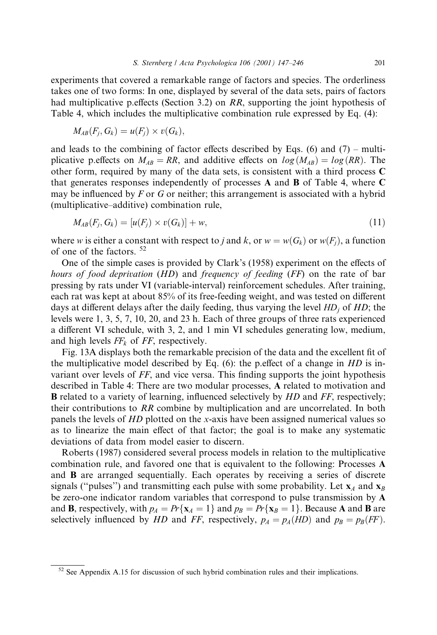experiments that covered a remarkable range of factors and species. The orderliness takes one of two forms: In one, displayed by several of the data sets, pairs of factors had multiplicative p.effects (Section 3.2) on  $RR$ , supporting the joint hypothesis of Table 4, which includes the multiplicative combination rule expressed by Eq. (4):

$$
M_{AB}(F_j,G_k)=u(F_j)\times v(G_k),
$$

and leads to the combining of factor effects described by Eqs. (6) and  $(7)$  – multiplicative p.effects on  $M_{AB} = RR$ , and additive effects on  $log(M_{AB}) = log(RR)$ . The other form, required by many of the data sets, is consistent with a third process C that generates responses independently of processes A and B of Table 4, where C may be influenced by F or G or neither; this arrangement is associated with a hybrid (multiplicative-additive) combination rule,

$$
M_{AB}(F_j, G_k) = [u(F_j) \times v(G_k)] + w,\tag{11}
$$

where w is either a constant with respect to j and k, or  $w = w(G_k)$  or  $w(F_i)$ , a function of one of the factors. <sup>52</sup>

One of the simple cases is provided by Clark's (1958) experiment on the effects of hours of food deprivation (HD) and frequency of feeding (FF) on the rate of bar pressing by rats under VI (variable-interval) reinforcement schedules. After training, each rat was kept at about 85% of its free-feeding weight, and was tested on different days at different delays after the daily feeding, thus varying the level  $HD<sub>i</sub>$  of  $HD<sub>i</sub>$ ; the levels were 1, 3, 5, 7, 10, 20, and 23 h. Each of three groups of three rats experienced a different VI schedule, with 3, 2, and 1 min VI schedules generating low, medium, and high levels  $FF_k$  of FF, respectively.

Fig. 13A displays both the remarkable precision of the data and the excellent fit of the multiplicative model described by Eq.  $(6)$ : the p.effect of a change in HD is invariant over levels of  $FF$ , and vice versa. This finding supports the joint hypothesis described in Table 4: There are two modular processes, A related to motivation and **B** related to a variety of learning, influenced selectively by  $HD$  and  $FF$ , respectively; their contributions to RR combine by multiplication and are uncorrelated. In both panels the levels of  $HD$  plotted on the x-axis have been assigned numerical values so as to linearize the main effect of that factor; the goal is to make any systematic deviations of data from model easier to discern.

Roberts (1987) considered several process models in relation to the multiplicative combination rule, and favored one that is equivalent to the following: Processes A and B are arranged sequentially. Each operates by receiving a series of discrete signals ("pulses") and transmitting each pulse with some probability. Let  $x_A$  and  $x_B$ be zero-one indicator random variables that correspond to pulse transmission by A and **B**, respectively, with  $p_A = Pr\{x_A = 1\}$  and  $p_B = Pr\{x_B = 1\}$ . Because A and **B** are selectively influenced by HD and FF, respectively,  $p_A = p_A(HD)$  and  $p_B = p_B(FF)$ .

<sup>52</sup> See Appendix A.15 for discussion of such hybrid combination rules and their implications.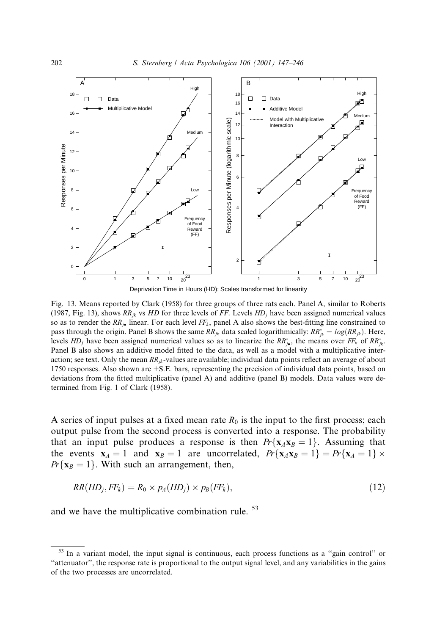

Fig. 13. Means reported by Clark (1958) for three groups of three rats each. Panel A, similar to Roberts (1987, Fig. 13), shows  $RR_{ik}$  vs HD for three levels of FF. Levels HD<sub>i</sub> have been assigned numerical values so as to render the RR<sub>i</sub>, linear. For each level  $FF_k$ , panel A also shows the best-fitting line constrained to pass through the origin. Panel B shows the same  $RR_{jk}$  data scaled logarithmically:  $RR_{jk}^* = log(RR_{jk})$ . Here, levels  $HD_j$  have been assigned numerical values so as to linearize the  $RR^*_{j\bullet}$ , the means over  $FF_k$  of  $RR^*_{jk}$ . Panel B also shows an additive model fitted to the data, as well as a model with a multiplicative interaction; see text. Only the mean  $RR_{ik}$ -values are available; individual data points reflect an average of about 1750 responses. Also shown are  $\pm$ S.E. bars, representing the precision of individual data points, based on deviations from the fitted multiplicative (panel A) and additive (panel B) models. Data values were determined from Fig. 1 of Clark (1958).

A series of input pulses at a fixed mean rate  $R_0$  is the input to the first process; each output pulse from the second process is converted into a response. The probability that an input pulse produces a response is then  $Pr{\mathbf{x}_A \mathbf{x}_B = 1}$ . Assuming that the events  $x_A = 1$  and  $x_B = 1$  are uncorrelated,  $Pr{x_A x_B = 1} = Pr{x_A = 1} \times$  $Pr{\mathbf{x}_B = 1}$ . With such an arrangement, then,

$$
RR(HD_j, FF_k) = R_0 \times p_A(HD_j) \times p_B(FF_k), \qquad (12)
$$

<sup>&</sup>lt;sup>53</sup> In a variant model, the input signal is continuous, each process functions as a "gain control" or ``attenuator'', the response rate is proportional to the output signal level, and any variabilities in the gains of the two processes are uncorrelated.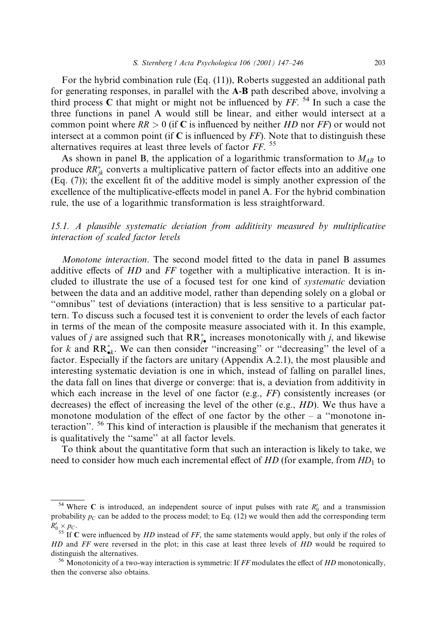For the hybrid combination rule (Eq. (11)), Roberts suggested an additional path for generating responses, in parallel with the A-B path described above, involving a third process  $C$  that might or might not be influenced by  $FF$ . <sup>54</sup> In such a case the three functions in panel A would still be linear, and either would intersect at a common point where  $RR > 0$  (if C is influenced by neither HD nor FF) or would not intersect at a common point (if  $C$  is influenced by  $FF$ ). Note that to distinguish these alternatives requires at least three levels of factor  $FF$ .  $55$ 

As shown in panel B, the application of a logarithmic transformation to  $M_{AB}$  to produce  $RR_{jk}^*$  converts a multiplicative pattern of factor effects into an additive one  $(Eq. (7))$ ; the excellent fit of the additive model is simply another expression of the excellence of the multiplicative-effects model in panel A. For the hybrid combination rule, the use of a logarithmic transformation is less straightforward.

# 15.1. A plausible systematic deviation from additivity measured by multiplicative interaction of scaled factor levels

Monotone interaction. The second model fitted to the data in panel B assumes additive effects of  $HD$  and  $FF$  together with a multiplicative interaction. It is included to illustrate the use of a focused test for one kind of systematic deviation between the data and an additive model, rather than depending solely on a global or ``omnibus'' test of deviations (interaction) that is less sensitive to a particular pattern. To discuss such a focused test it is convenient to order the levels of each factor in terms of the mean of the composite measure associated with it. In this example, values of j are assigned such that  $RR_{j\bullet}^*$  increases monotonically with j, and likewise for k and  $RR_{\bullet k}^*$ . We can then consider "increasing" or "decreasing" the level of a factor. Especially if the factors are unitary (Appendix A.2.1), the most plausible and interesting systematic deviation is one in which, instead of falling on parallel lines, the data fall on lines that diverge or converge: that is, a deviation from additivity in which each increase in the level of one factor (e.g.,  $FF$ ) consistently increases (or decreases) the effect of increasing the level of the other (e.g.,  $HD$ ). We thus have a monotone modulation of the effect of one factor by the other  $-$  a  $\degree$  monotone interaction". <sup>56</sup> This kind of interaction is plausible if the mechanism that generates it is qualitatively the "same" at all factor levels.

To think about the quantitative form that such an interaction is likely to take, we need to consider how much each incremental effect of  $HD$  (for example, from  $HD<sub>1</sub>$  to

<sup>&</sup>lt;sup>54</sup> Where C is introduced, an independent source of input pulses with rate  $R'_0$  and a transmission probability  $p_C$  can be added to the process model; to Eq. (12) we would then add the corresponding term  $R'_0 \times$ 

 $55$  If C were influenced by HD instead of FF, the same statements would apply, but only if the roles of HD and FF were reversed in the plot; in this case at least three levels of HD would be required to distinguish the alternatives.

<sup>&</sup>lt;sup>56</sup> Monotonicity of a two-way interaction is symmetric: If FF modulates the effect of HD monotonically, then the converse also obtains.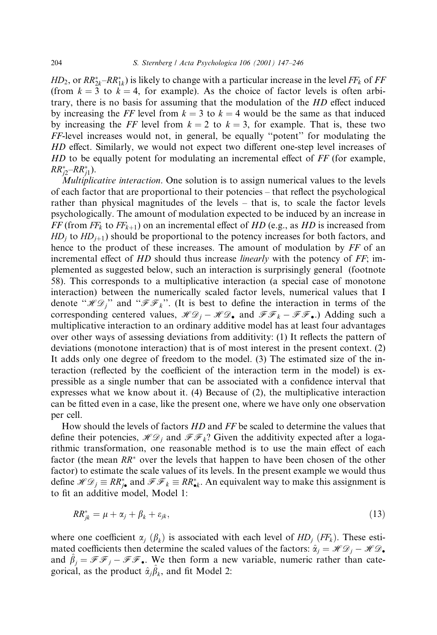$HD_2$ , or  $RR_{2k}^*$ - $RR_{1k}^*$ ) is likely to change with a particular increase in the level  $FF_k$  of  $FF$ (from  $k = 3$  to  $k = 4$ , for example). As the choice of factor levels is often arbitrary, there is no basis for assuming that the modulation of the HD effect induced by increasing the FF level from  $k = 3$  to  $k = 4$  would be the same as that induced by increasing the FF level from  $k = 2$  to  $k = 3$ , for example. That is, these two  $FF$ -level increases would not, in general, be equally "potent" for modulating the HD effect. Similarly, we would not expect two different one-step level increases of  $HD$  to be equally potent for modulating an incremental effect of  $FF$  (for example,  $RR_{j2}^{*}-RR_{j1}^{*}$ ).

Multiplicative interaction. One solution is to assign numerical values to the levels of each factor that are proportional to their potencies – that reflect the psychological rather than physical magnitudes of the levels  $-$  that is, to scale the factor levels psychologically. The amount of modulation expected to be induced by an increase in FF (from FF<sub>k</sub> to FF<sub>k+1</sub>) on an incremental effect of HD (e.g., as HD is increased from  $HD_i$  to  $HD_{i+1}$ ) should be proportional to the potency increases for both factors, and hence to the product of these increases. The amount of modulation by FF of an incremental effect of HD should thus increase *linearly* with the potency of  $FF$ ; implemented as suggested below, such an interaction is surprisingly general (footnote 58). This corresponds to a multiplicative interaction (a special case of monotone interaction) between the numerically scaled factor levels, numerical values that I denote " $\mathcal{H}\mathcal{D}_i$ " and " $\mathcal{F}\mathcal{F}_k$ ". (It is best to define the interaction in terms of the corresponding centered values,  $\mathcal{H}\mathcal{D}_j - \mathcal{H}\mathcal{D}_\bullet$  and  $\mathcal{F}\mathcal{F}_k - \mathcal{F}\mathcal{F}_\bullet$ .) Adding such a multiplicative interaction to an ordinary additive model has at least four advantages over other ways of assessing deviations from additivity:  $(1)$  It reflects the pattern of deviations (monotone interaction) that is of most interest in the present context. (2) It adds only one degree of freedom to the model. (3) The estimated size of the interaction (reflected by the coefficient of the interaction term in the model) is expressible as a single number that can be associated with a confidence interval that expresses what we know about it. (4) Because of (2), the multiplicative interaction can be fitted even in a case, like the present one, where we have only one observation per cell.

How should the levels of factors HD and FF be scaled to determine the values that define their potencies,  $\mathscr{H} \mathscr{D}_i$  and  $\mathscr{F} \mathscr{F}_k$ ? Given the additivity expected after a logarithmic transformation, one reasonable method is to use the main effect of each factor (the mean  $RR^*$  over the levels that happen to have been chosen of the other factor) to estimate the scale values of its levels. In the present example we would thus define  $\mathcal{H} \mathcal{D}_j = RR_{j\bullet}^*$  and  $\mathcal{F} \mathcal{F}_k = RR_{\bullet k}^*$ . An equivalent way to make this assignment is to fit an additive model, Model 1:

$$
RR_{jk}^* = \mu + \alpha_j + \beta_k + \varepsilon_{jk},\tag{13}
$$

where one coefficient  $\alpha_i$  ( $\beta_k$ ) is associated with each level of HD<sub>i</sub> (FF<sub>k</sub>). These estimated coefficients then determine the scaled values of the factors:  $\hat{\alpha}_i = \mathcal{H}\mathcal{D}_i - \mathcal{H}\mathcal{D}_2$ . and  $\hat{\beta}_j = \mathscr{F} \mathscr{F}_j - \mathscr{F} \mathscr{F}_\bullet$ . We then form a new variable, numeric rather than categorical, as the product  $\hat{\alpha}_j \hat{\beta}_k$ , and fit Model 2: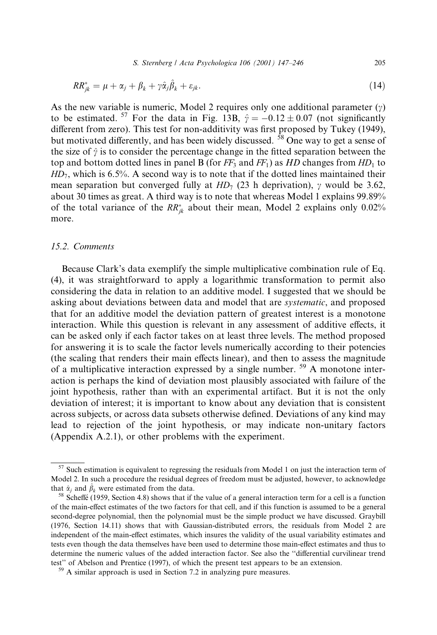S. Sternberg / Acta Psychologica 106 (2001) 147-246 205

$$
RR_{jk}^* = \mu + \alpha_j + \beta_k + \gamma \hat{\alpha}_j \hat{\beta}_k + \varepsilon_{jk}.
$$
\n(14)

As the new variable is numeric, Model 2 requires only one additional parameter  $(y)$ to be estimated. <sup>57</sup> For the data in Fig. 13B,  $\hat{\gamma} = -0.12 \pm 0.07$  (not significantly different from zero). This test for non-additivity was first proposed by Tukey (1949), but motivated differently, and has been widely discussed.  $\frac{58}{9}$  One way to get a sense of the size of  $\hat{y}$  is to consider the percentage change in the fitted separation between the top and bottom dotted lines in panel B (for  $FF_3$  and  $FF_1$ ) as HD changes from HD<sub>1</sub> to  $HD_7$ , which is 6.5%. A second way is to note that if the dotted lines maintained their mean separation but converged fully at  $HD_7$  (23 h deprivation),  $\gamma$  would be 3.62, about 30 times as great. A third way is to note that whereas Model 1 explains 99.89% of the total variance of the  $RR^*_{jk}$  about their mean, Model 2 explains only 0.02% more.

### 15.2. Comments

Because Clark's data exemplify the simple multiplicative combination rule of Eq. (4), it was straightforward to apply a logarithmic transformation to permit also considering the data in relation to an additive model. I suggested that we should be asking about deviations between data and model that are *systematic*, and proposed that for an additive model the deviation pattern of greatest interest is a monotone interaction. While this question is relevant in any assessment of additive effects, it can be asked only if each factor takes on at least three levels. The method proposed for answering it is to scale the factor levels numerically according to their potencies (the scaling that renders their main effects linear), and then to assess the magnitude of a multiplicative interaction expressed by a single number. <sup>59</sup> A monotone interaction is perhaps the kind of deviation most plausibly associated with failure of the joint hypothesis, rather than with an experimental artifact. But it is not the only deviation of interest; it is important to know about any deviation that is consistent across subjects, or across data subsets otherwise defined. Deviations of any kind may lead to rejection of the joint hypothesis, or may indicate non-unitary factors (Appendix A.2.1), or other problems with the experiment.

<sup>&</sup>lt;sup>57</sup> Such estimation is equivalent to regressing the residuals from Model 1 on just the interaction term of Model 2. In such a procedure the residual degrees of freedom must be adjusted, however, to acknowledge that  $\hat{\alpha}_i$  and  $\hat{\beta}_k$  were estimated from the data.

<sup>&</sup>lt;sup>58</sup> Scheffé (1959, Section 4.8) shows that if the value of a general interaction term for a cell is a function of the main-effect estimates of the two factors for that cell, and if this function is assumed to be a general second-degree polynomial, then the polynomial must be the simple product we have discussed. Graybill (1976, Section 14.11) shows that with Gaussian-distributed errors, the residuals from Model 2 are independent of the main-effect estimates, which insures the validity of the usual variability estimates and tests even though the data themselves have been used to determine those main-effect estimates and thus to determine the numeric values of the added interaction factor. See also the "differential curvilinear trend test'' of Abelson and Prentice (1997), of which the present test appears to be an extension. <sup>59</sup> A similar approach is used in Section 7.2 in analyzing pure measures.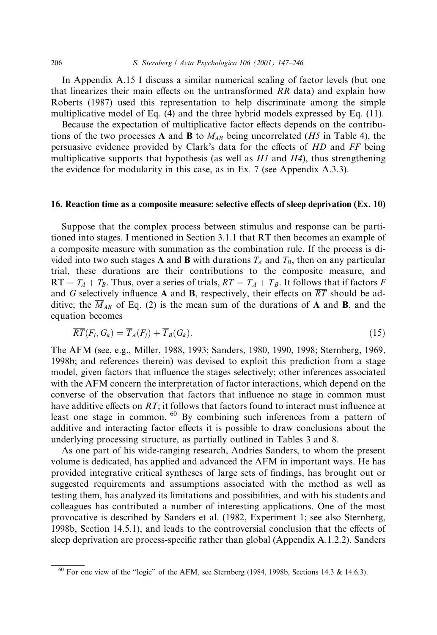In Appendix A.15 I discuss a similar numerical scaling of factor levels (but one that linearizes their main effects on the untransformed  $RR$  data) and explain how Roberts (1987) used this representation to help discriminate among the simple multiplicative model of Eq. (4) and the three hybrid models expressed by Eq. (11).

Because the expectation of multiplicative factor effects depends on the contributions of the two processes A and B to  $M_{AB}$  being uncorrelated (*H5* in Table 4), the persuasive evidence provided by Clark's data for the effects of HD and FF being multiplicative supports that hypothesis (as well as  $H1$  and  $H4$ ), thus strengthening the evidence for modularity in this case, as in Ex. 7 (see Appendix A.3.3).

#### 16. Reaction time as a composite measure: selective effects of sleep deprivation  $(Ex. 10)$

Suppose that the complex process between stimulus and response can be partitioned into stages. I mentioned in Section 3.1.1 that RT then becomes an example of a composite measure with summation as the combination rule. If the process is divided into two such stages **A** and **B** with durations  $T_A$  and  $T_B$ , then on any particular trial, these durations are their contributions to the composite measure, and  $RT = T_A + T_B$ . Thus, over a series of trials,  $\overline{RT} = \overline{T}_A + \overline{T}_B$ . It follows that if factors F and G selectively influence A and B, respectively, their effects on  $\overline{RT}$  should be additive; the  $\overline{M}_{AB}$  of Eq. (2) is the mean sum of the durations of **A** and **B**, and the equation becomes

$$
\overline{RT}(F_j, G_k) = \overline{T}_A(F_j) + \overline{T}_B(G_k). \tag{15}
$$

The AFM (see, e.g., Miller, 1988, 1993; Sanders, 1980, 1990, 1998; Sternberg, 1969, 1998b; and references therein) was devised to exploit this prediction from a stage model, given factors that influence the stages selectively; other inferences associated with the AFM concern the interpretation of factor interactions, which depend on the converse of the observation that factors that influence no stage in common must have additive effects on  $RT$ ; it follows that factors found to interact must influence at least one stage in common. <sup>60</sup> By combining such inferences from a pattern of additive and interacting factor effects it is possible to draw conclusions about the underlying processing structure, as partially outlined in Tables 3 and 8.

As one part of his wide-ranging research, Andries Sanders, to whom the present volume is dedicated, has applied and advanced the AFM in important ways. He has provided integrative critical syntheses of large sets of findings, has brought out or suggested requirements and assumptions associated with the method as well as testing them, has analyzed its limitations and possibilities, and with his students and colleagues has contributed a number of interesting applications. One of the most provocative is described by Sanders et al. (1982, Experiment 1; see also Sternberg, 1998b, Section 14.5.1), and leads to the controversial conclusion that the effects of sleep deprivation are process-specific rather than global (Appendix A.1.2.2). Sanders

 $60$  For one view of the "logic" of the AFM, see Sternberg (1984, 1998b, Sections 14.3 & 14.6.3).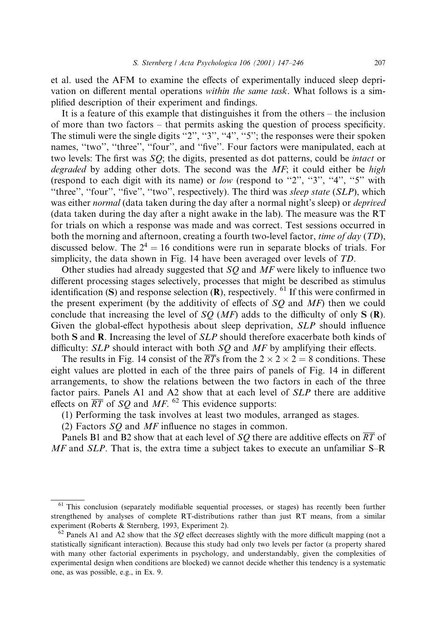et al. used the AFM to examine the effects of experimentally induced sleep deprivation on different mental operations *within the same task*. What follows is a simplified description of their experiment and findings.

It is a feature of this example that distinguishes it from the others  $-$  the inclusion of more than two factors - that permits asking the question of process specificity. The stimuli were the single digits  $'2'$ ,  $'3''$ ,  $''4''$ ,  $''5''$ ; the responses were their spoken names, "two", "three", "four", and "five". Four factors were manipulated, each at two levels: The first was  $SQ$ ; the digits, presented as dot patterns, could be *intact* or degraded by adding other dots. The second was the  $MF$ ; it could either be high (respond to each digit with its name) or low (respond to  $2$ ",  $3$ ",  $4$ ",  $5$ " with "three", "four", "five", "two", respectively). The third was *sleep state* (SLP), which was either *normal* (data taken during the day after a normal night's sleep) or *deprived* (data taken during the day after a night awake in the lab). The measure was the RT for trials on which a response was made and was correct. Test sessions occurred in both the morning and afternoon, creating a fourth two-level factor, *time of day* (*TD*), discussed below. The  $2^4 = 16$  conditions were run in separate blocks of trials. For simplicity, the data shown in Fig. 14 have been averaged over levels of TD.

Other studies had already suggested that  $SO$  and  $MF$  were likely to influence two different processing stages selectively, processes that might be described as stimulus identification (S) and response selection  $(R)$ , respectively. <sup>61</sup> If this were confirmed in the present experiment (by the additivity of effects of  $SQ$  and  $MF$ ) then we could conclude that increasing the level of  $SO(MF)$  adds to the difficulty of only  $S(R)$ . Given the global-effect hypothesis about sleep deprivation,  $SLP$  should influence both S and R. Increasing the level of SLP should therefore exacerbate both kinds of difficulty:  $SLP$  should interact with both  $SQ$  and  $MF$  by amplifying their effects.

The results in Fig. 14 consist of the  $\overline{RT}$ s from the  $2 \times 2 \times 2 = 8$  conditions. These eight values are plotted in each of the three pairs of panels of Fig. 14 in different arrangements, to show the relations between the two factors in each of the three factor pairs. Panels A1 and A2 show that at each level of  $SLP$  there are additive effects on  $\overline{RT}$  of *SO* and *MF*. <sup>62</sup> This evidence supports:

(1) Performing the task involves at least two modules, arranged as stages.

(2) Factors  $SO$  and  $MF$  influence no stages in common.

Panels B1 and B2 show that at each level of SQ there are additive effects on  $\overline{RT}$  of  $MF$  and  $SLP$ . That is, the extra time a subject takes to execute an unfamiliar S–R

<sup>&</sup>lt;sup>61</sup> This conclusion (separately modifiable sequential processes, or stages) has recently been further strengthened by analyses of complete RT-distributions rather than just RT means, from a similar experiment (Roberts & Sternberg, 1993, Experiment 2).

 $62$  Panels A1 and A2 show that the SQ effect decreases slightly with the more difficult mapping (not a statistically significant interaction). Because this study had only two levels per factor (a property shared with many other factorial experiments in psychology, and understandably, given the complexities of experimental design when conditions are blocked) we cannot decide whether this tendency is a systematic one, as was possible, e.g., in Ex. 9.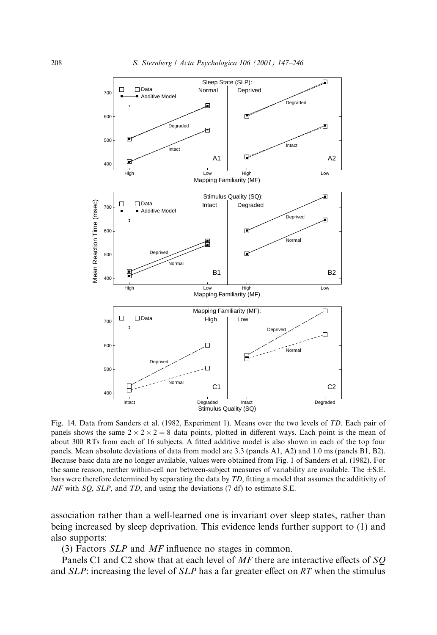

Fig. 14. Data from Sanders et al. (1982, Experiment 1). Means over the two levels of TD. Each pair of panels shows the same  $2 \times 2 \times 2 = 8$  data points, plotted in different ways. Each point is the mean of about 300 RTs from each of 16 subjects. A fitted additive model is also shown in each of the top four panels. Mean absolute deviations of data from model are 3.3 (panels A1, A2) and 1.0 ms (panels B1, B2). Because basic data are no longer available, values were obtained from Fig. 1 of Sanders et al. (1982). For the same reason, neither within-cell nor between-subject measures of variability are available. The  $\pm$ S.E. bars were therefore determined by separating the data by  $TD$ , fitting a model that assumes the additivity of  $MF$  with SQ, SLP, and TD, and using the deviations (7 df) to estimate S.E.

association rather than a well-learned one is invariant over sleep states, rather than being increased by sleep deprivation. This evidence lends further support to (1) and also supports:

(3) Factors  $SLP$  and  $MF$  influence no stages in common.

Panels C1 and C2 show that at each level of  $MF$  there are interactive effects of SO and SLP: increasing the level of SLP has a far greater effect on  $\overline{RT}$  when the stimulus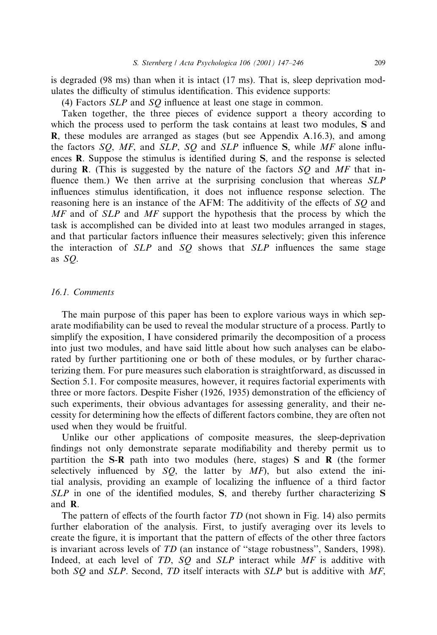is degraded (98 ms) than when it is intact (17 ms). That is, sleep deprivation modulates the difficulty of stimulus identification. This evidence supports:

(4) Factors  $SLP$  and  $SQ$  influence at least one stage in common.

Taken together, the three pieces of evidence support a theory according to which the process used to perform the task contains at least two modules, S and R, these modules are arranged as stages (but see Appendix A.16.3), and among the factors  $SQ$ , MF, and  $SLP$ ,  $SQ$  and  $SLP$  influence S, while MF alone influences  $\bf{R}$ . Suppose the stimulus is identified during  $\bf{S}$ , and the response is selected during **R**. (This is suggested by the nature of the factors  $SQ$  and MF that influence them.) We then arrive at the surprising conclusion that whereas  $SLP$ influences stimulus identification, it does not influence response selection. The reasoning here is an instance of the AFM: The additivity of the effects of  $SO$  and MF and of SLP and MF support the hypothesis that the process by which the task is accomplished can be divided into at least two modules arranged in stages, and that particular factors influence their measures selectively; given this inference the interaction of  $SLP$  and  $SO$  shows that  $SLP$  influences the same stage as SQ.

# 16.1. Comments

The main purpose of this paper has been to explore various ways in which separate modifiability can be used to reveal the modular structure of a process. Partly to simplify the exposition, I have considered primarily the decomposition of a process into just two modules, and have said little about how such analyses can be elaborated by further partitioning one or both of these modules, or by further characterizing them. For pure measures such elaboration is straightforward, as discussed in Section 5.1. For composite measures, however, it requires factorial experiments with three or more factors. Despite Fisher (1926, 1935) demonstration of the efficiency of such experiments, their obvious advantages for assessing generality, and their necessity for determining how the effects of different factors combine, they are often not used when they would be fruitful.

Unlike our other applications of composite measures, the sleep-deprivation findings not only demonstrate separate modifiability and thereby permit us to partition the  $S-R$  path into two modules (here, stages)  $S$  and  $R$  (the former selectively influenced by  $SO$ , the latter by  $MF$ ), but also extend the initial analysis, providing an example of localizing the influence of a third factor  $SLP$  in one of the identified modules, S, and thereby further characterizing S and R.

The pattern of effects of the fourth factor  $TD$  (not shown in Fig. 14) also permits further elaboration of the analysis. First, to justify averaging over its levels to create the figure, it is important that the pattern of effects of the other three factors is invariant across levels of  $TD$  (an instance of "stage robustness", Sanders, 1998). Indeed, at each level of  $TD$ ,  $SQ$  and  $SLP$  interact while  $MF$  is additive with both SQ and SLP. Second, TD itself interacts with SLP but is additive with MF,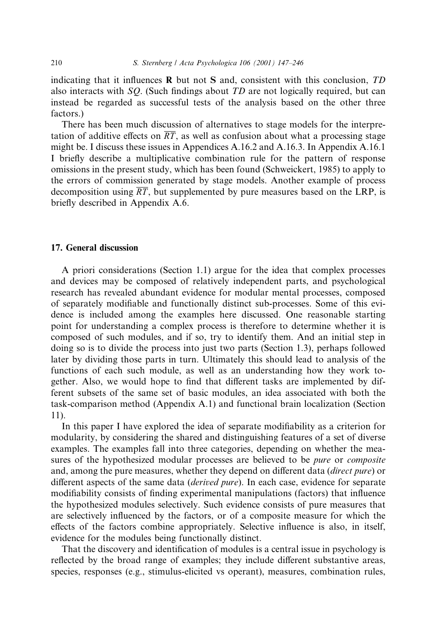indicating that it influences  $\bf{R}$  but not  $\bf{S}$  and, consistent with this conclusion, TD also interacts with  $SO$ . (Such findings about TD are not logically required, but can instead be regarded as successful tests of the analysis based on the other three factors.)

There has been much discussion of alternatives to stage models for the interpretation of additive effects on  $\overline{RT}$ , as well as confusion about what a processing stage might be. I discuss these issues in Appendices A.16.2 and A.16.3. In Appendix A.16.1 I briefly describe a multiplicative combination rule for the pattern of response omissions in the present study, which has been found (Schweickert, 1985) to apply to the errors of commission generated by stage models. Another example of process decomposition using  $\overline{RT}$ , but supplemented by pure measures based on the LRP, is briefly described in Appendix A.6.

#### 17. General discussion

A priori considerations (Section 1.1) argue for the idea that complex processes and devices may be composed of relatively independent parts, and psychological research has revealed abundant evidence for modular mental processes, composed of separately modifiable and functionally distinct sub-processes. Some of this evidence is included among the examples here discussed. One reasonable starting point for understanding a complex process is therefore to determine whether it is composed of such modules, and if so, try to identify them. And an initial step in doing so is to divide the process into just two parts (Section 1.3), perhaps followed later by dividing those parts in turn. Ultimately this should lead to analysis of the functions of each such module, as well as an understanding how they work together. Also, we would hope to find that different tasks are implemented by different subsets of the same set of basic modules, an idea associated with both the task-comparison method (Appendix A.1) and functional brain localization (Section 11).

In this paper I have explored the idea of separate modifiability as a criterion for modularity, by considering the shared and distinguishing features of a set of diverse examples. The examples fall into three categories, depending on whether the measures of the hypothesized modular processes are believed to be *pure* or *composite* and, among the pure measures, whether they depend on different data (*direct pure*) or different aspects of the same data *(derived pure)*. In each case, evidence for separate modifiability consists of finding experimental manipulations (factors) that influence the hypothesized modules selectively. Such evidence consists of pure measures that are selectively influenced by the factors, or of a composite measure for which the effects of the factors combine appropriately. Selective influence is also, in itself, evidence for the modules being functionally distinct.

That the discovery and identification of modules is a central issue in psychology is reflected by the broad range of examples; they include different substantive areas, species, responses (e.g., stimulus-elicited vs operant), measures, combination rules,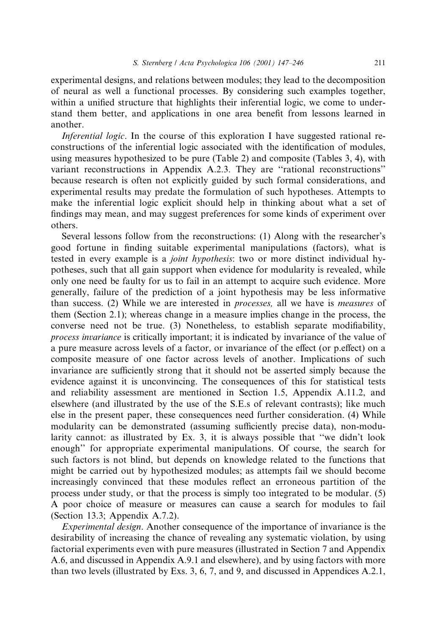experimental designs, and relations between modules; they lead to the decomposition of neural as well a functional processes. By considering such examples together, within a unified structure that highlights their inferential logic, we come to understand them better, and applications in one area benefit from lessons learned in another.

Inferential logic. In the course of this exploration I have suggested rational reconstructions of the inferential logic associated with the identification of modules, using measures hypothesized to be pure (Table 2) and composite (Tables 3, 4), with variant reconstructions in Appendix A.2.3. They are "rational reconstructions" because research is often not explicitly guided by such formal considerations, and experimental results may predate the formulation of such hypotheses. Attempts to make the inferential logic explicit should help in thinking about what a set of findings may mean, and may suggest preferences for some kinds of experiment over others.

Several lessons follow from the reconstructions: (1) Along with the researcher's good fortune in finding suitable experimental manipulations (factors), what is tested in every example is a *joint hypothesis*: two or more distinct individual hypotheses, such that all gain support when evidence for modularity is revealed, while only one need be faulty for us to fail in an attempt to acquire such evidence. More generally, failure of the prediction of a joint hypothesis may be less informative than success. (2) While we are interested in processes, all we have is measures of them (Section 2.1); whereas change in a measure implies change in the process, the converse need not be true.  $(3)$  Nonetheless, to establish separate modifiability, process invariance is critically important; it is indicated by invariance of the value of a pure measure across levels of a factor, or invariance of the effect (or p.effect) on a composite measure of one factor across levels of another. Implications of such invariance are sufficiently strong that it should not be asserted simply because the evidence against it is unconvincing. The consequences of this for statistical tests and reliability assessment are mentioned in Section 1.5, Appendix A.11.2, and elsewhere (and illustrated by the use of the S.E.s of relevant contrasts); like much else in the present paper, these consequences need further consideration. (4) While modularity can be demonstrated (assuming sufficiently precise data), non-modularity cannot: as illustrated by Ex. 3, it is always possible that "we didn't look enough'' for appropriate experimental manipulations. Of course, the search for such factors is not blind, but depends on knowledge related to the functions that might be carried out by hypothesized modules; as attempts fail we should become increasingly convinced that these modules reflect an erroneous partition of the process under study, or that the process is simply too integrated to be modular. (5) A poor choice of measure or measures can cause a search for modules to fail (Section 13.3; Appendix A.7.2).

Experimental design. Another consequence of the importance of invariance is the desirability of increasing the chance of revealing any systematic violation, by using factorial experiments even with pure measures (illustrated in Section 7 and Appendix A.6, and discussed in Appendix A.9.1 and elsewhere), and by using factors with more than two levels (illustrated by Exs. 3, 6, 7, and 9, and discussed in Appendices A.2.1,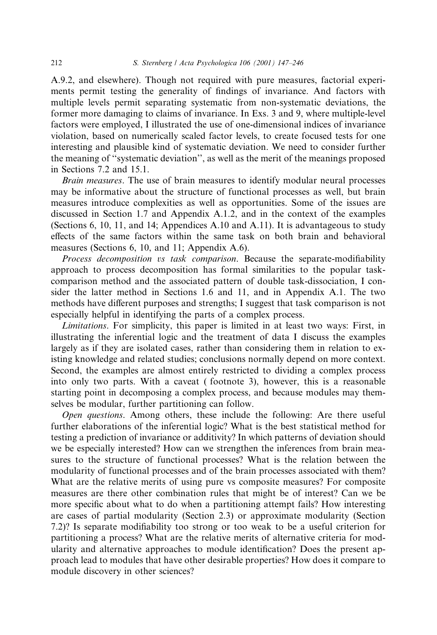A.9.2, and elsewhere). Though not required with pure measures, factorial experiments permit testing the generality of findings of invariance. And factors with multiple levels permit separating systematic from non-systematic deviations, the former more damaging to claims of invariance. In Exs. 3 and 9, where multiple-level factors were employed, I illustrated the use of one-dimensional indices of invariance violation, based on numerically scaled factor levels, to create focused tests for one interesting and plausible kind of systematic deviation. We need to consider further the meaning of "systematic deviation", as well as the merit of the meanings proposed in Sections 7.2 and 15.1.

Brain measures. The use of brain measures to identify modular neural processes may be informative about the structure of functional processes as well, but brain measures introduce complexities as well as opportunities. Some of the issues are discussed in Section 1.7 and Appendix A.1.2, and in the context of the examples (Sections 6, 10, 11, and 14; Appendices A.10 and A.11). It is advantageous to study effects of the same factors within the same task on both brain and behavioral measures (Sections 6, 10, and 11; Appendix A.6).

Process decomposition vs task comparison. Because the separate-modifiability approach to process decomposition has formal similarities to the popular taskcomparison method and the associated pattern of double task-dissociation, I consider the latter method in Sections 1.6 and 11, and in Appendix A.1. The two methods have different purposes and strengths; I suggest that task comparison is not especially helpful in identifying the parts of a complex process.

Limitations. For simplicity, this paper is limited in at least two ways: First, in illustrating the inferential logic and the treatment of data I discuss the examples largely as if they are isolated cases, rather than considering them in relation to existing knowledge and related studies; conclusions normally depend on more context. Second, the examples are almost entirely restricted to dividing a complex process into only two parts. With a caveat ( footnote 3), however, this is a reasonable starting point in decomposing a complex process, and because modules may themselves be modular, further partitioning can follow.

Open questions. Among others, these include the following: Are there useful further elaborations of the inferential logic? What is the best statistical method for testing a prediction of invariance or additivity? In which patterns of deviation should we be especially interested? How can we strengthen the inferences from brain measures to the structure of functional processes? What is the relation between the modularity of functional processes and of the brain processes associated with them? What are the relative merits of using pure vs composite measures? For composite measures are there other combination rules that might be of interest? Can we be more specific about what to do when a partitioning attempt fails? How interesting are cases of partial modularity (Section 2.3) or approximate modularity (Section  $7.2$ ? Is separate modifiability too strong or too weak to be a useful criterion for partitioning a process? What are the relative merits of alternative criteria for modularity and alternative approaches to module identification? Does the present approach lead to modules that have other desirable properties? How does it compare to module discovery in other sciences?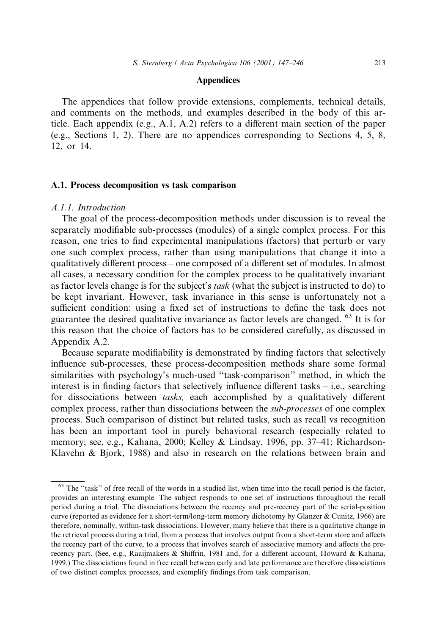#### Appendices

The appendices that follow provide extensions, complements, technical details, and comments on the methods, and examples described in the body of this article. Each appendix (e.g., A.1, A.2) refers to a different main section of the paper (e.g., Sections 1, 2). There are no appendices corresponding to Sections 4, 5, 8, 12, or 14.

### A.1. Process decomposition vs task comparison

### A.1.1. Introduction

The goal of the process-decomposition methods under discussion is to reveal the separately modifiable sub-processes (modules) of a single complex process. For this reason, one tries to find experimental manipulations (factors) that perturb or vary one such complex process, rather than using manipulations that change it into a qualitatively different process – one composed of a different set of modules. In almost all cases, a necessary condition for the complex process to be qualitatively invariant as factor levels change is for the subject's task (what the subject is instructed to do) to be kept invariant. However, task invariance in this sense is unfortunately not a sufficient condition: using a fixed set of instructions to define the task does not guarantee the desired qualitative invariance as factor levels are changed. <sup>63</sup> It is for this reason that the choice of factors has to be considered carefully, as discussed in Appendix A.2.

Because separate modifiability is demonstrated by finding factors that selectively influence sub-processes, these process-decomposition methods share some formal similarities with psychology's much-used "task-comparison" method, in which the interest is in finding factors that selectively influence different tasks  $-$  i.e., searching for dissociations between *tasks*, each accomplished by a qualitatively different complex process, rather than dissociations between the *sub-processes* of one complex process. Such comparison of distinct but related tasks, such as recall vs recognition has been an important tool in purely behavioral research (especially related to memory; see, e.g., Kahana, 2000; Kelley & Lindsay, 1996, pp. 37–41; Richardson-Klavehn & Bjork, 1988) and also in research on the relations between brain and

 $63$  The "task" of free recall of the words in a studied list, when time into the recall period is the factor, provides an interesting example. The subject responds to one set of instructions throughout the recall period during a trial. The dissociations between the recency and pre-recency part of the serial-position curve (reported as evidence for a short-term/long-term memory dichotomy by Glanzer & Cunitz, 1966) are therefore, nominally, within-task dissociations. However, many believe that there is a qualitative change in the retrieval process during a trial, from a process that involves output from a short-term store and affects the recency part of the curve, to a process that involves search of associative memory and affects the prerecency part. (See, e.g., Raaijmakers & Shiffrin, 1981 and, for a different account, Howard & Kahana, 1999.) The dissociations found in free recall between early and late performance are therefore dissociations of two distinct complex processes, and exemplify findings from task comparison.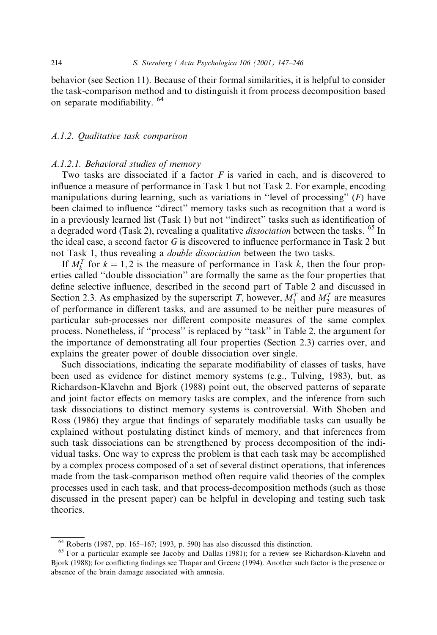behavior (see Section 11). Because of their formal similarities, it is helpful to consider the task-comparison method and to distinguish it from process decomposition based on separate modifiability. <sup>64</sup>

## A.1.2. Qualitative task comparison

## A.1.2.1. Behavioral studies of memory

Two tasks are dissociated if a factor  $F$  is varied in each, and is discovered to influence a measure of performance in Task 1 but not Task 2. For example, encoding manipulations during learning, such as variations in "level of processing"  $(F)$  have been claimed to influence "direct" memory tasks such as recognition that a word is in a previously learned list (Task 1) but not "indirect" tasks such as identification of a degraded word (Task 2), revealing a qualitative *dissociation* between the tasks.  $^{65}$  In the ideal case, a second factor  $G$  is discovered to influence performance in Task 2 but not Task 1, thus revealing a *double dissociation* between the two tasks.

If  $M_k^T$  for  $k = 1, 2$  is the measure of performance in Task k, then the four properties called ``double dissociation'' are formally the same as the four properties that define selective influence, described in the second part of Table 2 and discussed in Section 2.3. As emphasized by the superscript T, however,  $M_1^T$  and  $M_2^T$  are measures of performance in different tasks, and are assumed to be neither pure measures of particular sub-processes nor different composite measures of the same complex process. Nonetheless, if "process" is replaced by "task" in Table 2, the argument for the importance of demonstrating all four properties (Section 2.3) carries over, and explains the greater power of double dissociation over single.

Such dissociations, indicating the separate modifiability of classes of tasks, have been used as evidence for distinct memory systems (e.g., Tulving, 1983), but, as Richardson-Klavehn and Bjork (1988) point out, the observed patterns of separate and joint factor effects on memory tasks are complex, and the inference from such task dissociations to distinct memory systems is controversial. With Shoben and Ross (1986) they argue that findings of separately modifiable tasks can usually be explained without postulating distinct kinds of memory, and that inferences from such task dissociations can be strengthened by process decomposition of the individual tasks. One way to express the problem is that each task may be accomplished by a complex process composed of a set of several distinct operations, that inferences made from the task-comparison method often require valid theories of the complex processes used in each task, and that process-decomposition methods (such as those discussed in the present paper) can be helpful in developing and testing such task theories.

<sup>&</sup>lt;sup>64</sup> Roberts (1987, pp. 165–167; 1993, p. 590) has also discussed this distinction.<br><sup>65</sup> For a particular example see Jacoby and Dallas (1981); for a review see Richardson-Klavehn and Bjork (1988); for conflicting findings see Thapar and Greene (1994). Another such factor is the presence or absence of the brain damage associated with amnesia.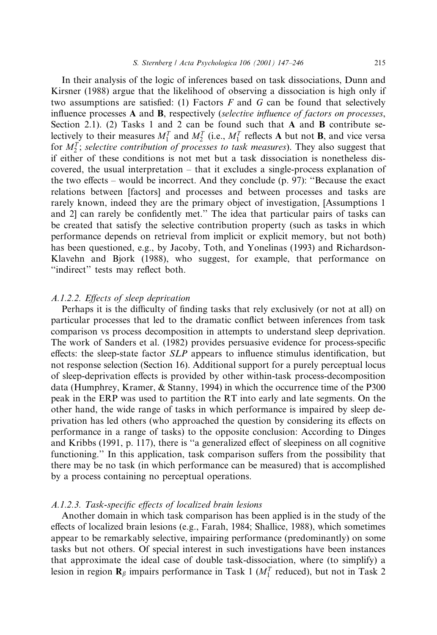In their analysis of the logic of inferences based on task dissociations, Dunn and Kirsner (1988) argue that the likelihood of observing a dissociation is high only if two assumptions are satisfied: (1) Factors  $F$  and  $G$  can be found that selectively influence processes  $A$  and  $B$ , respectively (selective influence of factors on processes, Section 2.1). (2) Tasks 1 and 2 can be found such that  $\bf{A}$  and  $\bf{B}$  contribute selectively to their measures  $M_1^T$  and  $M_2^T$  (i.e.,  $M_1^T$  reflects A but not B, and vice versa for  $M_2^T$ ; selective contribution of processes to task measures). They also suggest that if either of these conditions is not met but a task dissociation is nonetheless discovered, the usual interpretation  $-$  that it excludes a single-process explanation of the two effects  $-$  would be incorrect. And they conclude (p. 97): "Because the exact relations between [factors] and processes and between processes and tasks are rarely known, indeed they are the primary object of investigation, [Assumptions 1 and 2] can rarely be confidently met." The idea that particular pairs of tasks can be created that satisfy the selective contribution property (such as tasks in which performance depends on retrieval from implicit or explicit memory, but not both) has been questioned, e.g., by Jacoby, Toth, and Yonelinas (1993) and Richardson-Klavehn and Bjork (1988), who suggest, for example, that performance on "indirect" tests may reflect both.

## A.1.2.2. Effects of sleep deprivation

Perhaps it is the difficulty of finding tasks that rely exclusively (or not at all) on particular processes that led to the dramatic conflict between inferences from task comparison vs process decomposition in attempts to understand sleep deprivation. The work of Sanders et al. (1982) provides persuasive evidence for process-specific effects: the sleep-state factor  $SLP$  appears to influence stimulus identification, but not response selection (Section 16). Additional support for a purely perceptual locus of sleep-deprivation effects is provided by other within-task process-decomposition data (Humphrey, Kramer, & Stanny, 1994) in which the occurrence time of the P300 peak in the ERP was used to partition the RT into early and late segments. On the other hand, the wide range of tasks in which performance is impaired by sleep deprivation has led others (who approached the question by considering its effects on performance in a range of tasks) to the opposite conclusion: According to Dinges and Kribbs  $(1991, p. 117)$ , there is "a generalized effect of sleepiness on all cognitive functioning." In this application, task comparison suffers from the possibility that there may be no task (in which performance can be measured) that is accomplished by a process containing no perceptual operations.

## A.1.2.3. Task-specific effects of localized brain lesions

Another domain in which task comparison has been applied is in the study of the effects of localized brain lesions (e.g., Farah, 1984; Shallice, 1988), which sometimes appear to be remarkably selective, impairing performance (predominantly) on some tasks but not others. Of special interest in such investigations have been instances that approximate the ideal case of double task-dissociation, where (to simplify) a lesion in region  $\mathbf{R}_{\beta}$  impairs performance in Task 1 ( $M_1^T$  reduced), but not in Task 2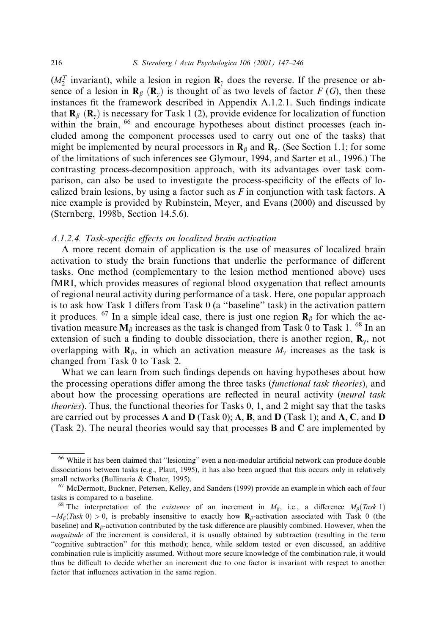$(M_2^T$  invariant), while a lesion in region  $\mathbf{R}_{\gamma}$  does the reverse. If the presence or absence of a lesion in  $\mathbf{R}_{\beta} (\mathbf{R}_{v})$  is thought of as two levels of factor F (G), then these instances fit the framework described in Appendix  $A.1.2.1$ . Such findings indicate that  $\mathbf{R}_{\beta} (\mathbf{R}_{\gamma})$  is necessary for Task 1 (2), provide evidence for localization of function within the brain,  $^{66}$  and encourage hypotheses about distinct processes (each included among the component processes used to carry out one of the tasks) that might be implemented by neural processors in  $\mathbf{R}_{\beta}$  and  $\mathbf{R}_{\gamma}$ . (See Section 1.1; for some of the limitations of such inferences see Glymour, 1994, and Sarter et al., 1996.) The contrasting process-decomposition approach, with its advantages over task comparison, can also be used to investigate the process-specificity of the effects of localized brain lesions, by using a factor such as  $F$  in conjunction with task factors. A nice example is provided by Rubinstein, Meyer, and Evans (2000) and discussed by (Sternberg, 1998b, Section 14.5.6).

## A.1.2.4. Task-specific effects on localized brain activation

A more recent domain of application is the use of measures of localized brain activation to study the brain functions that underlie the performance of different tasks. One method (complementary to the lesion method mentioned above) uses fMRI, which provides measures of regional blood oxygenation that reflect amounts of regional neural activity during performance of a task. Here, one popular approach is to ask how Task 1 differs from Task  $0$  (a "baseline" task) in the activation pattern it produces. <sup>67</sup> In a simple ideal case, there is just one region  $\mathbf{R}_{\beta}$  for which the activation measure  $M_\beta$  increases as the task is changed from Task 0 to Task 1. <sup>68</sup> In an extension of such a finding to double dissociation, there is another region,  $\mathbf{R}_{v}$ , not overlapping with  $\mathbf{R}_{\beta}$ , in which an activation measure  $M_{\gamma}$  increases as the task is changed from Task 0 to Task 2.

What we can learn from such findings depends on having hypotheses about how the processing operations differ among the three tasks (functional task theories), and about how the processing operations are reflected in neural activity (*neural task theories*). Thus, the functional theories for Tasks  $0, 1$ , and  $2$  might say that the tasks are carried out by processes A and D (Task 0); A, B, and D (Task 1); and A, C, and D (Task 2). The neural theories would say that processes  $\bf{B}$  and  $\bf{C}$  are implemented by

<sup>&</sup>lt;sup>66</sup> While it has been claimed that "lesioning" even a non-modular artificial network can produce double dissociations between tasks (e.g., Plaut, 1995), it has also been argued that this occurs only in relatively small networks (Bullinaria & Chater, 1995).<br><sup>67</sup> McDermott, Buckner, Petersen, Kelley, and Sanders (1999) provide an example in which each of four

tasks is compared to a baseline.<br><sup>68</sup> The interpretation of the *existence* of an increment in  $M_\beta$ , i.e., a difference  $M_\beta(Task 1)$ 

 $-M_\beta(Task\ 0) > 0$ , is probably insensitive to exactly how  $\mathbf{R}_\beta$ -activation associated with Task 0 (the baseline) and  $\mathbf{R}_{\beta}$ -activation contributed by the task difference are plausibly combined. However, when the *magnitude* of the increment is considered, it is usually obtained by subtraction (resulting in the term ``cognitive subtraction'' for this method); hence, while seldom tested or even discussed, an additive combination rule is implicitly assumed. Without more secure knowledge of the combination rule, it would thus be difficult to decide whether an increment due to one factor is invariant with respect to another factor that influences activation in the same region.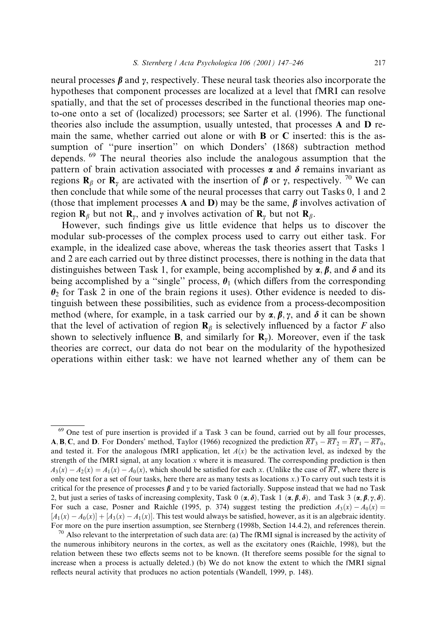neural processes  $\beta$  and  $\gamma$ , respectively. These neural task theories also incorporate the hypotheses that component processes are localized at a level that fMRI can resolve spatially, and that the set of processes described in the functional theories map oneto-one onto a set of (localized) processors; see Sarter et al. (1996). The functional theories also include the assumption, usually untested, that processes A and D remain the same, whether carried out alone or with  $B$  or  $C$  inserted: this is the assumption of "pure insertion" on which Donders' (1868) subtraction method depends. <sup>69</sup> The neural theories also include the analogous assumption that the pattern of brain activation associated with processes  $\alpha$  and  $\delta$  remains invariant as regions  $\mathbf{R}_{\beta}$  or  $\mathbf{R}_{\gamma}$  are activated with the insertion of  $\beta$  or  $\gamma$ , respectively. <sup>70</sup> We can then conclude that while some of the neural processes that carry out Tasks 0, 1 and 2 (those that implement processes **A** and **D**) may be the same,  $\beta$  involves activation of

region  $\mathbf{R}_{\beta}$  but not  $\mathbf{R}_{\gamma}$ , and  $\gamma$  involves activation of  $\mathbf{R}_{\gamma}$  but not  $\mathbf{R}_{\beta}$ . However, such findings give us little evidence that helps us to discover the modular sub-processes of the complex process used to carry out either task. For example, in the idealized case above, whereas the task theories assert that Tasks 1 and 2 are each carried out by three distinct processes, there is nothing in the data that distinguishes between Task 1, for example, being accomplished by  $\alpha$ ,  $\beta$ , and  $\delta$  and its being accomplished by a "single" process,  $\theta_1$  (which differs from the corresponding  $\theta_2$  for Task 2 in one of the brain regions it uses). Other evidence is needed to distinguish between these possibilities, such as evidence from a process-decomposition method (where, for example, in a task carried our by  $\alpha$ ,  $\beta$ ,  $\gamma$ , and  $\delta$  it can be shown that the level of activation of region  $\mathbf{R}_{\beta}$  is selectively influenced by a factor F also shown to selectively influence **B**, and similarly for  $\mathbf{R}_v$ ). Moreover, even if the task theories are correct, our data do not bear on the modularity of the hypothesized operations within either task: we have not learned whether any of them can be

 $69$  One test of pure insertion is provided if a Task 3 can be found, carried out by all four processes, **A, B, C, and D.** For Donders' method, Taylor (1966) recognized the prediction  $\overline{RT}_3 - \overline{RT}_2 = \overline{RT}_1 - \overline{RT}_0$ , and tested it. For the analogous fMRI application, let  $A(x)$  be the activation level, as indexed by the strength of the fMRI signal, at any location x where it is measured. The corresponding prediction is then  $A_3(x) - A_2(x) = A_1(x) - A_0(x)$ , which should be satisfied for each x. (Unlike the case of  $\overline{RT}$ , where there is only one test for a set of four tasks, here there are as many tests as locations  $x$ .) To carry out such tests it is critical for the presence of processes  $\beta$  and  $\gamma$  to be varied factorially. Suppose instead that we had no Task 2, but just a series of tasks of increasing complexity, Task 0  $(\alpha, \delta)$ , Task 1  $(\alpha, \beta, \delta)$ , and Task 3  $(\alpha, \beta, \gamma, \delta)$ . For such a case, Posner and Raichle (1995, p. 374) suggest testing the prediction  $A_3(x) - A_0(x) =$  $[A_1(x) - A_0(x)] + [A_3(x) - A_1(x)]$ . This test would always be satisfied, however, as it is an algebraic identity. For more on the pure insertion assumption, see Sternberg (1998b, Section 14.4.2), and references therein.

<sup>&</sup>lt;sup>70</sup> Also relevant to the interpretation of such data are: (a) The fRMI signal is increased by the activity of the numerous inhibitory neurons in the cortex, as well as the excitatory ones (Raichle, 1998), but the relation between these two effects seems not to be known. (It therefore seems possible for the signal to increase when a process is actually deleted.) (b) We do not know the extent to which the fMRI signal reflects neural activity that produces no action potentials (Wandell, 1999, p. 148).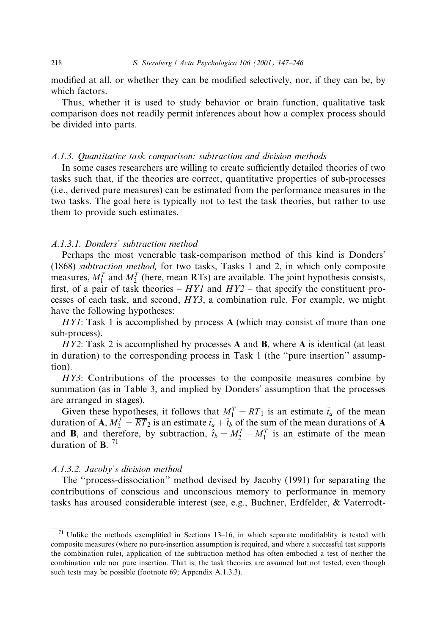modified at all, or whether they can be modified selectively, nor, if they can be, by which factors.

Thus, whether it is used to study behavior or brain function, qualitative task comparison does not readily permit inferences about how a complex process should be divided into parts.

## A.1.3. Quantitative task comparison: subtraction and division methods

In some cases researchers are willing to create sufficiently detailed theories of two tasks such that, if the theories are correct, quantitative properties of sub-processes (i.e., derived pure measures) can be estimated from the performance measures in the two tasks. The goal here is typically not to test the task theories, but rather to use them to provide such estimates.

### A.1.3.1. Donders' subtraction method

Perhaps the most venerable task-comparison method of this kind is Donders' (1868) subtraction method, for two tasks, Tasks 1 and 2, in which only composite measures,  $M_1^T$  and  $M_2^T$  (here, mean RTs) are available. The joint hypothesis consists, first, of a pair of task theories  $-HY1$  and  $HY2$  – that specify the constituent processes of each task, and second,  $HY3$ , a combination rule. For example, we might have the following hypotheses:

HY1: Task 1 is accomplished by process A (which may consist of more than one sub-process).

 $HY2$ : Task 2 is accomplished by processes A and B, where A is identical (at least in duration) to the corresponding process in Task 1 (the "pure insertion" assumption).

HY3: Contributions of the processes to the composite measures combine by summation (as in Table 3, and implied by Donders' assumption that the processes are arranged in stages).

Given these hypotheses, it follows that  $M_1^T = \overline{RT}_1$  is an estimate  $\hat{t}_a$  of the mean duration of **A**,  $M_2^T = \overline{RT}_2$  is an estimate  $\hat{t}_a + \hat{t}_b$  of the sum of the mean durations of **A** and **B**, and therefore, by subtraction,  $\hat{t}_b = M_2^T - M_1^T$  is an estimate of the mean duration of **B**.  $^{71}$ 

## A.1.3.2. Jacoby's division method

The ``process-dissociation'' method devised by Jacoby (1991) for separating the contributions of conscious and unconscious memory to performance in memory tasks has aroused considerable interest (see, e.g., Buchner, Erdfelder, & Vaterrodt-

 $71$  Unlike the methods exemplified in Sections 13-16, in which separate modifiablity is tested with composite measures (where no pure-insertion assumption is required, and where a successful test supports the combination rule), application of the subtraction method has often embodied a test of neither the combination rule nor pure insertion. That is, the task theories are assumed but not tested, even though such tests may be possible (footnote 69; Appendix A.1.3.3).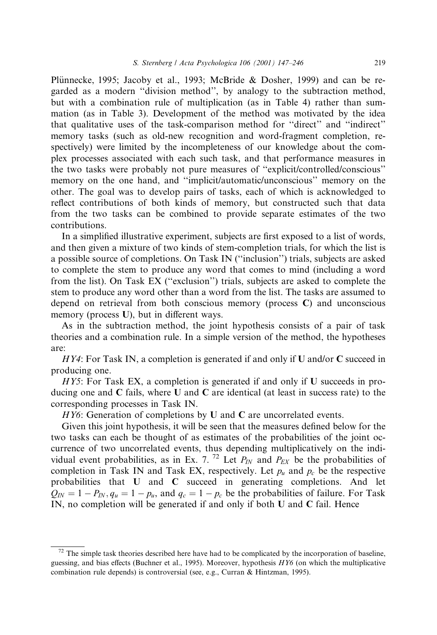Plunnecke, 1995; Jacoby et al., 1993; McBride & Dosher, 1999) and can be re garded as a modern "division method", by analogy to the subtraction method, but with a combination rule of multiplication (as in Table 4) rather than summation (as in Table 3). Development of the method was motivated by the idea that qualitative uses of the task-comparison method for "direct" and "indirect" memory tasks (such as old-new recognition and word-fragment completion, respectively) were limited by the incompleteness of our knowledge about the complex processes associated with each such task, and that performance measures in the two tasks were probably not pure measures of ``explicit/controlled/conscious'' memory on the one hand, and "implicit/automatic/unconscious" memory on the other. The goal was to develop pairs of tasks, each of which is acknowledged to reflect contributions of both kinds of memory, but constructed such that data from the two tasks can be combined to provide separate estimates of the two contributions.

In a simplified illustrative experiment, subjects are first exposed to a list of words, and then given a mixture of two kinds of stem-completion trials, for which the list is a possible source of completions. On Task IN (``inclusion'') trials, subjects are asked to complete the stem to produce any word that comes to mind (including a word from the list). On Task EX (``exclusion'') trials, subjects are asked to complete the stem to produce any word other than a word from the list. The tasks are assumed to depend on retrieval from both conscious memory (process  $C$ ) and unconscious memory (process  $U$ ), but in different ways.

As in the subtraction method, the joint hypothesis consists of a pair of task theories and a combination rule. In a simple version of the method, the hypotheses are:

 $HY4$ : For Task IN, a completion is generated if and only if U and/or  $C$  succeed in producing one.

HY5: For Task EX, a completion is generated if and only if U succeeds in producing one and  $\bf{C}$  fails, where  $\bf{U}$  and  $\bf{C}$  are identical (at least in success rate) to the corresponding processes in Task IN.

 $HY6$ : Generation of completions by U and C are uncorrelated events.

Given this joint hypothesis, it will be seen that the measures defined below for the two tasks can each be thought of as estimates of the probabilities of the joint occurrence of two uncorrelated events, thus depending multiplicatively on the individual event probabilities, as in Ex. 7.<sup>72</sup> Let  $P_{IN}$  and  $P_{EX}$  be the probabilities of completion in Task IN and Task EX, respectively. Let  $p_u$  and  $p_c$  be the respective probabilities that U and C succeed in generating completions. And let  $Q_{IN} = 1 - P_{IN}$ ,  $q_u = 1 - p_u$ , and  $q_c = 1 - p_c$  be the probabilities of failure. For Task IN, no completion will be generated if and only if both  $U$  and  $C$  fail. Hence

 $72$  The simple task theories described here have had to be complicated by the incorporation of baseline, guessing, and bias effects (Buchner et al., 1995). Moreover, hypothesis  $HY6$  (on which the multiplicative combination rule depends) is controversial (see, e.g., Curran & Hintzman, 1995).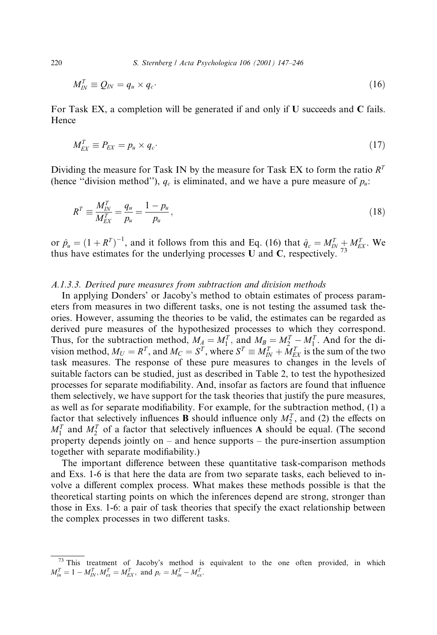220 S. Sternberg | Acta Psychologica 106 (2001) 147-246

$$
M_{IN}^T \equiv Q_{IN} = q_u \times q_c. \tag{16}
$$

For Task EX, a completion will be generated if and only if U succeeds and C fails. Hence

$$
M_{EX}^T \equiv P_{EX} = p_u \times q_c \tag{17}
$$

Dividing the measure for Task IN by the measure for Task EX to form the ratio  $R^T$ (hence "division method"),  $q_c$  is eliminated, and we have a pure measure of  $p_u$ :

$$
R^T \equiv \frac{M_{IN}^T}{M_{EX}^T} = \frac{q_u}{p_u} = \frac{1 - p_u}{p_u},
$$
\n(18)

or  $\hat{p}_u = (1 + R^T)^{-1}$ , and it follows from this and Eq. (16) that  $\hat{q}_c = M_N^T + M_{EX}^T$ . We thus have estimates for the underlying processes U and C, respectively.  $^{73}$ 

#### A.1.3.3. Derived pure measures from subtraction and division methods

In applying Donders' or Jacoby's method to obtain estimates of process parameters from measures in two different tasks, one is not testing the assumed task theories. However, assuming the theories to be valid, the estimates can be regarded as derived pure measures of the hypothesized processes to which they correspond. Thus, for the subtraction method,  $M_A = M_1^T$ , and  $M_B = M_2^T - M_1^T$ . And for the division method,  $M_U = R^T$ , and  $M_C = S^T$ , where  $S^T \equiv M_{IN}^T + M_{EX}^T$  is the sum of the two task measures. The response of these pure measures to changes in the levels of suitable factors can be studied, just as described in Table 2, to test the hypothesized processes for separate modifiability. And, insofar as factors are found that influence them selectively, we have support for the task theories that justify the pure measures, as well as for separate modifiability. For example, for the subtraction method, (1) a factor that selectively influences **B** should influence only  $M_2^T$ , and (2) the effects on  $M_1^T$  and  $M_2^T$  of a factor that selectively influences **A** should be equal. (The second property depends jointly on  $-$  and hence supports  $-$  the pure-insertion assumption together with separate modifiability.)

The important difference between these quantitative task-comparison methods and Exs. 1-6 is that here the data are from two separate tasks, each believed to involve a different complex process. What makes these methods possible is that the theoretical starting points on which the inferences depend are strong, stronger than those in Exs. 1-6: a pair of task theories that specify the exact relationship between the complex processes in two different tasks.

 $73$  This treatment of Jacoby's method is equivalent to the one often provided, in which  $M_{in}^T = 1 - M_{IN}^T, M_{ex}^T = M_{EX}^T, \text{ and } p_c = M_{in}^T - M_{ex}^T.$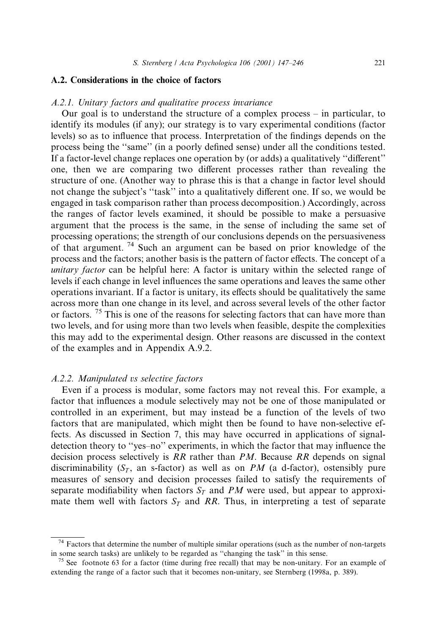## A.2. Considerations in the choice of factors

## A.2.1. Unitary factors and qualitative process invariance

Our goal is to understand the structure of a complex process  $-\text{ in particular, to}$ identify its modules (if any); our strategy is to vary experimental conditions (factor levels) so as to influence that process. Interpretation of the findings depends on the process being the "same" (in a poorly defined sense) under all the conditions tested. If a factor-level change replaces one operation by (or adds) a qualitatively "different" one, then we are comparing two different processes rather than revealing the structure of one. (Another way to phrase this is that a change in factor level should not change the subject's "task" into a qualitatively different one. If so, we would be engaged in task comparison rather than process decomposition.) Accordingly, across the ranges of factor levels examined, it should be possible to make a persuasive argument that the process is the same, in the sense of including the same set of processing operations; the strength of our conclusions depends on the persuasiveness of that argument. <sup>74</sup> Such an argument can be based on prior knowledge of the process and the factors; another basis is the pattern of factor effects. The concept of a unitary factor can be helpful here: A factor is unitary within the selected range of levels if each change in level influences the same operations and leaves the same other operations invariant. If a factor is unitary, its effects should be qualitatively the same across more than one change in its level, and across several levels of the other factor or factors. <sup>75</sup> This is one of the reasons for selecting factors that can have more than two levels, and for using more than two levels when feasible, despite the complexities this may add to the experimental design. Other reasons are discussed in the context of the examples and in Appendix A.9.2.

#### A.2.2. Manipulated vs selective factors

Even if a process is modular, some factors may not reveal this. For example, a factor that influences a module selectively may not be one of those manipulated or controlled in an experiment, but may instead be a function of the levels of two factors that are manipulated, which might then be found to have non-selective effects. As discussed in Section 7, this may have occurred in applications of signaldetection theory to "yes-no" experiments, in which the factor that may influence the decision process selectively is  $RR$  rather than  $PM$ . Because  $RR$  depends on signal discriminability ( $S_T$ , an s-factor) as well as on PM (a d-factor), ostensibly pure measures of sensory and decision processes failed to satisfy the requirements of separate modifiability when factors  $S_T$  and PM were used, but appear to approximate them well with factors  $S_T$  and RR. Thus, in interpreting a test of separate

 $74$  Factors that determine the number of multiple similar operations (such as the number of non-targets in some search tasks) are unlikely to be regarded as "changing the task" in this sense.

<sup>&</sup>lt;sup>75</sup> See footnote 63 for a factor (time during free recall) that may be non-unitary. For an example of extending the range of a factor such that it becomes non-unitary, see Sternberg (1998a, p. 389).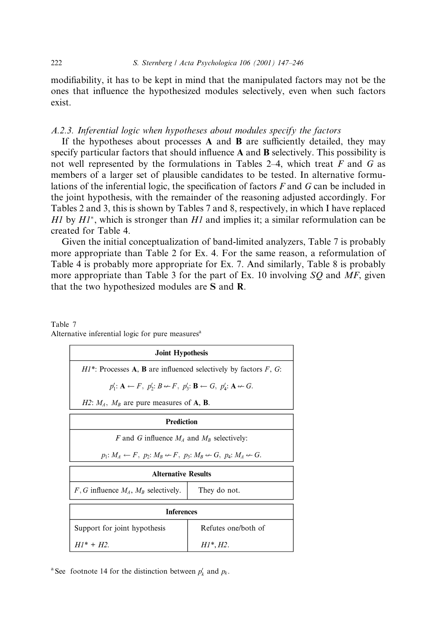modifiability, it has to be kept in mind that the manipulated factors may not be the ones that influence the hypothesized modules selectively, even when such factors exist.

## A.2.3. Inferential logic when hypotheses about modules specify the factors

If the hypotheses about processes  $A$  and  $B$  are sufficiently detailed, they may specify particular factors that should influence  $A$  and  $B$  selectively. This possibility is not well represented by the formulations in Tables 2–4, which treat  $F$  and  $G$  as members of a larger set of plausible candidates to be tested. In alternative formulations of the inferential logic, the specification of factors  $F$  and  $G$  can be included in the joint hypothesis, with the remainder of the reasoning adjusted accordingly. For Tables 2 and 3, this is shown by Tables 7 and 8, respectively, in which I have replaced H1 by  $H1^*$ , which is stronger than H1 and implies it; a similar reformulation can be created for Table 4.

Given the initial conceptualization of band-limited analyzers, Table 7 is probably more appropriate than Table 2 for Ex. 4. For the same reason, a reformulation of Table 4 is probably more appropriate for Ex. 7. And similarly, Table 8 is probably more appropriate than Table 3 for the part of Ex. 10 involving  $SO$  and MF, given that the two hypothesized modules are S and R.

| <b>Joint Hypothesis</b>                                                                                                                    |                     |  |  |  |
|--------------------------------------------------------------------------------------------------------------------------------------------|---------------------|--|--|--|
| $H1^*$ : Processes A, B are influenced selectively by factors F, G:                                                                        |                     |  |  |  |
| $p'_1$ : $\mathbf{A} \leftarrow F$ , $p'_2$ : $B \leftarrow F$ , $p'_2$ : $\mathbf{B} \leftarrow G$ , $p'_4$ : $\mathbf{A} \leftarrow G$ . |                     |  |  |  |
| $H2: M_A$ , $M_B$ are pure measures of <b>A</b> , <b>B</b> .                                                                               |                     |  |  |  |
| <b>Prediction</b>                                                                                                                          |                     |  |  |  |
| F and G influence $M_A$ and $M_B$ selectively:                                                                                             |                     |  |  |  |
| $p_1: M_A \leftarrow F$ , $p_2: M_B \leftarrow F$ , $p_3: M_B \leftarrow G$ , $p_4: M_A \leftarrow G$ .                                    |                     |  |  |  |
| <b>Alternative Results</b>                                                                                                                 |                     |  |  |  |
| F, G influence $M_A$ , $M_B$ selectively.                                                                                                  | They do not.        |  |  |  |
| <b>Inferences</b>                                                                                                                          |                     |  |  |  |
| Support for joint hypothesis                                                                                                               | Refutes one/both of |  |  |  |
| $H1* + H2$                                                                                                                                 | $HI^*, H2.$         |  |  |  |

Table 7 Alternative inferential logic for pure measures<sup>a</sup>

<sup>a</sup> See footnote 14 for the distinction between  $p'_k$  and  $p_k$ .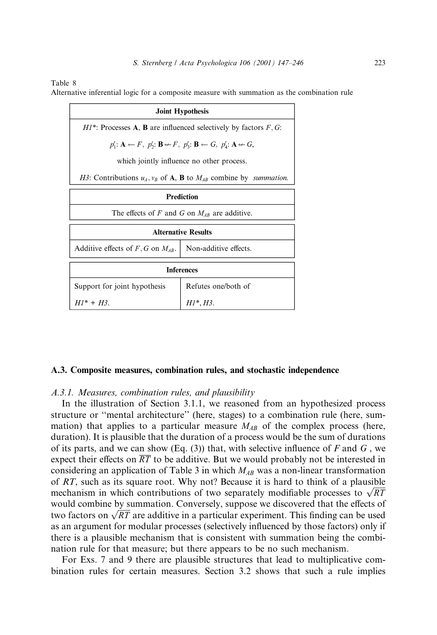Table 8

Alternative inferential logic for a composite measure with summation as the combination rule

| <b>Joint Hypothesis</b>                                                                                                                             |                     |  |
|-----------------------------------------------------------------------------------------------------------------------------------------------------|---------------------|--|
| $H1^*$ : Processes A, B are influenced selectively by factors F, G:                                                                                 |                     |  |
| $p'_1$ : $\mathbf{A} \leftarrow F$ , $p'_2$ : $\mathbf{B} \leftarrow F$ , $p'_3$ : $\mathbf{B} \leftarrow G$ , $p'_4$ : $\mathbf{A} \leftarrow G$ , |                     |  |
| which jointly influence no other process.                                                                                                           |                     |  |
| <i>H3</i> : Contributions $u_A$ , $v_B$ of <b>A</b> , <b>B</b> to $M_{AB}$ combine by <i>summation</i> .                                            |                     |  |
| <b>Prediction</b>                                                                                                                                   |                     |  |
| The effects of F and G on $M_{AB}$ are additive.                                                                                                    |                     |  |
| <b>Alternative Results</b>                                                                                                                          |                     |  |
| Non-additive effects.<br>Additive effects of F, G on $M_{AB}$ .                                                                                     |                     |  |
| <b>Inferences</b>                                                                                                                                   |                     |  |
| Support for joint hypothesis                                                                                                                        | Refutes one/both of |  |
| $H1* + H3$                                                                                                                                          | $HI^*, H3$ .        |  |

## A.3. Composite measures, combination rules, and stochastic independence

#### A.3.1. Measures, combination rules, and plausibility

In the illustration of Section 3.1.1, we reasoned from an hypothesized process structure or "mental architecture" (here, stages) to a combination rule (here, summation) that applies to a particular measure  $M_{AB}$  of the complex process (here, duration). It is plausible that the duration of a process would be the sum of durations of its parts, and we can show (Eq. (3)) that, with selective influence of F and G, we expect their effects on  $\overline{RT}$  to be additive. But we would probably not be interested in considering an application of Table 3 in which  $M_{AB}$  was a non-linear transformation of RT, such as its square root. Why not? Because it is hard to think of a plausible or  $\kappa T$ , such as its square root. Why not? Because it is hard to think or a plausible mechanism in which contributions of two separately modifiable processes to  $\sqrt{RT}$ would combine by summation. Conversely, suppose we discovered that the effects of would combine by summation. Conversely, suppose we discovered that the effects of two factors on  $\sqrt{RT}$  are additive in a particular experiment. This finding can be used as an argument for modular processes (selectively influenced by those factors) only if there is a plausible mechanism that is consistent with summation being the combination rule for that measure; but there appears to be no such mechanism.

For Exs. 7 and 9 there are plausible structures that lead to multiplicative combination rules for certain measures. Section 3.2 shows that such a rule implies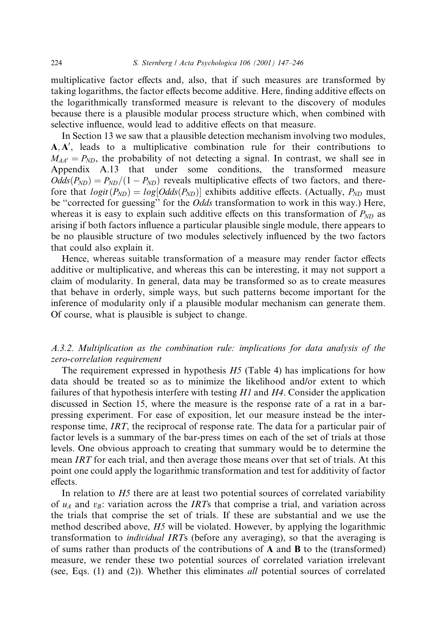multiplicative factor effects and, also, that if such measures are transformed by taking logarithms, the factor effects become additive. Here, finding additive effects on the logarithmically transformed measure is relevant to the discovery of modules because there is a plausible modular process structure which, when combined with selective influence, would lead to additive effects on that measure.

In Section 13 we saw that a plausible detection mechanism involving two modules,  $A, A'$ , leads to a multiplicative combination rule for their contributions to  $M_{AA'} = P_{ND}$ , the probability of not detecting a signal. In contrast, we shall see in Appendix A.13 that under some conditions, the transformed measure  $Odds(P_{ND}) = P_{ND}/(1 - P_{ND})$  reveals multiplicative effects of two factors, and therefore that  $logit(P_{ND}) = log[Odds(P_{ND})]$  exhibits additive effects. (Actually,  $P_{ND}$  must be "corrected for guessing" for the *Odds* transformation to work in this way.) Here, whereas it is easy to explain such additive effects on this transformation of  $P_{ND}$  as arising if both factors influence a particular plausible single module, there appears to be no plausible structure of two modules selectively influenced by the two factors that could also explain it.

Hence, whereas suitable transformation of a measure may render factor effects additive or multiplicative, and whereas this can be interesting, it may not support a claim of modularity. In general, data may be transformed so as to create measures that behave in orderly, simple ways, but such patterns become important for the inference of modularity only if a plausible modular mechanism can generate them. Of course, what is plausible is subject to change.

## A.3.2. Multiplication as the combination rule: implications for data analysis of the zero-correlation requirement

The requirement expressed in hypothesis  $H<sub>5</sub>$  (Table 4) has implications for how data should be treated so as to minimize the likelihood and/or extent to which failures of that hypothesis interfere with testing  $H1$  and  $H4$ . Consider the application discussed in Section 15, where the measure is the response rate of a rat in a barpressing experiment. For ease of exposition, let our measure instead be the interresponse time, IRT, the reciprocal of response rate. The data for a particular pair of factor levels is a summary of the bar-press times on each of the set of trials at those levels. One obvious approach to creating that summary would be to determine the mean IRT for each trial, and then average those means over that set of trials. At this point one could apply the logarithmic transformation and test for additivity of factor effects.

In relation to H5 there are at least two potential sources of correlated variability of  $u_A$  and  $v_B$ : variation across the IRTs that comprise a trial, and variation across the trials that comprise the set of trials. If these are substantial and we use the method described above, H5 will be violated. However, by applying the logarithmic transformation to individual IRTs (before any averaging), so that the averaging is of sums rather than products of the contributions of A and B to the (transformed) measure, we render these two potential sources of correlated variation irrelevant (see, Eqs.  $(1)$  and  $(2)$ ). Whether this eliminates *all* potential sources of correlated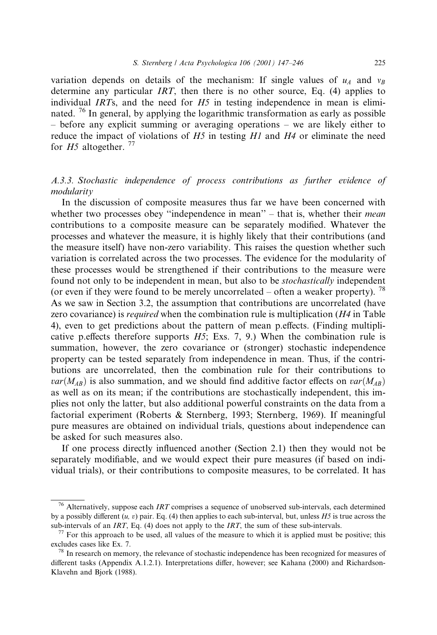variation depends on details of the mechanism: If single values of  $u_A$  and  $v_B$ determine any particular  $IRT$ , then there is no other source, Eq. (4) applies to individual IRTs, and the need for  $H5$  in testing independence in mean is eliminated.  $76$  In general, by applying the logarithmic transformation as early as possible  $-$  before any explicit summing or averaging operations  $-$  we are likely either to reduce the impact of violations of  $H5$  in testing  $H1$  and  $H4$  or eliminate the need for  $H_5$  altogether. <sup>77</sup>

# A.3.3. Stochastic independence of process contributions as further evidence of modularity

In the discussion of composite measures thus far we have been concerned with whether two processes obey "independence in mean"  $-$  that is, whether their *mean* contributions to a composite measure can be separately modified. Whatever the processes and whatever the measure, it is highly likely that their contributions (and the measure itself) have non-zero variability. This raises the question whether such variation is correlated across the two processes. The evidence for the modularity of these processes would be strengthened if their contributions to the measure were found not only to be independent in mean, but also to be *stochastically* independent (or even if they were found to be merely uncorrelated  $-$  often a weaker property). <sup>78</sup> As we saw in Section 3.2, the assumption that contributions are uncorrelated (have zero covariance) is *required* when the combination rule is multiplication  $(H<sup>4</sup>)$  in Table 4), even to get predictions about the pattern of mean p.effects. (Finding multiplicative p.effects therefore supports  $H_5$ ; Exs. 7, 9.) When the combination rule is summation, however, the zero covariance or (stronger) stochastic independence property can be tested separately from independence in mean. Thus, if the contributions are uncorrelated, then the combination rule for their contributions to  $var(M_{AB})$  is also summation, and we should find additive factor effects on  $var(M_{AB})$ as well as on its mean; if the contributions are stochastically independent, this implies not only the latter, but also additional powerful constraints on the data from a factorial experiment (Roberts & Sternberg, 1993; Sternberg, 1969). If meaningful pure measures are obtained on individual trials, questions about independence can be asked for such measures also.

If one process directly influenced another (Section 2.1) then they would not be separately modifiable, and we would expect their pure measures (if based on individual trials), or their contributions to composite measures, to be correlated. It has

 $76$  Alternatively, suppose each IRT comprises a sequence of unobserved sub-intervals, each determined by a possibly different  $(u, v)$  pair. Eq. (4) then applies to each sub-interval, but, unless H5 is true across the sub-intervals of an IRT, Eq. (4) does not apply to the IRT, the sum of these sub-intervals.

 $77$  For this approach to be used, all values of the measure to which it is applied must be positive; this excludes cases like Ex. 7.<br><sup>78</sup> In research on memory, the relevance of stochastic independence has been recognized for measures of

different tasks (Appendix A.1.2.1). Interpretations differ, however; see Kahana (2000) and Richardson-Klavehn and Bjork (1988).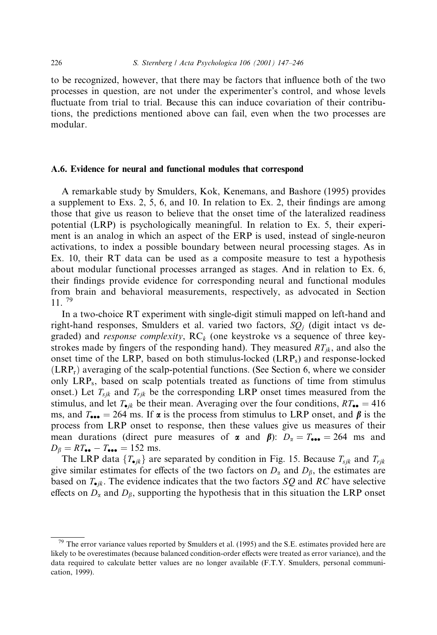to be recognized, however, that there may be factors that influence both of the two processes in question, are not under the experimenter's control, and whose levels fluctuate from trial to trial. Because this can induce covariation of their contributions, the predictions mentioned above can fail, even when the two processes are modular.

#### A.6. Evidence for neural and functional modules that correspond

A remarkable study by Smulders, Kok, Kenemans, and Bashore (1995) provides a supplement to Exs. 2, 5, 6, and 10. In relation to Ex. 2, their findings are among those that give us reason to believe that the onset time of the lateralized readiness potential (LRP) is psychologically meaningful. In relation to Ex. 5, their experiment is an analog in which an aspect of the ERP is used, instead of single-neuron activations, to index a possible boundary between neural processing stages. As in Ex. 10, their RT data can be used as a composite measure to test a hypothesis about modular functional processes arranged as stages. And in relation to Ex. 6, their findings provide evidence for corresponding neural and functional modules from brain and behavioral measurements, respectively, as advocated in Section 11. <sup>79</sup>

In a two-choice RT experiment with single-digit stimuli mapped on left-hand and right-hand responses, Smulders et al. varied two factors,  $SO_i$  (digit intact vs degraded) and response complexity,  $RC_k$  (one keystroke vs a sequence of three keystrokes made by fingers of the responding hand). They measured  $RT_{ik}$ , and also the onset time of the LRP, based on both stimulus-locked  $(LRP<sub>s</sub>)$  and response-locked  $(LRP_r)$  averaging of the scalp-potential functions. (See Section 6, where we consider only  $LRP_s$ , based on scalp potentials treated as functions of time from stimulus onset.) Let  $T_{sjk}$  and  $T_{rjk}$  be the corresponding LRP onset times measured from the stimulus, and let  $T_{\bullet jk}$  be their mean. Averaging over the four conditions,  $RT_{\bullet \bullet} = 416$ ms, and  $T_{\text{osc}} = 264$  ms. If  $\alpha$  is the process from stimulus to LRP onset, and  $\beta$  is the process from LRP onset to response, then these values give us measures of their mean durations (direct pure measures of  $\alpha$  and  $\beta$ ):  $D_{\alpha} = T_{\bullet \bullet \bullet} = 264$  ms and  $D_{\beta} = RT_{\bullet \bullet} - T_{\bullet \bullet \bullet} = 152 \text{ ms}.$ 

The LRP data  $\{T_{\bullet ik}\}$  are separated by condition in Fig. 15. Because  $T_{sjk}$  and  $T_{rjk}$ give similar estimates for effects of the two factors on  $D_{\alpha}$  and  $D_{\beta}$ , the estimates are based on  $T_{\bullet jk}$ . The evidence indicates that the two factors SQ and RC have selective effects on  $D_{\alpha}$  and  $D_{\beta}$ , supporting the hypothesis that in this situation the LRP onset

 $<sup>79</sup>$  The error variance values reported by Smulders et al. (1995) and the S.E. estimates provided here are</sup> likely to be overestimates (because balanced condition-order effects were treated as error variance), and the data required to calculate better values are no longer available (F.T.Y. Smulders, personal communication, 1999).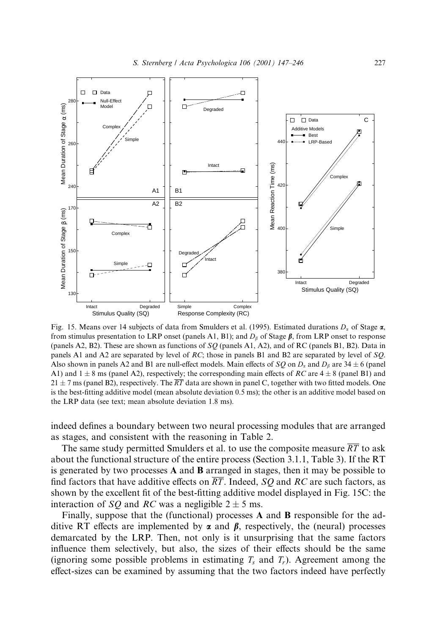

Fig. 15. Means over 14 subjects of data from Smulders et al. (1995). Estimated durations  $D_{\alpha}$  of Stage  $\alpha$ , from stimulus presentation to LRP onset (panels A1, B1); and  $D_\beta$  of Stage  $\beta$ , from LRP onset to response (panels A2, B2). These are shown as functions of  $SQ$  (panels A1, A2), and of RC (panels B1, B2). Data in panels A1 and A2 are separated by level of RC; those in panels B1 and B2 are separated by level of SQ. Also shown in panels A2 and B1 are null-effect models. Main effects of SQ on  $D_x$  and  $D_\beta$  are 34  $\pm$  6 (panel A1) and  $1 \pm 8$  ms (panel A2), respectively; the corresponding main effects of RC are  $4 \pm 8$  (panel B1) and  $21 \pm 7$  ms (panel B2), respectively. The  $\overline{RT}$  data are shown in panel C, together with two fitted models. One is the best-fitting additive model (mean absolute deviation 0.5 ms); the other is an additive model based on the LRP data (see text; mean absolute deviation 1.8 ms).

indeed defines a boundary between two neural processing modules that are arranged as stages, and consistent with the reasoning in Table 2.

The same study permitted Smulders et al. to use the composite measure  $\overline{RT}$  to ask about the functional structure of the entire process (Section 3.1.1, Table 3). If the RT is generated by two processes  $\bf{A}$  and  $\bf{B}$  arranged in stages, then it may be possible to find factors that have additive effects on  $\overline{RT}$ . Indeed, SQ and RC are such factors, as shown by the excellent fit of the best-fitting additive model displayed in Fig. 15C: the interaction of SQ and RC was a negligible  $2 \pm 5$  ms.

Finally, suppose that the (functional) processes A and B responsible for the additive RT effects are implemented by  $\alpha$  and  $\beta$ , respectively, the (neural) processes demarcated by the LRP. Then, not only is it unsurprising that the same factors influence them selectively, but also, the sizes of their effects should be the same (ignoring some possible problems in estimating  $T_s$  and  $T_r$ ). Agreement among the effect-sizes can be examined by assuming that the two factors indeed have perfectly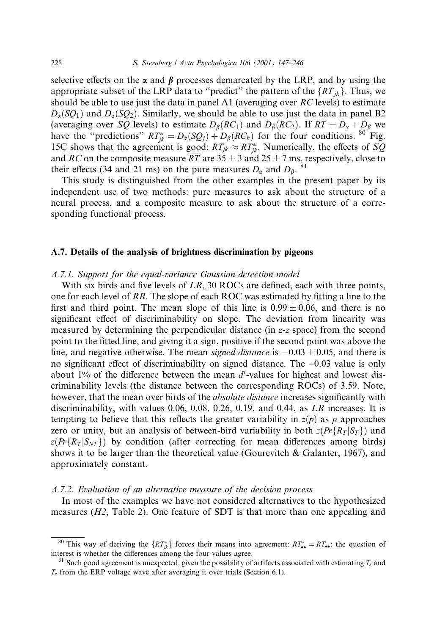selective effects on the  $\alpha$  and  $\beta$  processes demarcated by the LRP, and by using the appropriate subset of the LRP data to "predict" the pattern of the  $\{\overline{RT}_{jk}\}\$ . Thus, we should be able to use just the data in panel A1 (averaging over  $RC$  levels) to estimate  $D_{\alpha}(SQ_1)$  and  $D_{\alpha}(SQ_2)$ . Similarly, we should be able to use just the data in panel B2 (averaging over SQ levels) to estimate  $D_\beta(RC_1)$  and  $D_\beta(RC_2)$ . If  $RT = D_\alpha + D_\beta$  we have the "predictions"  $RT_{jk}^* = D_{\alpha}(SQ_j) + D_{\beta}(RC_k)$  for the four conditions. <sup>80</sup> Fig. 15C shows that the agreement is good:  $RT_{jk} \approx RT_{jk}^*$ . Numerically, the effects of SQ and RC on the composite measure  $\overline{RT}$  are  $35 \pm 3$  and  $25 \pm 7$  ms, respectively, close to their effects (34 and 21 ms) on the pure measures  $D_{\alpha}$  and  $D_{\beta}$ . <sup>81</sup>

This study is distinguished from the other examples in the present paper by its independent use of two methods: pure measures to ask about the structure of a neural process, and a composite measure to ask about the structure of a corresponding functional process.

#### A.7. Details of the analysis of brightness discrimination by pigeons

## A.7.1. Support for the equal-variance Gaussian detection model

With six birds and five levels of  $LR$ , 30 ROCs are defined, each with three points, one for each level of RR. The slope of each ROC was estimated by fitting a line to the first and third point. The mean slope of this line is  $0.99 \pm 0.06$ , and there is no significant effect of discriminability on slope. The deviation from linearity was measured by determining the perpendicular distance (in z-z space) from the second point to the fitted line, and giving it a sign, positive if the second point was above the line, and negative otherwise. The mean *signed distance* is  $-0.03 \pm 0.05$ , and there is no significant effect of discriminability on signed distance. The  $-0.03$  value is only about  $1\%$  of the difference between the mean  $d'$ -values for highest and lowest discriminability levels (the distance between the corresponding ROCs) of 3.59. Note, however, that the mean over birds of the *absolute distance* increases significantly with discriminability, with values  $0.06, 0.08, 0.26, 0.19$ , and  $0.44$ , as LR increases. It is tempting to believe that this reflects the greater variability in  $z(p)$  as p approaches zero or unity, but an analysis of between-bird variability in both  $z(PfR_T|S_T)$  and  $z(Pf{R_T}|S_{NT})$  by condition (after correcting for mean differences among birds) shows it to be larger than the theoretical value (Gourevitch  $\&$  Galanter, 1967), and approximately constant.

## A.7.2. Evaluation of an alternative measure of the decision process

In most of the examples we have not considered alternatives to the hypothesized measures  $(H2, Table 2)$ . One feature of SDT is that more than one appealing and

<sup>&</sup>lt;sup>80</sup> This way of deriving the  $\{RT_{jk}^*\}$  forces their means into agreement:  $RT_{\bullet\bullet}^* = RT_{\bullet\bullet}$ ; the question of interest is whether the differences among the four values agree.

<sup>&</sup>lt;sup>81</sup> Such good agreement is unexpected, given the possibility of artifacts associated with estimating  $T_s$  and  $T_r$  from the ERP voltage wave after averaging it over trials (Section 6.1).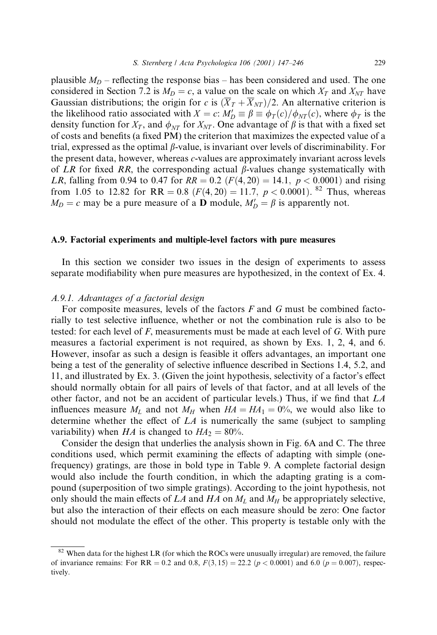plausible  $M_D$  – reflecting the response bias – has been considered and used. The one considered in Section 7.2 is  $M_D = c$ , a value on the scale on which  $X_T$  and  $X_{NT}$  have Gaussian distributions; the origin for c is  $(\overline{X}_T + \overline{X}_{NT})/2$ . An alternative criterion is the likelihood ratio associated with  $X = c$ :  $M'_D \equiv \beta \equiv \phi_T(c)/\phi_{NT}(c)$ , where  $\phi_T$  is the density function for  $X_T$ , and  $\phi_{NT}$  for  $X_{NT}$ . One advantage of  $\beta$  is that with a fixed set of costs and benefits (a fixed PM) the criterion that maximizes the expected value of a trial, expressed as the optimal  $\beta$ -value, is invariant over levels of discriminability. For the present data, however, whereas  $c$ -values are approximately invariant across levels of LR for fixed RR, the corresponding actual  $\beta$ -values change systematically with LR, falling from 0.94 to 0.47 for  $RR = 0.2$  ( $F(4, 20) = 14.1$ ,  $p < 0.0001$ ) and rising from 1.05 to 12.82 for RR = 0.8  $(F(4, 20) = 11.7, p < 0.0001)$ . <sup>82</sup> Thus, whereas  $M_D = c$  may be a pure measure of a **D** module,  $M'_D = \beta$  is apparently not.

### A.9. Factorial experiments and multiple-level factors with pure measures

In this section we consider two issues in the design of experiments to assess separate modifiability when pure measures are hypothesized, in the context of Ex. 4.

#### A.9.1. Advantages of a factorial design

For composite measures, levels of the factors  $F$  and  $G$  must be combined factorially to test selective influence, whether or not the combination rule is also to be tested: for each level of F, measurements must be made at each level of G. With pure measures a factorial experiment is not required, as shown by Exs. 1, 2, 4, and 6. However, insofar as such a design is feasible it offers advantages, an important one being a test of the generality of selective influence described in Sections 1.4, 5.2, and 11, and illustrated by Ex. 3. (Given the joint hypothesis, selectivity of a factor's effect should normally obtain for all pairs of levels of that factor, and at all levels of the other factor, and not be an accident of particular levels.) Thus, if we find that  $LA$ influences measure  $M_L$  and not  $M_H$  when  $HA = HA_1 = 0\%$ , we would also like to determine whether the effect of  $LA$  is numerically the same (subject to sampling variability) when HA is changed to  $H A_2 = 80\%$ .

Consider the design that underlies the analysis shown in Fig. 6A and C. The three conditions used, which permit examining the effects of adapting with simple (onefrequency) gratings, are those in bold type in Table 9. A complete factorial design would also include the fourth condition, in which the adapting grating is a compound (superposition of two simple gratings). According to the joint hypothesis, not only should the main effects of LA and HA on  $M_L$  and  $M_H$  be appropriately selective, but also the interaction of their effects on each measure should be zero: One factor should not modulate the effect of the other. This property is testable only with the

 $82$  When data for the highest LR (for which the ROCs were unusually irregular) are removed, the failure of invariance remains: For RR = 0.2 and 0.8,  $F(3.15) = 22.2$  ( $p < 0.0001$ ) and 6.0 ( $p = 0.007$ ), respectively.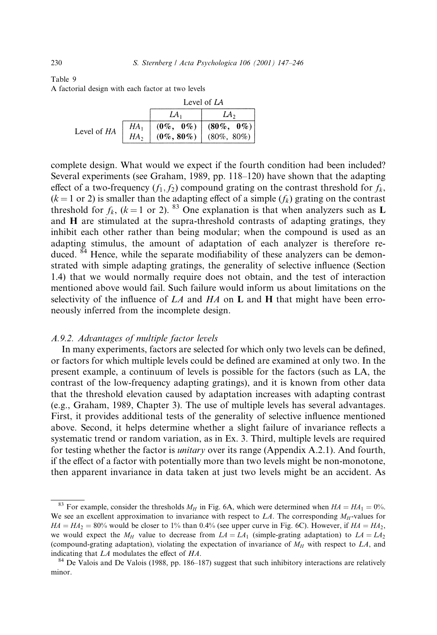#### Table 9 A factorial design with each factor at two levels

|             |  | Level of LA |                                                            |  |
|-------------|--|-------------|------------------------------------------------------------|--|
|             |  |             | LA.                                                        |  |
| Level of HA |  |             | $H A_1$ (0%, 0%) (80%, 0%)<br>$H A_2$ (0%, 80%) (80%, 80%) |  |

complete design. What would we expect if the fourth condition had been included? Several experiments (see Graham, 1989, pp.  $118–120$ ) have shown that the adapting effect of a two-frequency  $(f_1, f_2)$  compound grating on the contrast threshold for  $f_k$ ,  $(k = 1 \text{ or } 2)$  is smaller than the adapting effect of a simple  $(f_k)$  grating on the contrast threshold for  $f_k$ ,  $(k=1 \text{ or } 2)$ . <sup>83</sup> One explanation is that when analyzers such as **L** and H are stimulated at the supra-threshold contrasts of adapting gratings, they inhibit each other rather than being modular; when the compound is used as an adapting stimulus, the amount of adaptation of each analyzer is therefore reduced.  $84$  Hence, while the separate modifiability of these analyzers can be demonstrated with simple adapting gratings, the generality of selective influence (Section 1.4) that we would normally require does not obtain, and the test of interaction mentioned above would fail. Such failure would inform us about limitations on the selectivity of the influence of LA and HA on L and H that might have been erroneously inferred from the incomplete design.

## A.9.2. Advantages of multiple factor levels

In many experiments, factors are selected for which only two levels can be defined, or factors for which multiple levels could be defined are examined at only two. In the present example, a continuum of levels is possible for the factors (such as LA, the contrast of the low-frequency adapting gratings), and it is known from other data that the threshold elevation caused by adaptation increases with adapting contrast (e.g., Graham, 1989, Chapter 3). The use of multiple levels has several advantages. First, it provides additional tests of the generality of selective influence mentioned above. Second, it helps determine whether a slight failure of invariance reflects a systematic trend or random variation, as in Ex. 3. Third, multiple levels are required for testing whether the factor is unitary over its range (Appendix A.2.1). And fourth, if the effect of a factor with potentially more than two levels might be non-monotone, then apparent invariance in data taken at just two levels might be an accident. As

<sup>&</sup>lt;sup>83</sup> For example, consider the thresholds  $M_H$  in Fig. 6A, which were determined when  $HA = HA_1 = 0\%$ . We see an excellent approximation to invariance with respect to  $LA$ . The corresponding  $M_H$ -values for  $HA = H A_2 = 80\%$  would be closer to 1% than 0.4% (see upper curve in Fig. 6C). However, if  $HA = HA_2$ , we would expect the  $M_H$  value to decrease from  $LA = LA_1$  (simple-grating adaptation) to  $LA = LA_2$ (compound-grating adaptation), violating the expectation of invariance of  $M_H$  with respect to LA, and indicating that  $LA$  modulates the effect of  $HA$ .

 $84$  De Valois and De Valois (1988, pp. 186–187) suggest that such inhibitory interactions are relatively minor.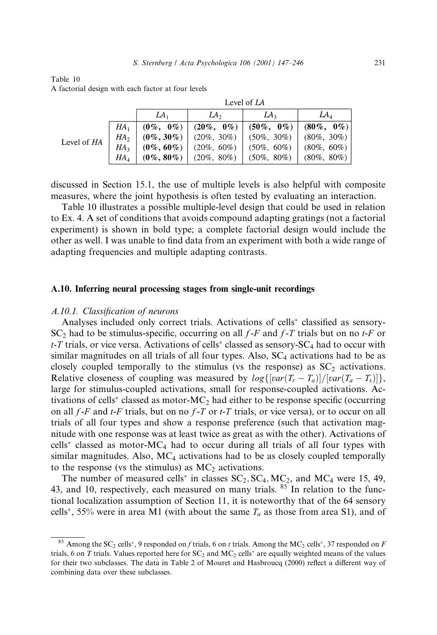| Table 10                                           |  |  |  |  |
|----------------------------------------------------|--|--|--|--|
| A factorial design with each factor at four levels |  |  |  |  |

|             |                 | Level of LA   |                |                |                |  |
|-------------|-----------------|---------------|----------------|----------------|----------------|--|
|             |                 | LA            | LA,            | LA.            | LA 1           |  |
| Level of HA | HA <sub>1</sub> | $(0\%, 0\%)$  | $(20\%, 0\%)$  | $(50\%, 0\%)$  | $(80\%, 0\%)$  |  |
|             | HA <sub>2</sub> | $(0\%, 30\%)$ | $(20\%, 30\%)$ | $(50\%, 30\%)$ | $(80\%, 30\%)$ |  |
|             | HA,             | $(0\%, 60\%)$ | $(20\%, 60\%)$ | $(50\%, 60\%)$ | $(80\%, 60\%)$ |  |
|             | $HA_{A}$        | $(0\%, 80\%)$ | $(20\%, 80\%)$ | $(50\%, 80\%)$ | $(80\%, 80\%)$ |  |

discussed in Section 15.1, the use of multiple levels is also helpful with composite measures, where the joint hypothesis is often tested by evaluating an interaction.

Table 10 illustrates a possible multiple-level design that could be used in relation to Ex. 4. A set of conditions that avoids compound adapting gratings (not a factorial experiment) is shown in bold type; a complete factorial design would include the other as well. I was unable to find data from an experiment with both a wide range of adapting frequencies and multiple adapting contrasts.

## A.10. Inferring neural processing stages from single-unit recordings

### A.10.1. Classification of neurons

Analyses included only correct trials. Activations of cells<sup>\*</sup> classified as sensory- $SC<sub>2</sub>$  had to be stimulus-specific, occurring on all f-F and f-T trials but on no t-F or  $t$ -T trials, or vice versa. Activations of cells<sup>\*</sup> classed as sensory- $SC_4$  had to occur with similar magnitudes on all trials of all four types. Also,  $SC_4$  activations had to be as closely coupled temporally to the stimulus (vs the response) as  $SC<sub>2</sub>$  activations. Relative closeness of coupling was measured by  $log\{[var(T_r - T_a)]/[var(T_a - T_s)]\}$ , large for stimulus-coupled activations, small for response-coupled activations. Activations of cells<sup>\*</sup> classed as motor-MC<sub>2</sub> had either to be response specific (occurring on all  $f$ -F and  $t$ -F trials, but on no  $f$ -T or  $t$ -T trials, or vice versa), or to occur on all trials of all four types and show a response preference (such that activation magnitude with one response was at least twice as great as with the other). Activations of cells<sup>\*</sup> classed as motor-MC<sub>4</sub> had to occur during all trials of all four types with similar magnitudes. Also,  $MC_4$  activations had to be as closely coupled temporally to the response (vs the stimulus) as  $MC_2$  activations.

The number of measured cells<sup>\*</sup> in classes  $SC_2$ ,  $SC_4$ ,  $MC_2$ , and  $MC_4$  were 15, 49, 43, and 10, respectively, each measured on many trials.  $85$  In relation to the functional localization assumption of Section 11, it is noteworthy that of the 64 sensory cells\*, 55% were in area M1 (with about the same  $T_a$  as those from area S1), and of

<sup>&</sup>lt;sup>85</sup> Among the SC<sub>2</sub> cells<sup>\*</sup>, 9 responded on f trials, 6 on t trials. Among the MC<sub>2</sub> cells<sup>\*</sup>, 37 responded on F trials, 6 on T trials. Values reported here for  $SC_2$  and  $MC_2$  cells<sup>\*</sup> are equally weighted means of the values for their two subclasses. The data in Table 2 of Mouret and Hasbroucq (2000) reflect a different way of combining data over these subclasses.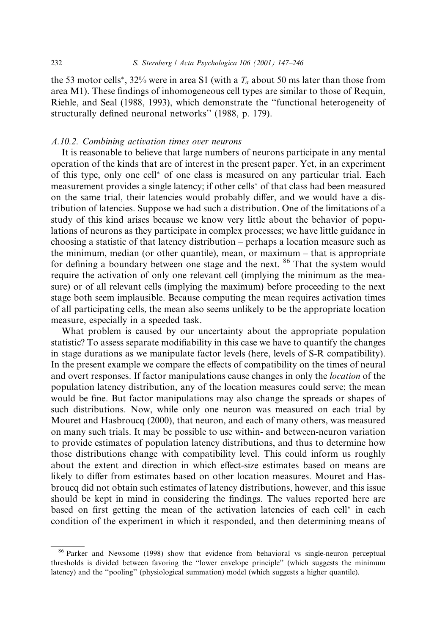the 53 motor cells<sup>\*</sup>, 32% were in area S1 (with a  $T_a$  about 50 ms later than those from area M1). These findings of inhomogeneous cell types are similar to those of Requin, Riehle, and Seal (1988, 1993), which demonstrate the "functional heterogeneity of structurally defined neuronal networks" (1988, p. 179).

#### A.10.2. Combining activation times over neurons

It is reasonable to believe that large numbers of neurons participate in any mental operation of the kinds that are of interest in the present paper. Yet, in an experiment of this type, only one cell<sup>\*</sup> of one class is measured on any particular trial. Each measurement provides a single latency; if other cells<sup>\*</sup> of that class had been measured on the same trial, their latencies would probably differ, and we would have a distribution of latencies. Suppose we had such a distribution. One of the limitations of a study of this kind arises because we know very little about the behavior of populations of neurons as they participate in complex processes; we have little guidance in choosing a statistic of that latency distribution  $-$  perhaps a location measure such as the minimum, median (or other quantile), mean, or maximum  $-$  that is appropriate for defining a boundary between one stage and the next.  $86$  That the system would require the activation of only one relevant cell (implying the minimum as the measure) or of all relevant cells (implying the maximum) before proceeding to the next stage both seem implausible. Because computing the mean requires activation times of all participating cells, the mean also seems unlikely to be the appropriate location measure, especially in a speeded task.

What problem is caused by our uncertainty about the appropriate population statistic? To assess separate modifiability in this case we have to quantify the changes in stage durations as we manipulate factor levels (here, levels of S-R compatibility). In the present example we compare the effects of compatibility on the times of neural and overt responses. If factor manipulations cause changes in only the *location* of the population latency distribution, any of the location measures could serve; the mean would be fine. But factor manipulations may also change the spreads or shapes of such distributions. Now, while only one neuron was measured on each trial by Mouret and Hasbroucq (2000), that neuron, and each of many others, was measured on many such trials. It may be possible to use within- and between-neuron variation to provide estimates of population latency distributions, and thus to determine how those distributions change with compatibility level. This could inform us roughly about the extent and direction in which effect-size estimates based on means are likely to differ from estimates based on other location measures. Mouret and Hasbroucq did not obtain such estimates of latency distributions, however, and this issue should be kept in mind in considering the findings. The values reported here are based on first getting the mean of the activation latencies of each cell<sup>\*</sup> in each condition of the experiment in which it responded, and then determining means of

<sup>&</sup>lt;sup>86</sup> Parker and Newsome (1998) show that evidence from behavioral vs single-neuron perceptual thresholds is divided between favoring the ``lower envelope principle'' (which suggests the minimum latency) and the "pooling" (physiological summation) model (which suggests a higher quantile).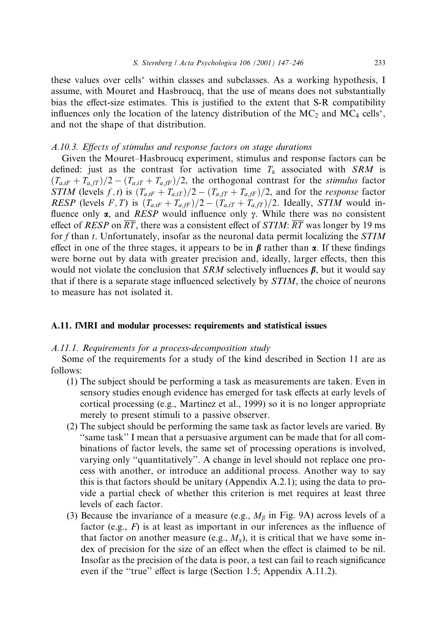these values over cells<sup>\*</sup> within classes and subclasses. As a working hypothesis, I assume, with Mouret and Hasbroucq, that the use of means does not substantially bias the effect-size estimates. This is justified to the extent that S-R compatibility influences only the location of the latency distribution of the  $MC_2$  and  $MC_4$  cells<sup>\*</sup>, and not the shape of that distribution.

## A.10.3. Effects of stimulus and response factors on stage durations

Given the Mouret-Hasbroucq experiment, stimulus and response factors can be defined: just as the contrast for activation time  $T_a$  associated with SRM is  $(T_{a,tF} + T_{a,fT})/2 - (T_{a,tT} + T_{a,fF})/2$ , the orthogonal contrast for the *stimulus* factor STIM (levels f, t) is  $(T_{a,tF} + T_{a,tT})/2 - (T_{a,fT} + T_{a,fF})/2$ , and for the response factor RESP (levels F, T) is  $(T_{a,tF} + T_{a,fF})/2 - (T_{a,tT} + T_{a,fT})/2$ . Ideally, STIM would influence only  $\alpha$ , and *RESP* would influence only  $\gamma$ . While there was no consistent effect of RESP on  $\overline{RT}$ , there was a consistent effect of STIM:  $\overline{RT}$  was longer by 19 ms for  $f$  than  $t$ . Unfortunately, insofar as the neuronal data permit localizing the  $STIM$ effect in one of the three stages, it appears to be in  $\beta$  rather than  $\alpha$ . If these findings were borne out by data with greater precision and, ideally, larger effects, then this would not violate the conclusion that *SRM* selectively influences  $\beta$ , but it would say that if there is a separate stage influenced selectively by  $STIM$ , the choice of neurons to measure has not isolated it.

#### A.11. fMRI and modular processes: requirements and statistical issues

## A.11.1. Requirements for a process-decomposition study

Some of the requirements for a study of the kind described in Section 11 are as follows:

- (1) The subject should be performing a task as measurements are taken. Even in sensory studies enough evidence has emerged for task effects at early levels of cortical processing (e.g., Martinez et al., 1999) so it is no longer appropriate merely to present stimuli to a passive observer.
- (2) The subject should be performing the same task as factor levels are varied. By "same task" I mean that a persuasive argument can be made that for all combinations of factor levels, the same set of processing operations is involved, varying only "quantitatively". A change in level should not replace one process with another, or introduce an additional process. Another way to say this is that factors should be unitary (Appendix A.2.1); using the data to provide a partial check of whether this criterion is met requires at least three levels of each factor.
- (3) Because the invariance of a measure (e.g.,  $M_\beta$  in Fig. 9A) across levels of a factor (e.g.,  $F$ ) is at least as important in our inferences as the influence of that factor on another measure (e.g.,  $M_{\alpha}$ ), it is critical that we have some index of precision for the size of an effect when the effect is claimed to be nil. Insofar as the precision of the data is poor, a test can fail to reach significance even if the "true" effect is large (Section 1.5; Appendix A.11.2).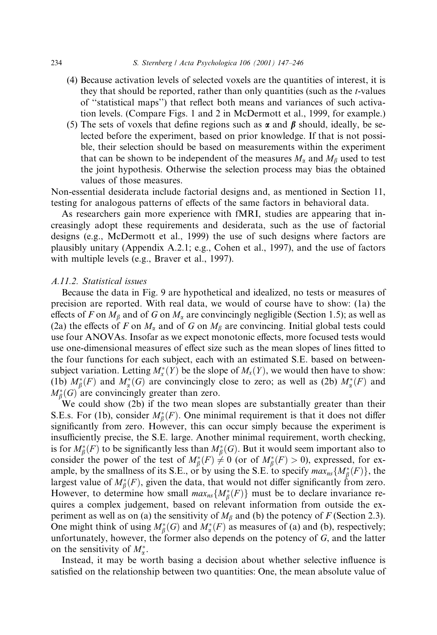- (4) Because activation levels of selected voxels are the quantities of interest, it is they that should be reported, rather than only quantities (such as the t-values of "statistical maps") that reflect both means and variances of such activation levels. (Compare Figs. 1 and 2 in McDermott et al., 1999, for example.)
- (5) The sets of voxels that define regions such as  $\alpha$  and  $\beta$  should, ideally, be selected before the experiment, based on prior knowledge. If that is not possible, their selection should be based on measurements within the experiment that can be shown to be independent of the measures  $M_{\alpha}$  and  $M_{\beta}$  used to test the joint hypothesis. Otherwise the selection process may bias the obtained values of those measures.

Non-essential desiderata include factorial designs and, as mentioned in Section 11, testing for analogous patterns of effects of the same factors in behavioral data.

As researchers gain more experience with fMRI, studies are appearing that increasingly adopt these requirements and desiderata, such as the use of factorial designs (e.g., McDermott et al., 1999) the use of such designs where factors are plausibly unitary (Appendix A.2.1; e.g., Cohen et al., 1997), and the use of factors with multiple levels (e.g., Braver et al., 1997).

#### A.11.2. Statistical issues

Because the data in Fig. 9 are hypothetical and idealized, no tests or measures of precision are reported. With real data, we would of course have to show: (1a) the effects of F on  $M_\beta$  and of G on  $M_\alpha$  are convincingly negligible (Section 1.5); as well as (2a) the effects of F on  $M_{\alpha}$  and of G on  $M_{\beta}$  are convincing. Initial global tests could use four ANOVAs. Insofar as we expect monotonic effects, more focused tests would use one-dimensional measures of effect size such as the mean slopes of lines fitted to the four functions for each subject, each with an estimated S.E. based on betweensubject variation. Letting  $M_x^*(Y)$  be the slope of  $M_x(Y)$ , we would then have to show: (1b)  $M^*_{\beta}(F)$  and  $M^*_{\alpha}(G)$  are convincingly close to zero; as well as (2b)  $M^*_{\alpha}(F)$  and  $M^*_{\beta}(G)$  are convincingly greater than zero.

We could show (2b) if the two mean slopes are substantially greater than their S.E.s. For (1b), consider  $M^*_{\beta}(F)$ . One minimal requirement is that it does not differ significantly from zero. However, this can occur simply because the experiment is insufficiently precise, the S.E. large. Another minimal requirement, worth checking, is for  $M^*_{\beta}(F)$  to be significantly less than  $M^*_{\beta}(G)$ . But it would seem important also to consider the power of the test of  $M^*_{\beta}(F) \neq 0$  (or of  $M^*_{\beta}(F) > 0$ ), expressed, for example, by the smallness of its S.E., or by using the S.E. to specify  $max_{ns} \{ M^*_{\beta}(F) \}$ , the largest value of  $M^*_{\beta}(F)$ , given the data, that would not differ significantly from zero. However, to determine how small  $max_{ns} \{ M^*_{\beta}(F) \}$  must be to declare invariance requires a complex judgement, based on relevant information from outside the experiment as well as on (a) the sensitivity of  $M_\beta$  and (b) the potency of F (Section 2.3). One might think of using  $M^*_{\beta}(G)$  and  $M^*_{\alpha}(F)$  as measures of (a) and (b), respectively; unfortunately, however, the former also depends on the potency of  $G$ , and the latter on the sensitivity of  $M_{\alpha}^*$ .

Instead, it may be worth basing a decision about whether selective influence is satisfied on the relationship between two quantities: One, the mean absolute value of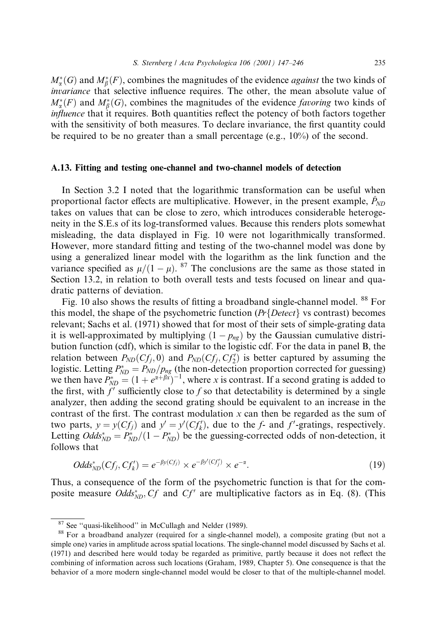$M^*_{\alpha}(G)$  and  $M^*_{\beta}(F)$ , combines the magnitudes of the evidence *against* the two kinds of invariance that selective influence requires. The other, the mean absolute value of  $M^*_{\alpha}(F)$  and  $M^*_{\beta}(G)$ , combines the magnitudes of the evidence *favoring* two kinds of *influence* that it requires. Both quantities reflect the potency of both factors together with the sensitivity of both measures. To declare invariance, the first quantity could be required to be no greater than a small percentage (e.g., 10%) of the second.

#### A.13. Fitting and testing one-channel and two-channel models of detection

In Section 3.2 I noted that the logarithmic transformation can be useful when proportional factor effects are multiplicative. However, in the present example,  $\hat{P}_{ND}$ takes on values that can be close to zero, which introduces considerable heterogeneity in the S.E.s of its log-transformed values. Because this renders plots somewhat misleading, the data displayed in Fig. 10 were not logarithmically transformed. However, more standard fitting and testing of the two-channel model was done by using a generalized linear model with the logarithm as the link function and the variance specified as  $\mu/(1 - \mu)$ . <sup>87</sup> The conclusions are the same as those stated in Section 13.2, in relation to both overall tests and tests focused on linear and quadratic patterns of deviation.

Fig. 10 also shows the results of fitting a broadband single-channel model.  $88$  For this model, the shape of the psychometric function  $(Pr\{Detect\}$  vs contrast) becomes relevant; Sachs et al. (1971) showed that for most of their sets of simple-grating data it is well-approximated by multiplying  $(1 - p_{ng})$  by the Gaussian cumulative distribution function (cdf), which is similar to the logistic cdf. For the data in panel B, the relation between  $P_{ND}(Cf_j, 0)$  and  $P_{ND}(Cf_j, Cf'_2)$  is better captured by assuming the logistic. Letting  $P_{ND}^* = P_{ND}/p_{ng}$  (the non-detection proportion corrected for guessing) we then have  $P_{ND}^* = (1 + e^{x + \beta x})^{-1}$ , where x is contrast. If a second grating is added to the first, with  $f'$  sufficiently close to f so that detectability is determined by a single analyzer, then adding the second grating should be equivalent to an increase in the contrast of the first. The contrast modulation  $x$  can then be regarded as the sum of two parts,  $y = y(Cf_j)$  and  $y' = y'(Cf'_k)$ , due to the f- and f'-gratings, respectively. Letting  $Odds_{ND}^* = P_{ND}^*/(1 - P_{ND}^*)$  be the guessing-corrected odds of non-detection, it follows that

$$
Odds_{ND}^*(Cf_j, Cf_k') = e^{-\beta y (Cf_j)} \times e^{-\beta y'(Cf_j')} \times e^{-\alpha}.
$$
\n(19)

Thus, a consequence of the form of the psychometric function is that for the composite measure  $Odds_{ND}^*$ ,  $Cf$  and  $Cf'$  are multiplicative factors as in Eq. (8). (This

<sup>&</sup>lt;sup>87</sup> See "quasi-likelihood" in McCullagh and Nelder (1989).

<sup>88</sup> For a broadband analyzer (required for a single-channel model), a composite grating (but not a simple one) varies in amplitude across spatial locations. The single-channel model discussed by Sachs et al. (1971) and described here would today be regarded as primitive, partly because it does not reflect the combining of information across such locations (Graham, 1989, Chapter 5). One consequence is that the behavior of a more modern single-channel model would be closer to that of the multiple-channel model.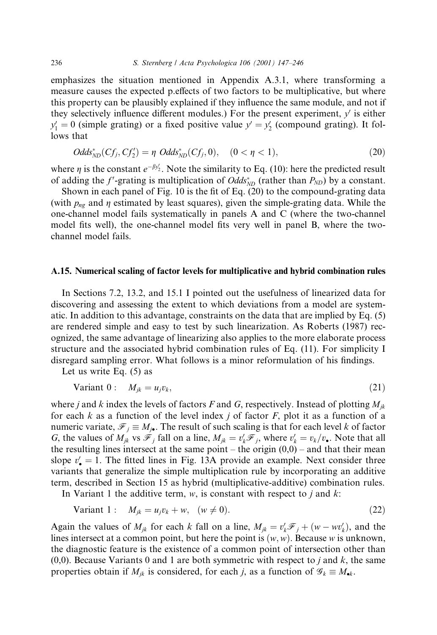emphasizes the situation mentioned in Appendix A.3.1, where transforming a measure causes the expected p.effects of two factors to be multiplicative, but where this property can be plausibly explained if they influence the same module, and not if they selectively influence different modules.) For the present experiment,  $y'$  is either  $y'_1 = 0$  (simple grating) or a fixed positive value  $y' = y'_2$  (compound grating). It follows that

$$
Odds_{ND}^*(Cf_j, Cf_2') = \eta \ Odds_{ND}^*(Cf_j, 0), \quad (0 < \eta < 1), \tag{20}
$$

where  $\eta$  is the constant  $e^{-\beta y_2}$ . Note the similarity to Eq. (10): here the predicted result of adding the f'-grating is multiplication of  $Odds_{ND}^*$  (rather than  $P_{ND}$ ) by a constant.

Shown in each panel of Fig.  $10$  is the fit of Eq. (20) to the compound-grating data (with  $p_{ng}$  and  $\eta$  estimated by least squares), given the simple-grating data. While the one-channel model fails systematically in panels A and C (where the two-channel model fits well), the one-channel model fits very well in panel B, where the twochannel model fails.

#### A.15. Numerical scaling of factor levels for multiplicative and hybrid combination rules

In Sections 7.2, 13.2, and 15.1 I pointed out the usefulness of linearized data for discovering and assessing the extent to which deviations from a model are systematic. In addition to this advantage, constraints on the data that are implied by Eq. (5) are rendered simple and easy to test by such linearization. As Roberts (1987) recognized, the same advantage of linearizing also applies to the more elaborate process structure and the associated hybrid combination rules of Eq. (11). For simplicity I disregard sampling error. What follows is a minor reformulation of his findings.

Let us write Eq. (5) as

$$
Variant 0: \t M_{jk} = u_j v_k,
$$
\t(21)

where j and k index the levels of factors F and G, respectively. Instead of plotting  $M_{ik}$ for each k as a function of the level index j of factor  $F$ , plot it as a function of a numeric variate,  $\mathcal{F}_i \equiv M_{i\bullet}$ . The result of such scaling is that for each level k of factor G, the values of  $M_{jk}$  vs  $\mathcal{F}_j$  fall on a line,  $M_{jk} = v'_k \mathcal{F}_j$ , where  $v'_k = v_k/v_{\bullet}$ . Note that all the resulting lines intersect at the same point  $-$  the origin  $(0,0)$   $-$  and that their mean slope  $v'_\bullet = 1$ . The fitted lines in Fig. 13A provide an example. Next consider three variants that generalize the simple multiplication rule by incorporating an additive term, described in Section 15 as hybrid (multiplicative-additive) combination rules.

In Variant 1 the additive term,  $w$ , is constant with respect to j and  $k$ .

$$
Variant 1: \t M_{jk} = u_j v_k + w, \t (w \neq 0).
$$
\t(22)

Again the values of  $M_{jk}$  for each k fall on a line,  $M_{jk} = v'_k \mathcal{F}_j + (w - wv'_k)$ , and the lines intersect at a common point, but here the point is  $(w, w)$ . Because w is unknown, the diagnostic feature is the existence of a common point of intersection other than (0,0). Because Variants 0 and 1 are both symmetric with respect to j and  $k$ , the same properties obtain if  $M_{ik}$  is considered, for each j, as a function of  $\mathscr{G}_k \equiv M_{\bullet k}$ .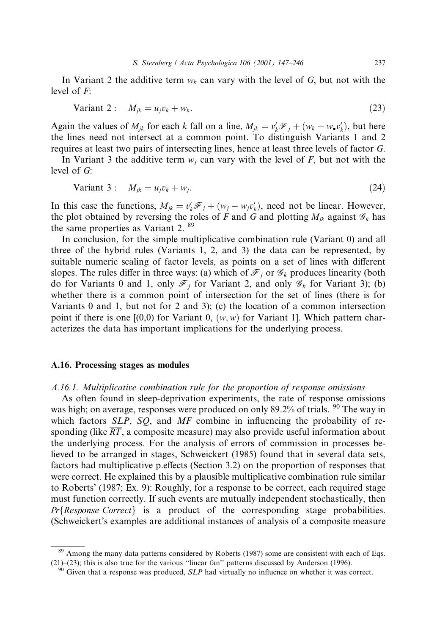In Variant 2 the additive term  $w_k$  can vary with the level of G, but not with the level of  $F$ :

$$
Variant 2: \t M_{jk} = u_j v_k + w_k. \t (23)
$$

Again the values of  $M_{jk}$  for each k fall on a line,  $M_{jk} = v'_k \mathcal{F}_j + (w_k - w_{\bullet} v'_k)$ , but here the lines need not intersect at a common point. To distinguish Variants 1 and 2 requires at least two pairs of intersecting lines, hence at least three levels of factor G.

In Variant 3 the additive term  $w_i$  can vary with the level of F, but not with the level of  $G$ :

$$
Variant 3: \t M_{jk} = u_j v_k + w_j. \t (24)
$$

In this case the functions,  $M_{jk} = v'_k \mathcal{F}_j + (w_j - w_j v'_k)$ , need not be linear. However, the plot obtained by reversing the roles of F and G and plotting  $M_{jk}$  against  $\mathcal{G}_k$  has the same properties as Variant 2.<sup>89</sup>

In conclusion, for the simple multiplicative combination rule (Variant 0) and all three of the hybrid rules (Variants 1, 2, and 3) the data can be represented, by suitable numeric scaling of factor levels, as points on a set of lines with different slopes. The rules differ in three ways: (a) which of  $\mathcal{F}_i$  or  $\mathcal{G}_k$  produces linearity (both do for Variants 0 and 1, only  $\mathcal{F}_i$  for Variant 2, and only  $\mathcal{G}_k$  for Variant 3); (b) whether there is a common point of intersection for the set of lines (there is for Variants 0 and 1, but not for 2 and 3); (c) the location of a common intersection point if there is one  $[(0,0)$  for Variant 0,  $(w, w)$  for Variant 1]. Which pattern characterizes the data has important implications for the underlying process.

## A.16. Processing stages as modules

## A.16.1. Multiplicative combination rule for the proportion of response omissions

As often found in sleep-deprivation experiments, the rate of response omissions was high; on average, responses were produced on only 89.2% of trials.  $\frac{90}{10}$  The way in which factors  $SLP$ ,  $SO$ , and  $MF$  combine in influencing the probability of responding (like  $\overline{RT}$ , a composite measure) may also provide useful information about the underlying process. For the analysis of errors of commission in processes believed to be arranged in stages, Schweickert (1985) found that in several data sets, factors had multiplicative p.effects (Section 3.2) on the proportion of responses that were correct. He explained this by a plausible multiplicative combination rule similar to Roberts' (1987; Ex. 9): Roughly, for a response to be correct, each required stage must function correctly. If such events are mutually independent stochastically, then  $Pr{Respose Correct}$  is a product of the corresponding stage probabilities. (Schweickert's examples are additional instances of analysis of a composite measure

<sup>&</sup>lt;sup>89</sup> Among the many data patterns considered by Roberts (1987) some are consistent with each of Eqs. (21)–(23); this is also true for the various "linear fan" patterns discussed by Anderson (1996).

 $290$  Given that a response was produced, SLP had virtually no influence on whether it was correct.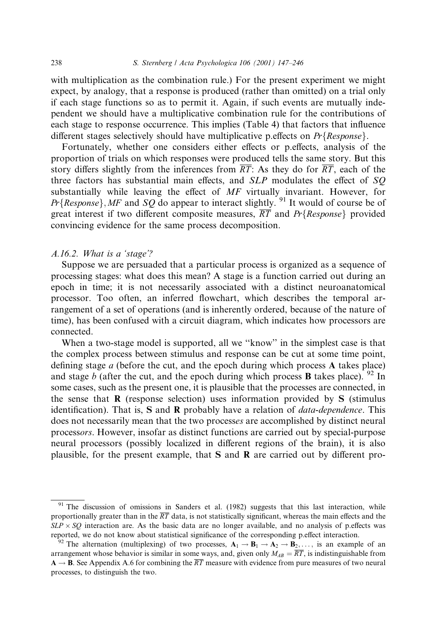with multiplication as the combination rule.) For the present experiment we might expect, by analogy, that a response is produced (rather than omitted) on a trial only if each stage functions so as to permit it. Again, if such events are mutually independent we should have a multiplicative combination rule for the contributions of each stage to response occurrence. This implies (Table 4) that factors that influence different stages selectively should have multiplicative p.effects on  $Pr{Response}$ .

Fortunately, whether one considers either effects or p.effects, analysis of the proportion of trials on which responses were produced tells the same story. But this story differs slightly from the inferences from  $\overline{RT}$ : As they do for  $\overline{RT}$ , each of the three factors has substantial main effects, and  $SLP$  modulates the effect of  $SO$ substantially while leaving the effect of  $MF$  virtually invariant. However, for  $Pr{Respose}, MF$  and  $SQ$  do appear to interact slightly. <sup>91</sup> It would of course be of great interest if two different composite measures,  $\overline{RT}$  and  $\text{Pr}\{\text{Response}\}\$  provided convincing evidence for the same process decomposition.

## A.16.2. What is a `stage'?

Suppose we are persuaded that a particular process is organized as a sequence of processing stages: what does this mean? A stage is a function carried out during an epoch in time; it is not necessarily associated with a distinct neuroanatomical processor. Too often, an inferred flowchart, which describes the temporal arrangement of a set of operations (and is inherently ordered, because of the nature of time), has been confused with a circuit diagram, which indicates how processors are connected.

When a two-stage model is supported, all we "know" in the simplest case is that the complex process between stimulus and response can be cut at some time point, defining stage  $a$  (before the cut, and the epoch during which process  $\bf{A}$  takes place) and stage b (after the cut, and the epoch during which process **B** takes place). <sup>92</sup> In some cases, such as the present one, it is plausible that the processes are connected, in the sense that  $\bf{R}$  (response selection) uses information provided by  $\bf{S}$  (stimulus identification). That is,  $S$  and  $R$  probably have a relation of *data-dependence*. This does not necessarily mean that the two processes are accomplished by distinct neural processors. However, insofar as distinct functions are carried out by special-purpose neural processors (possibly localized in different regions of the brain), it is also plausible, for the present example, that  $S$  and  $R$  are carried out by different pro-

<sup>&</sup>lt;sup>91</sup> The discussion of omissions in Sanders et al. (1982) suggests that this last interaction, while proportionally greater than in the  $\overline{RT}$  data, is not statistically significant, whereas the main effects and the  $SLP \times SQ$  interaction are. As the basic data are no longer available, and no analysis of p.effects was reported, we do not know about statistical significance of the corresponding p.effect interaction.<br><sup>92</sup> The alternation (multiplexing) of two processes,  $A_1 \rightarrow B_1 \rightarrow A_2 \rightarrow B_2, \ldots$ , is an example of an

arrangement whose behavior is similar in some ways, and, given only  $M_{AB} = \overline{RT}$ , is indistinguishable from  $A \rightarrow B$ . See Appendix A.6 for combining the  $\overline{RT}$  measure with evidence from pure measures of two neural processes, to distinguish the two.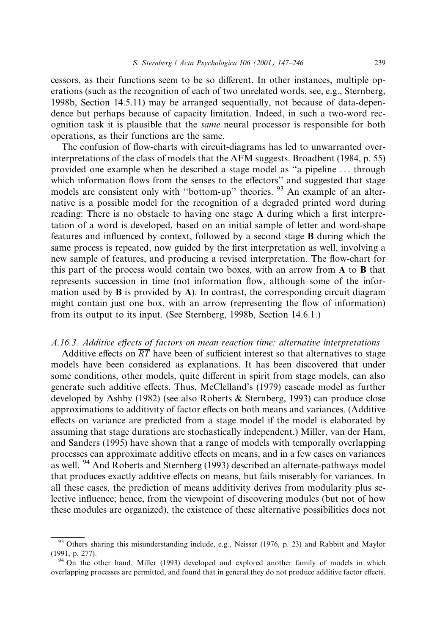cessors, as their functions seem to be so different. In other instances, multiple operations (such as the recognition of each of two unrelated words, see, e.g., Sternberg, 1998b, Section 14.5.11) may be arranged sequentially, not because of data-dependence but perhaps because of capacity limitation. Indeed, in such a two-word recognition task it is plausible that the same neural processor is responsible for both operations, as their functions are the same.

The confusion of flow-charts with circuit-diagrams has led to unwarranted overinterpretations of the class of models that the AFM suggests. Broadbent (1984, p. 55) provided one example when he described a stage model as "a pipeline ... through which information flows from the senses to the effectors" and suggested that stage models are consistent only with "bottom-up" theories.  $93$  An example of an alternative is a possible model for the recognition of a degraded printed word during reading: There is no obstacle to having one stage  $A$  during which a first interpretation of a word is developed, based on an initial sample of letter and word-shape features and influenced by context, followed by a second stage  $\bf{B}$  during which the same process is repeated, now guided by the first interpretation as well, involving a new sample of features, and producing a revised interpretation. The flow-chart for this part of the process would contain two boxes, with an arrow from  $\bf{A}$  to  $\bf{B}$  that represents succession in time (not information flow, although some of the information used by  $\bf{B}$  is provided by  $\bf{A}$ ). In contrast, the corresponding circuit diagram might contain just one box, with an arrow (representing the flow of information) from its output to its input. (See Sternberg, 1998b, Section 14.6.1.)

## $A.16.3.$  Additive effects of factors on mean reaction time: alternative interpretations

Additive effects on  $\overline{RT}$  have been of sufficient interest so that alternatives to stage models have been considered as explanations. It has been discovered that under some conditions, other models, quite different in spirit from stage models, can also generate such additive effects. Thus, McClelland's (1979) cascade model as further developed by Ashby (1982) (see also Roberts & Sternberg, 1993) can produce close approximations to additivity of factor effects on both means and variances. (Additive effects on variance are predicted from a stage model if the model is elaborated by assuming that stage durations are stochastically independent.) Miller, van der Ham, and Sanders (1995) have shown that a range of models with temporally overlapping processes can approximate additive effects on means, and in a few cases on variances as well. <sup>94</sup> And Roberts and Sternberg (1993) described an alternate-pathways model that produces exactly additive effects on means, but fails miserably for variances. In all these cases, the prediction of means additivity derives from modularity plus selective influence; hence, from the viewpoint of discovering modules (but not of how these modules are organized), the existence of these alternative possibilities does not

 $93$  Others sharing this misunderstanding include, e.g., Neisser (1976, p. 23) and Rabbitt and Maylor (1991, p. 277).

<sup>&</sup>lt;sup>94</sup> On the other hand, Miller (1993) developed and explored another family of models in which overlapping processes are permitted, and found that in general they do not produce additive factor effects.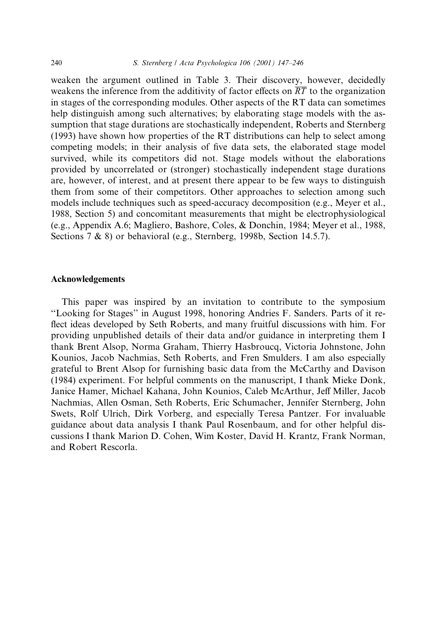weaken the argument outlined in Table 3. Their discovery, however, decidedly weakens the inference from the additivity of factor effects on  $\overline{RT}$  to the organization in stages of the corresponding modules. Other aspects of the RT data can sometimes help distinguish among such alternatives; by elaborating stage models with the assumption that stage durations are stochastically independent, Roberts and Sternberg (1993) have shown how properties of the RT distributions can help to select among competing models; in their analysis of five data sets, the elaborated stage model survived, while its competitors did not. Stage models without the elaborations provided by uncorrelated or (stronger) stochastically independent stage durations are, however, of interest, and at present there appear to be few ways to distinguish them from some of their competitors. Other approaches to selection among such models include techniques such as speed-accuracy decomposition (e.g., Meyer et al., 1988, Section 5) and concomitant measurements that might be electrophysiological (e.g., Appendix A.6; Magliero, Bashore, Coles, & Donchin, 1984; Meyer et al., 1988, Sections 7 & 8) or behavioral (e.g., Sternberg, 1998b, Section 14.5.7).

## Acknowledgements

This paper was inspired by an invitation to contribute to the symposium ``Looking for Stages'' in August 1998, honoring Andries F. Sanders. Parts of it re flect ideas developed by Seth Roberts, and many fruitful discussions with him. For providing unpublished details of their data and/or guidance in interpreting them I thank Brent Alsop, Norma Graham, Thierry Hasbroucq, Victoria Johnstone, John Kounios, Jacob Nachmias, Seth Roberts, and Fren Smulders. I am also especially grateful to Brent Alsop for furnishing basic data from the McCarthy and Davison (1984) experiment. For helpful comments on the manuscript, I thank Mieke Donk, Janice Hamer, Michael Kahana, John Kounios, Caleb McArthur, Jeff Miller, Jacob Nachmias, Allen Osman, Seth Roberts, Eric Schumacher, Jennifer Sternberg, John Swets, Rolf Ulrich, Dirk Vorberg, and especially Teresa Pantzer. For invaluable guidance about data analysis I thank Paul Rosenbaum, and for other helpful discussions I thank Marion D. Cohen, Wim Koster, David H. Krantz, Frank Norman, and Robert Rescorla.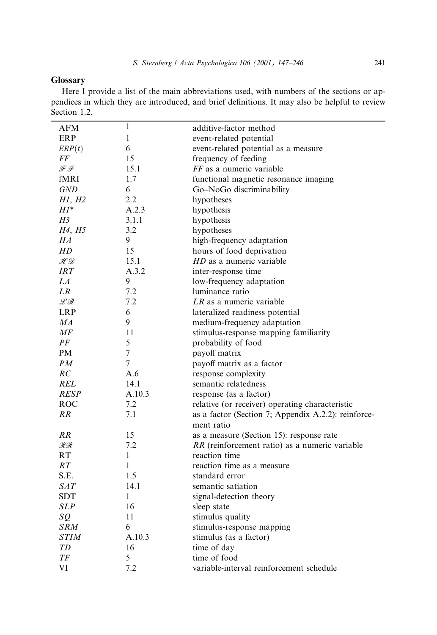# **Glossary**

Here I provide a list of the main abbreviations used, with numbers of the sections or appendices in which they are introduced, and brief definitions. It may also be helpful to review Section 1.2.

| AFM         | $\mathbf{1}$ | additive-factor method                              |
|-------------|--------------|-----------------------------------------------------|
| <b>ERP</b>  | 1            | event-related potential                             |
| ERP(t)      | 6            | event-related potential as a measure                |
| FF          | 15           | frequency of feeding                                |
| FF          | 15.1         | <i>FF</i> as a numeric variable                     |
| fMRI        | 1.7          | functional magnetic resonance imaging               |
| <b>GND</b>  | 6            | Go-NoGo discriminability                            |
| H1, H2      | 2.2          | hypotheses                                          |
| $H1*$       | A.2.3        | hypothesis                                          |
| H3          | 3.1.1        | hypothesis                                          |
| H4, H5      | 3.2          | hypotheses                                          |
| HA          | 9            | high-frequency adaptation                           |
| HD          | 15           | hours of food deprivation                           |
| H D         | 15.1         | <i>HD</i> as a numeric variable                     |
| <b>IRT</b>  | A.3.2        | inter-response time                                 |
| LA          | 9            | low-frequency adaptation                            |
| LR.         | 7.2          | luminance ratio                                     |
| LR          | 7.2          | LR as a numeric variable                            |
| <b>LRP</b>  | 6            | lateralized readiness potential                     |
| MA          | 9            | medium-frequency adaptation                         |
| МF          | 11           | stimulus-response mapping familiarity               |
| PF          | 5            | probability of food                                 |
| <b>PM</b>   | 7            | payoff matrix                                       |
| PM          | 7            | payoff matrix as a factor                           |
| RC          | A.6          | response complexity                                 |
| <b>REL</b>  | 14.1         | semantic relatedness                                |
| <b>RESP</b> | A.10.3       | response (as a factor)                              |
| <b>ROC</b>  | 7.2          | relative (or receiver) operating characteristic     |
| <b>RR</b>   | 7.1          | as a factor (Section 7; Appendix A.2.2): reinforce- |
|             |              | ment ratio                                          |
| RR          | 15           | as a measure (Section 15): response rate            |
| RR          | 7.2          | RR (reinforcement ratio) as a numeric variable      |
| RT          | $\mathbf{1}$ | reaction time                                       |
| RT          | 1            | reaction time as a measure                          |
| S.E.        | 1.5          | standard error                                      |
| <i>SAT</i>  | 14.1         | semantic satiation                                  |
| <b>SDT</b>  | 1            | signal-detection theory                             |
| <b>SLP</b>  | 16           | sleep state                                         |
| so          | 11           | stimulus quality                                    |
| <b>SRM</b>  | 6            | stimulus-response mapping                           |
| <b>STIM</b> | A.10.3       | stimulus (as a factor)                              |
| TD          | 16           | time of day                                         |
| TF          | 5            | time of food                                        |
| VI          | 7.2          | variable-interval reinforcement schedule            |
|             |              |                                                     |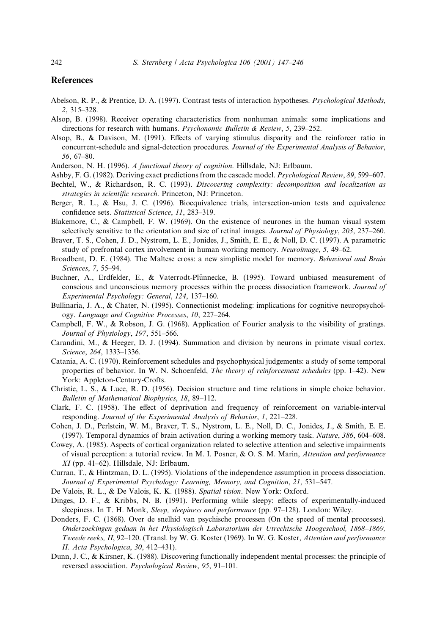#### References

- Abelson, R. P., & Prentice, D. A. (1997). Contrast tests of interaction hypotheses. *Psychological Methods*, 2, 315±328.
- Alsop, B. (1998). Receiver operating characteristics from nonhuman animals: some implications and directions for research with humans. Psychonomic Bulletin & Review, 5, 239–252.
- Alsop, B., & Davison, M. (1991). Effects of varying stimulus disparity and the reinforcer ratio in concurrent-schedule and signal-detection procedures. Journal of the Experimental Analysis of Behavior, 56, 67-80.
- Anderson, N. H. (1996). A functional theory of cognition. Hillsdale, NJ: Erlbaum.
- Ashby, F. G. (1982). Deriving exact predictions from the cascade model. *Psychological Review*, 89, 599–607.
- Bechtel, W., & Richardson, R. C. (1993). Discovering complexity: decomposition and localization as strategies in scientific research. Princeton, NJ: Princeton.
- Berger, R. L., & Hsu, J. C. (1996). Bioequivalence trials, intersection-union tests and equivalence confidence sets. Statistical Science, 11, 283-319.
- Blakemore, C., & Campbell, F. W. (1969). On the existence of neurones in the human visual system selectively sensitive to the orientation and size of retinal images. Journal of Physiology, 203, 237–260.
- Braver, T. S., Cohen, J. D., Nystrom, L. E., Jonides, J., Smith, E. E., & Noll, D. C. (1997). A parametric study of prefrontal cortex involvement in human working memory. Neuroimage, 5, 49–62.
- Broadbent, D. E. (1984). The Maltese cross: a new simplistic model for memory. Behavioral and Brain Sciences, 7, 55-94.
- Buchner, A., Erdfelder, E., & Vaterrodt-Plunnecke, B. (1995). Toward unbiased measurement of conscious and unconscious memory processes within the process dissociation framework. Journal of Experimental Psychology: General, 124, 137-160.
- Bullinaria, J. A., & Chater, N. (1995). Connectionist modeling: implications for cognitive neuropsychology. Language and Cognitive Processes, 10, 227-264.
- Campbell, F. W., & Robson, J. G. (1968). Application of Fourier analysis to the visibility of gratings. Journal of Physiology, 197, 551-566.
- Carandini, M., & Heeger, D. J. (1994). Summation and division by neurons in primate visual cortex. Science, 264, 1333-1336.
- Catania, A. C. (1970). Reinforcement schedules and psychophysical judgements: a study of some temporal properties of behavior. In W. N. Schoenfeld, The theory of reinforcement schedules (pp. 1-42). New York: Appleton-Century-Crofts.
- Christie, L. S., & Luce, R. D. (1956). Decision structure and time relations in simple choice behavior. Bulletin of Mathematical Biophysics, 18, 89-112.
- Clark, F. C. (1958). The effect of deprivation and frequency of reinforcement on variable-interval responding. Journal of the Experimental Analysis of Behavior, 1, 221-228.
- Cohen, J. D., Perlstein, W. M., Braver, T. S., Nystrom, L. E., Noll, D. C., Jonides, J., & Smith, E. E. (1997). Temporal dynamics of brain activation during a working memory task. Nature,  $386, 604–608$ .
- Cowey, A. (1985). Aspects of cortical organization related to selective attention and selective impairments of visual perception: a tutorial review. In M. I. Posner, & O. S. M. Marin, Attention and performance  $XI$  (pp. 41–62). Hillsdale, NJ: Erlbaum.
- Curran, T., & Hintzman, D. L. (1995). Violations of the independence assumption in process dissociation. Journal of Experimental Psychology: Learning, Memory, and Cognition, 21, 531-547.
- De Valois, R. L., & De Valois, K. K. (1988). Spatial vision. New York: Oxford.
- Dinges, D. F., & Kribbs, N. B. (1991). Performing while sleepy: effects of experimentally-induced sleepiness. In T. H. Monk, Sleep, sleepiness and performance (pp. 97–128). London: Wiley.
- Donders, F. C. (1868). Over de snelhid van psychische processen (On the speed of mental processes). Onderzoekingen gedaan in het Physiologisch Laboratorium der Utrechtsche Hoogeschool, 1868–1869, Tweede reeks, II, 92-120. (Transl. by W. G. Koster (1969). In W. G. Koster, Attention and performance II. Acta Psychologica, 30, 412-431).
- Dunn, J. C., & Kirsner, K. (1988). Discovering functionally independent mental processes: the principle of reversed association. Psychological Review, 95, 91-101.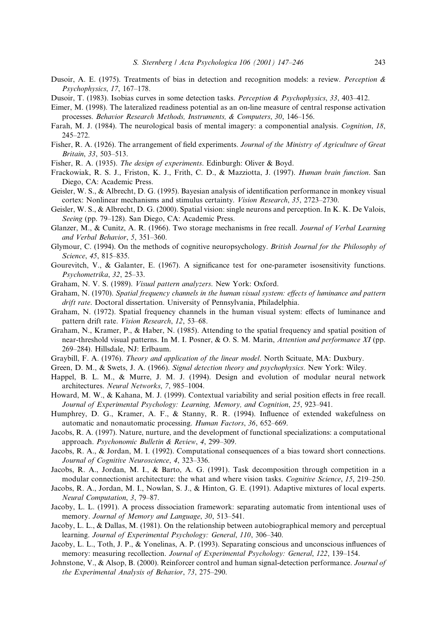- Dusoir, A. E. (1975). Treatments of bias in detection and recognition models: a review. Perception &  $Psychophysics, 17, 167–178.$
- Dusoir, T. (1983). Isobias curves in some detection tasks. Perception & Psychophysics, 33, 403-412.
- Eimer, M. (1998). The lateralized readiness potential as an on-line measure of central response activation processes. Behavior Research Methods, Instruments, & Computers, 30, 146-156.
- Farah, M. J. (1984). The neurological basis of mental imagery: a componential analysis. Cognition, 18, 245±272.
- Fisher, R. A. (1926). The arrangement of field experiments. Journal of the Ministry of Agriculture of Great Britain, 33, 503–513.
- Fisher, R. A. (1935). The design of experiments. Edinburgh: Oliver & Boyd.
- Frackowiak, R. S. J., Friston, K. J., Frith, C. D., & Mazziotta, J. (1997). Human brain function. San Diego, CA: Academic Press.
- Geisler, W. S., & Albrecht, D. G. (1995). Bayesian analysis of identification performance in monkey visual cortex: Nonlinear mechanisms and stimulus certainty. Vision Research, 35, 2723-2730.
- Geisler, W. S., & Albrecht, D. G. (2000). Spatial vision: single neurons and perception. In K. K. De Valois, Seeing (pp. 79-128). San Diego, CA: Academic Press.
- Glanzer, M., & Cunitz, A. R. (1966). Two storage mechanisms in free recall. Journal of Verbal Learning and Verbal Behavior, 5, 351-360.
- Glymour, C. (1994). On the methods of cognitive neuropsychology. British Journal for the Philosophy of Science, 45, 815-835.
- Gourevitch, V., & Galanter, E. (1967). A significance test for one-parameter isosensitivity functions. Psychometrika, 32, 25-33.
- Graham, N. V. S. (1989). Visual pattern analyzers. New York: Oxford.
- Graham, N. (1970). Spatial frequency channels in the human visual system: effects of luminance and pattern drift rate. Doctoral dissertation. University of Pennsylvania, Philadelphia.
- Graham, N. (1972). Spatial frequency channels in the human visual system: effects of luminance and pattern drift rate. Vision Research, 12, 53-68.
- Graham, N., Kramer, P., & Haber, N. (1985). Attending to the spatial frequency and spatial position of near-threshold visual patterns. In M. I. Posner, & O. S. M. Marin, Attention and performance XI (pp. 269±284). Hillsdale, NJ: Erlbaum.
- Graybill, F. A. (1976). Theory and application of the linear model. North Scituate, MA: Duxbury.
- Green, D. M., & Swets, J. A. (1966). Signal detection theory and psychophysics. New York: Wiley.
- Happel, B. L. M., & Murre, J. M. J. (1994). Design and evolution of modular neural network architectures. Neural Networks, 7, 985-1004.
- Howard, M. W., & Kahana, M. J. (1999). Contextual variability and serial position effects in free recall. Journal of Experimental Psychology: Learning, Memory, and Cognition, 25, 923-941.
- Humphrey, D. G., Kramer, A. F., & Stanny, R. R. (1994). Influence of extended wakefulness on automatic and nonautomatic processing. Human Factors, 36, 652–669.
- Jacobs, R. A. (1997). Nature, nurture, and the development of functional specializations: a computational approach. Psychonomic Bulletin & Review, 4, 299-309.
- Jacobs, R. A., & Jordan, M. I. (1992). Computational consequences of a bias toward short connections. Journal of Cognitive Neuroscience, 4, 323-336.
- Jacobs, R. A., Jordan, M. I., & Barto, A. G. (1991). Task decomposition through competition in a modular connectionist architecture: the what and where vision tasks. Cognitive Science, 15, 219-250.
- Jacobs, R. A., Jordan, M. I., Nowlan, S. J., & Hinton, G. E. (1991). Adaptive mixtures of local experts. Neural Computation, 3, 79-87.
- Jacoby, L. L. (1991). A process dissociation framework: separating automatic from intentional uses of memory. Journal of Memory and Language, 30, 513-541.
- Jacoby, L. L., & Dallas, M. (1981). On the relationship between autobiographical memory and perceptual learning. Journal of Experimental Psychology: General, 110, 306-340.
- Jacoby, L. L., Toth, J. P., & Yonelinas, A. P. (1993). Separating conscious and unconscious influences of memory: measuring recollection. Journal of Experimental Psychology: General, 122, 139-154.
- Johnstone, V., & Alsop, B. (2000). Reinforcer control and human signal-detection performance. *Journal of* the Experimental Analysis of Behavior, 73, 275-290.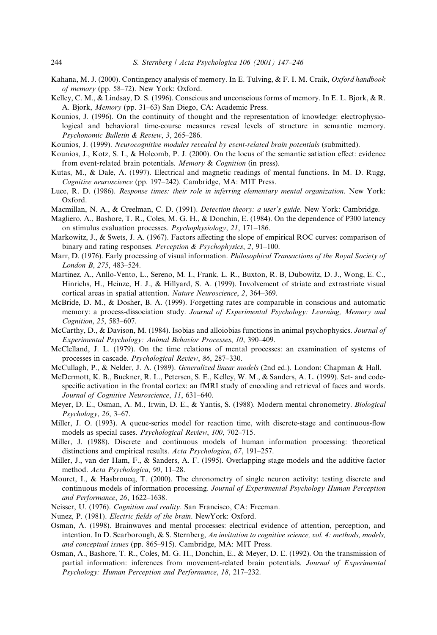- Kahana, M. J. (2000). Contingency analysis of memory. In E. Tulving, & F. I. M. Craik, Oxford handbook of memory (pp. 58-72). New York: Oxford.
- Kelley, C. M., & Lindsay, D. S. (1996). Conscious and unconscious forms of memory. In E. L. Bjork, & R. A. Bjork, Memory (pp. 31–63) San Diego, CA: Academic Press.
- Kounios, J. (1996). On the continuity of thought and the representation of knowledge: electrophysiological and behavioral time-course measures reveal levels of structure in semantic memory. Psychonomic Bulletin & Review, 3, 265-286.
- Kounios, J. (1999). Neurocognitive modules revealed by event-related brain potentials (submitted).
- Kounios, J., Kotz, S. I., & Holcomb, P. J. (2000). On the locus of the semantic satiation effect: evidence from event-related brain potentials. Memory & Cognition (in press).
- Kutas, M., & Dale, A. (1997). Electrical and magnetic readings of mental functions. In M. D. Rugg, Cognitive neuroscience (pp. 197-242). Cambridge, MA: MIT Press.
- Luce, R. D. (1986). Response times: their role in inferring elementary mental organization. New York: Oxford.
- Macmillan, N. A., & Creelman, C. D. (1991). Detection theory: a user's guide. New York: Cambridge.
- Magliero, A., Bashore, T. R., Coles, M. G. H., & Donchin, E. (1984). On the dependence of P300 latency on stimulus evaluation processes. Psychophysiology, 21, 171-186.
- Markowitz, J., & Swets, J. A. (1967). Factors affecting the slope of empirical ROC curves: comparison of binary and rating responses. Perception  $\&$  Psychophysics, 2, 91–100.
- Marr, D. (1976). Early processing of visual information. Philosophical Transactions of the Royal Society of London B, 275, 483-524.
- Martinez, A., Anllo-Vento, L., Sereno, M. I., Frank, L. R., Buxton, R. B, Dubowitz, D. J., Wong, E. C., Hinrichs, H., Heinze, H. J., & Hillyard, S. A. (1999). Involvement of striate and extrastriate visual cortical areas in spatial attention. Nature Neuroscience, 2, 364-369.
- McBride, D. M., & Dosher, B. A. (1999). Forgetting rates are comparable in conscious and automatic memory: a process-dissociation study. Journal of Experimental Psychology: Learning, Memory and Cognition, 25, 583-607.
- McCarthy, D., & Davison, M. (1984). Isobias and alloiobias functions in animal psychophysics. *Journal of* Experimental Psychology: Animal Behavior Processes, 10, 390-409.
- McClelland, J. L. (1979). On the time relations of mental processes: an examination of systems of processes in cascade. *Psychological Review*, 86, 287–330.
- McCullagh, P., & Nelder, J. A. (1989). Generalized linear models (2nd ed.). London: Chapman & Hall.
- McDermott, K. B., Buckner, R. L., Petersen, S. E., Kelley, W. M., & Sanders, A. L. (1999). Set- and codespecific activation in the frontal cortex: an fMRI study of encoding and retrieval of faces and words. Journal of Cognitive Neuroscience, 11, 631-640.
- Meyer, D. E., Osman, A. M., Irwin, D. E., & Yantis, S. (1988). Modern mental chronometry. Biological  $Psychology, 26, 3–67.$
- Miller, J. O. (1993). A queue-series model for reaction time, with discrete-stage and continuous-flow models as special cases. Psychological Review, 100, 702-715.
- Miller, J. (1988). Discrete and continuous models of human information processing: theoretical distinctions and empirical results. Acta Psychologica, 67, 191-257.
- Miller, J., van der Ham, F., & Sanders, A. F. (1995). Overlapping stage models and the additive factor method. Acta Psychologica, 90, 11-28.
- Mouret, I., & Hasbroucq, T. (2000). The chronometry of single neuron activity: testing discrete and continuous models of information processing. Journal of Experimental Psychology Human Perception and Performance, 26, 1622-1638.
- Neisser, U. (1976). Cognition and reality. San Francisco, CA: Freeman.
- Nunez, P. (1981). Electric fields of the brain. NewYork: Oxford.
- Osman, A. (1998). Brainwaves and mental processes: electrical evidence of attention, perception, and intention. In D. Scarborough, & S. Sternberg, An invitation to cognitive science, vol. 4: methods, models, and conceptual issues (pp. 865-915). Cambridge, MA: MIT Press.
- Osman, A., Bashore, T. R., Coles, M. G. H., Donchin, E., & Meyer, D. E. (1992). On the transmission of partial information: inferences from movement-related brain potentials. Journal of Experimental Psychology: Human Perception and Performance, 18, 217-232.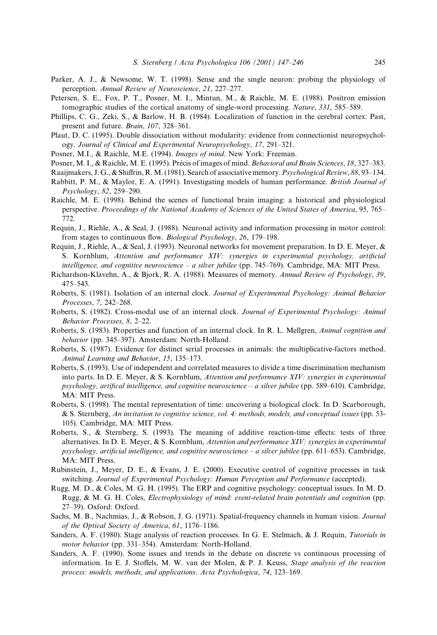- Parker, A. J., & Newsome, W. T. (1998). Sense and the single neuron: probing the physiology of perception. Annual Review of Neuroscience, 21, 227-277.
- Petersen, S. E., Fox, P. T., Posner, M. I., Mintun, M., & Raichle, M. E. (1988). Positron emission tomographic studies of the cortical anatomy of single-word processing. Nature, 331, 585–589.
- Phillips, C. G., Zeki, S., & Barlow, H. B. (1984). Localization of function in the cerebral cortex: Past, present and future. Brain, 107, 328-361.
- Plaut, D. C. (1995). Double dissociation without modularity: evidence from connectionist neuropsychology. Journal of Clinical and Experimental Neuropsychology, 17, 291-321.
- Posner, M.I., & Raichle, M.E. (1994). Images of mind. New York: Freeman.
- Posner, M. I., & Raichle, M. E. (1995). Précis of images of mind. Behavioral and Brain Sciences, 18, 327-383.
- Raaijmakers, J. G., & Shiffrin, R. M. (1981). Search of associative memory. Psychological Review, 88, 93-134.
- Rabbitt, P. M., & Maylor, E. A. (1991). Investigating models of human performance. British Journal of Psychology, 82, 259-290.
- Raichle, M. E. (1998). Behind the scenes of functional brain imaging: a historical and physiological perspective. Proceedings of the National Academy of Sciences of the United States of America, 95, 765-772.
- Requin, J., Riehle, A., & Seal, J. (1988). Neuronal activity and information processing in motor control: from stages to continuous flow. Biological Psychology, 26, 179-198.
- Requin, J., Riehle, A., & Seal, J. (1993). Neuronal networks for movement preparation. In D. E. Meyer, & S. Kornblum, Attention and performance XIV: synergies in experimental psychology, artificial intelligence, and cognitive neuroscience  $- a$  silver jubilee (pp. 745-769). Cambridge, MA: MIT Press.
- Richardson-Klavehn, A., & Bjork, R. A. (1988). Measures of memory. Annual Review of Psychology, 39, 475±543.
- Roberts, S. (1981). Isolation of an internal clock. Journal of Experimental Psychology: Animal Behavior Processes, 7, 242-268.
- Roberts, S. (1982). Cross-modal use of an internal clock. Journal of Experimental Psychology: Animal Behavior Processes, 8, 2-22.
- Roberts, S. (1983). Properties and function of an internal clock. In R. L. Mellgren, *Animal cognition and* behavior (pp. 345-397). Amsterdam: North-Holland.
- Roberts, S. (1987). Evidence for distinct serial processes in animals: the multiplicative-factors method. Animal Learning and Behavior, 15, 135-173.
- Roberts, S. (1993). Use of independent and correlated measures to divide a time discrimination mechanism into parts. In D. E. Meyer, & S. Kornblum, Attention and performance XIV: synergies in experimental  $p$ sychology, artifical intelligence, and cognitive neuroscience  $-$  a silver jubilee (pp. 589-610). Cambridge, MA: MIT Press.
- Roberts, S. (1998). The mental representation of time: uncovering a biological clock. In D. Scarborough, & S. Sternberg, An invitation to cognitive science, vol. 4: methods, models, and conceptual issues (pp. 53- 105). Cambridge, MA: MIT Press.
- Roberts, S., & Sternberg, S. (1993). The meaning of additive reaction-time effects: tests of three alternatives. In D. E. Meyer,  $\& S$ . Kornblum, Attention and performance XIV: synergies in experimental psychology, artificial intelligence, and cognitive neuroscience  $-$  a silver jubilee (pp. 611-653). Cambridge, MA: MIT Press.
- Rubinstein, J., Meyer, D. E., & Evans, J. E. (2000). Executive control of cognitive processes in task switching. Journal of Experimental Psychology: Human Perception and Performance (accepted).
- Rugg, M. D., & Coles, M. G. H. (1995). The ERP and cognitive psychology: conceptual issues. In M. D. Rugg, & M. G. H. Coles, Electrophysiology of mind: event-related brain potentials and cognition (pp. 27±39). Oxford: Oxford.
- Sachs, M. B., Nachmias, J., & Robson, J. G. (1971). Spatial-frequency channels in human vision. Journal of the Optical Society of America, 61, 1176-1186.
- Sanders, A. F. (1980). Stage analysis of reaction processes. In G. E. Stelmach, & J. Requin, Tutorials in motor behavior (pp. 331–354). Amsterdam: North-Holland.
- Sanders, A. F. (1990). Some issues and trends in the debate on discrete vs continuous processing of information. In E. J. Stoffels, M. W. van der Molen,  $\&$  P. J. Keuss, *Stage analysis of the reaction* process: models, methods, and applications. Acta Psychologica, 74, 123-169.